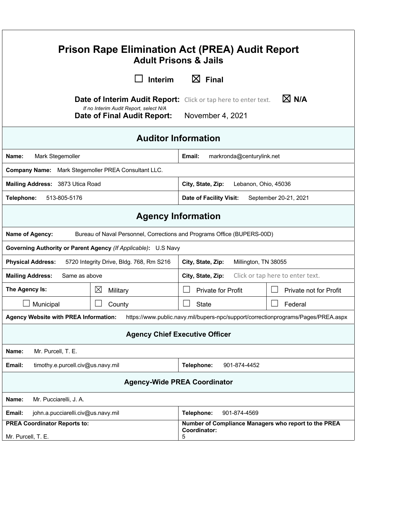| <b>Prison Rape Elimination Act (PREA) Audit Report</b><br><b>Adult Prisons &amp; Jails</b>                                                                                            |                                                                         |                                                                           |                        |  |
|---------------------------------------------------------------------------------------------------------------------------------------------------------------------------------------|-------------------------------------------------------------------------|---------------------------------------------------------------------------|------------------------|--|
|                                                                                                                                                                                       | <b>Interim</b>                                                          | $\boxtimes$ Final                                                         |                        |  |
| $\boxtimes$ N/A<br><b>Date of Interim Audit Report:</b> Click or tap here to enter text.<br>If no Interim Audit Report, select N/A<br>November 4, 2021<br>Date of Final Audit Report: |                                                                         |                                                                           |                        |  |
| <b>Auditor Information</b>                                                                                                                                                            |                                                                         |                                                                           |                        |  |
| Name:<br>Mark Stegemoller                                                                                                                                                             | Email:<br>markronda@centurylink.net                                     |                                                                           |                        |  |
| Company Name: Mark Stegemoller PREA Consultant LLC.                                                                                                                                   |                                                                         |                                                                           |                        |  |
| Mailing Address: 3873 Utica Road                                                                                                                                                      |                                                                         | City, State, Zip:<br>Lebanon, Ohio, 45036                                 |                        |  |
| 513-805-5176<br>Telephone:                                                                                                                                                            | <b>Date of Facility Visit:</b><br>September 20-21, 2021                 |                                                                           |                        |  |
| <b>Agency Information</b>                                                                                                                                                             |                                                                         |                                                                           |                        |  |
| Name of Agency:                                                                                                                                                                       | Bureau of Naval Personnel, Corrections and Programs Office (BUPERS-00D) |                                                                           |                        |  |
| Governing Authority or Parent Agency (If Applicable): U.S Navy                                                                                                                        |                                                                         |                                                                           |                        |  |
| 5720 Integrity Drive, Bldg. 768, Rm S216<br><b>Physical Address:</b><br>City, State, Zip:<br>Millington, TN 38055                                                                     |                                                                         |                                                                           |                        |  |
| <b>Mailing Address:</b><br>Same as above                                                                                                                                              |                                                                         | City, State, Zip:<br>Click or tap here to enter text.                     |                        |  |
| The Agency Is:                                                                                                                                                                        | $\boxtimes$<br>Military                                                 | Private for Profit                                                        | Private not for Profit |  |
| Municipal                                                                                                                                                                             | County                                                                  | <b>State</b>                                                              | Federal                |  |
| https://www.public.navy.mil/bupers-npc/support/correctionprograms/Pages/PREA.aspx<br><b>Agency Website with PREA Information:</b>                                                     |                                                                         |                                                                           |                        |  |
| <b>Agency Chief Executive Officer</b>                                                                                                                                                 |                                                                         |                                                                           |                        |  |
| Mr. Purcell, T. E.<br>Name:                                                                                                                                                           |                                                                         |                                                                           |                        |  |
| timothy.e.purcell.civ@us.navy.mil<br>Email:                                                                                                                                           |                                                                         | Telephone:<br>901-874-4452                                                |                        |  |
| <b>Agency-Wide PREA Coordinator</b>                                                                                                                                                   |                                                                         |                                                                           |                        |  |
| Mr. Pucciarelli, J. A.<br>Name:                                                                                                                                                       |                                                                         |                                                                           |                        |  |
| john.a.pucciarelli.civ@us.navy.mil<br>Email:                                                                                                                                          |                                                                         | Telephone:<br>901-874-4569                                                |                        |  |
| <b>PREA Coordinator Reports to:</b><br>Mr. Purcell, T. E.                                                                                                                             |                                                                         | Number of Compliance Managers who report to the PREA<br>Coordinator:<br>5 |                        |  |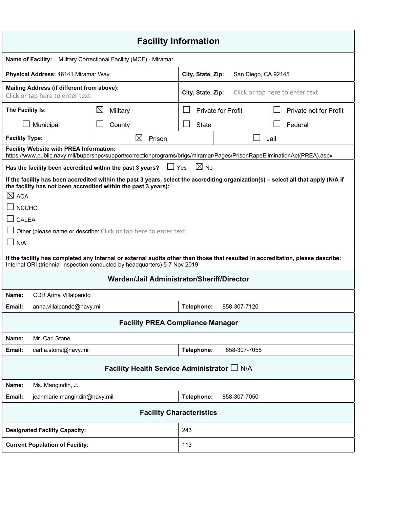| <b>Facility Information</b>                                                                                                                                                                                                                                                                                                                                                                                                                                                                                                                                                                 |                                       |                                                       |              |  |
|---------------------------------------------------------------------------------------------------------------------------------------------------------------------------------------------------------------------------------------------------------------------------------------------------------------------------------------------------------------------------------------------------------------------------------------------------------------------------------------------------------------------------------------------------------------------------------------------|---------------------------------------|-------------------------------------------------------|--------------|--|
| <b>Name of Facility:</b><br>Military Correctional Facility (MCF) - Miramar                                                                                                                                                                                                                                                                                                                                                                                                                                                                                                                  |                                       |                                                       |              |  |
| Physical Address: 46141 Miramar Way                                                                                                                                                                                                                                                                                                                                                                                                                                                                                                                                                         |                                       | San Diego, CA 92145<br>City, State, Zip:              |              |  |
| Mailing Address (if different from above):<br>Click or tap here to enter text.                                                                                                                                                                                                                                                                                                                                                                                                                                                                                                              |                                       | Click or tap here to enter text.<br>City, State, Zip: |              |  |
| The Facility Is:                                                                                                                                                                                                                                                                                                                                                                                                                                                                                                                                                                            | $\boxtimes$<br>Military               | <b>Private for Profit</b><br>Private not for Profit   |              |  |
| Municipal                                                                                                                                                                                                                                                                                                                                                                                                                                                                                                                                                                                   | $\mathcal{L}_{\mathcal{A}}$<br>County | $\vert \ \ \vert$<br><b>State</b><br>Federal          |              |  |
| <b>Facility Type:</b>                                                                                                                                                                                                                                                                                                                                                                                                                                                                                                                                                                       | ⊠<br>Prison                           | Jail                                                  |              |  |
| <b>Facility Website with PREA Information:</b><br>https://www.public.navy.mil/bupersnpc/support/correctionprograms/brigs/miramar/Pages/PrisonRapeEliminationAct(PREA).aspx                                                                                                                                                                                                                                                                                                                                                                                                                  |                                       |                                                       |              |  |
| Has the facility been accredited within the past 3 years?                                                                                                                                                                                                                                                                                                                                                                                                                                                                                                                                   | $\Box$ Yes                            | $\boxtimes$ No                                        |              |  |
| If the facility has been accredited within the past 3 years, select the accrediting organization(s) – select all that apply (N/A if<br>the facility has not been accredited within the past 3 years):<br>$\boxtimes$ ACA<br><b>NCCHC</b><br>CALEA<br>Other (please name or describe: Click or tap here to enter text.<br>N/A<br>If the facility has completed any internal or external audits other than those that resulted in accreditation, please describe:<br>Internal ORI (triennial inspection conducted by headquarters) 5-7 Nov 2019<br>Warden/Jail Administrator/Sheriff/Director |                                       |                                                       |              |  |
| Name:<br>CDR Anna Villalpando<br>Email:<br>anna.villalpando@navy.mil                                                                                                                                                                                                                                                                                                                                                                                                                                                                                                                        |                                       | Telephone:                                            | 858-307-7120 |  |
| <b>Facility PREA Compliance Manager</b>                                                                                                                                                                                                                                                                                                                                                                                                                                                                                                                                                     |                                       |                                                       |              |  |
| Mr. Carl Stone<br>Name:                                                                                                                                                                                                                                                                                                                                                                                                                                                                                                                                                                     |                                       |                                                       |              |  |
| Email:<br>carl.a.stone@navy.mil                                                                                                                                                                                                                                                                                                                                                                                                                                                                                                                                                             |                                       | Telephone:                                            | 858-307-7055 |  |
| Facility Health Service Administrator L N/A                                                                                                                                                                                                                                                                                                                                                                                                                                                                                                                                                 |                                       |                                                       |              |  |
| Name:<br>Ms. Mangindin, J.                                                                                                                                                                                                                                                                                                                                                                                                                                                                                                                                                                  |                                       |                                                       |              |  |
| Email:<br>jeanmarie.mangindin@navy.mil                                                                                                                                                                                                                                                                                                                                                                                                                                                                                                                                                      |                                       | Telephone:                                            | 858-307-7050 |  |
| <b>Facility Characteristics</b>                                                                                                                                                                                                                                                                                                                                                                                                                                                                                                                                                             |                                       |                                                       |              |  |
| <b>Designated Facility Capacity:</b>                                                                                                                                                                                                                                                                                                                                                                                                                                                                                                                                                        |                                       | 243                                                   |              |  |
| <b>Current Population of Facility:</b>                                                                                                                                                                                                                                                                                                                                                                                                                                                                                                                                                      |                                       | 113                                                   |              |  |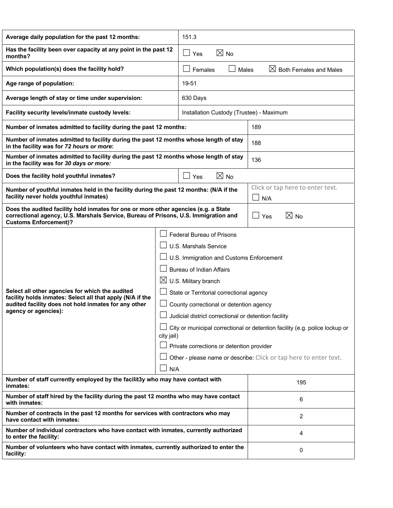| Average daily population for the past 12 months:                                                                                                                                                           |  | 151.3                                                                                                                                                                                                                                                                                                                                                                                                                                                                                                                                         |                                         |  |
|------------------------------------------------------------------------------------------------------------------------------------------------------------------------------------------------------------|--|-----------------------------------------------------------------------------------------------------------------------------------------------------------------------------------------------------------------------------------------------------------------------------------------------------------------------------------------------------------------------------------------------------------------------------------------------------------------------------------------------------------------------------------------------|-----------------------------------------|--|
| Has the facility been over capacity at any point in the past 12<br>months?                                                                                                                                 |  | $\boxtimes$ No<br>$\blacksquare$<br>Yes                                                                                                                                                                                                                                                                                                                                                                                                                                                                                                       |                                         |  |
| Which population(s) does the facility hold?                                                                                                                                                                |  | $\boxtimes$<br><b>Both Females and Males</b><br>Females<br>Males                                                                                                                                                                                                                                                                                                                                                                                                                                                                              |                                         |  |
| Age range of population:                                                                                                                                                                                   |  | 19-51                                                                                                                                                                                                                                                                                                                                                                                                                                                                                                                                         |                                         |  |
| Average length of stay or time under supervision:                                                                                                                                                          |  | 630 Days                                                                                                                                                                                                                                                                                                                                                                                                                                                                                                                                      |                                         |  |
| Facility security levels/inmate custody levels:                                                                                                                                                            |  | Installation Custody (Trustee) - Maximum                                                                                                                                                                                                                                                                                                                                                                                                                                                                                                      |                                         |  |
| Number of inmates admitted to facility during the past 12 months:                                                                                                                                          |  | 189                                                                                                                                                                                                                                                                                                                                                                                                                                                                                                                                           |                                         |  |
| Number of inmates admitted to facility during the past 12 months whose length of stay<br>in the facility was for 72 hours or more:                                                                         |  | 188                                                                                                                                                                                                                                                                                                                                                                                                                                                                                                                                           |                                         |  |
| Number of inmates admitted to facility during the past 12 months whose length of stay<br>in the facility was for 30 days or more:                                                                          |  | 136                                                                                                                                                                                                                                                                                                                                                                                                                                                                                                                                           |                                         |  |
| Does the facility hold youthful inmates?                                                                                                                                                                   |  | $\boxtimes$ No<br>Yes                                                                                                                                                                                                                                                                                                                                                                                                                                                                                                                         |                                         |  |
| Number of youthful inmates held in the facility during the past 12 months: (N/A if the<br>facility never holds youthful inmates)                                                                           |  |                                                                                                                                                                                                                                                                                                                                                                                                                                                                                                                                               | Click or tap here to enter text.<br>N/A |  |
| Does the audited facility hold inmates for one or more other agencies (e.g. a State<br>correctional agency, U.S. Marshals Service, Bureau of Prisons, U.S. Immigration and<br><b>Customs Enforcement)?</b> |  | $\boxtimes$ No<br>$\mathbf{I}$<br>Yes                                                                                                                                                                                                                                                                                                                                                                                                                                                                                                         |                                         |  |
| Select all other agencies for which the audited<br>facility holds inmates: Select all that apply (N/A if the<br>audited facility does not hold inmates for any other<br>agency or agencies):               |  | <b>Federal Bureau of Prisons</b><br>U.S. Marshals Service<br>U.S. Immigration and Customs Enforcement<br><b>Bureau of Indian Affairs</b><br>$\boxtimes$<br>U.S. Military branch<br>State or Territorial correctional agency<br>County correctional or detention agency<br>Judicial district correctional or detention facility<br>City or municipal correctional or detention facility (e.g. police lockup or<br>city jail)<br>Private corrections or detention provider<br>Other - please name or describe: Click or tap here to enter text. |                                         |  |
| N/A<br>Number of staff currently employed by the facilit3y who may have contact with<br>inmates:                                                                                                           |  | 195                                                                                                                                                                                                                                                                                                                                                                                                                                                                                                                                           |                                         |  |
| Number of staff hired by the facility during the past 12 months who may have contact<br>with inmates:                                                                                                      |  | 6                                                                                                                                                                                                                                                                                                                                                                                                                                                                                                                                             |                                         |  |
| Number of contracts in the past 12 months for services with contractors who may<br>have contact with inmates:                                                                                              |  | 2                                                                                                                                                                                                                                                                                                                                                                                                                                                                                                                                             |                                         |  |
| Number of individual contractors who have contact with inmates, currently authorized<br>to enter the facility:                                                                                             |  | 4                                                                                                                                                                                                                                                                                                                                                                                                                                                                                                                                             |                                         |  |
| Number of volunteers who have contact with inmates, currently authorized to enter the<br>facility:                                                                                                         |  | 0                                                                                                                                                                                                                                                                                                                                                                                                                                                                                                                                             |                                         |  |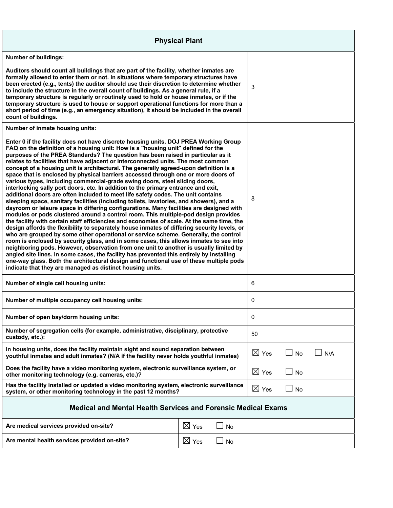| <b>Physical Plant</b>                                                                                                                                                                                                                                                                                                                                                                                                                                                                                                                                                                                                                                                                                                                                                                                                                                                                                                                                                                                                                                                                                                                                                                                                                                                                                                                                                                                                                                                                                                                                                                                                                                                                                                                                                                         |                       |                 |           |     |
|-----------------------------------------------------------------------------------------------------------------------------------------------------------------------------------------------------------------------------------------------------------------------------------------------------------------------------------------------------------------------------------------------------------------------------------------------------------------------------------------------------------------------------------------------------------------------------------------------------------------------------------------------------------------------------------------------------------------------------------------------------------------------------------------------------------------------------------------------------------------------------------------------------------------------------------------------------------------------------------------------------------------------------------------------------------------------------------------------------------------------------------------------------------------------------------------------------------------------------------------------------------------------------------------------------------------------------------------------------------------------------------------------------------------------------------------------------------------------------------------------------------------------------------------------------------------------------------------------------------------------------------------------------------------------------------------------------------------------------------------------------------------------------------------------|-----------------------|-----------------|-----------|-----|
| <b>Number of buildings:</b>                                                                                                                                                                                                                                                                                                                                                                                                                                                                                                                                                                                                                                                                                                                                                                                                                                                                                                                                                                                                                                                                                                                                                                                                                                                                                                                                                                                                                                                                                                                                                                                                                                                                                                                                                                   |                       |                 |           |     |
| Auditors should count all buildings that are part of the facility, whether inmates are<br>formally allowed to enter them or not. In situations where temporary structures have<br>been erected (e.g., tents) the auditor should use their discretion to determine whether<br>to include the structure in the overall count of buildings. As a general rule, if a<br>temporary structure is regularly or routinely used to hold or house inmates, or if the<br>temporary structure is used to house or support operational functions for more than a<br>short period of time (e.g., an emergency situation), it should be included in the overall<br>count of buildings.                                                                                                                                                                                                                                                                                                                                                                                                                                                                                                                                                                                                                                                                                                                                                                                                                                                                                                                                                                                                                                                                                                                       |                       | 3               |           |     |
| Number of inmate housing units:                                                                                                                                                                                                                                                                                                                                                                                                                                                                                                                                                                                                                                                                                                                                                                                                                                                                                                                                                                                                                                                                                                                                                                                                                                                                                                                                                                                                                                                                                                                                                                                                                                                                                                                                                               |                       |                 |           |     |
| Enter 0 if the facility does not have discrete housing units. DOJ PREA Working Group<br>FAQ on the definition of a housing unit: How is a "housing unit" defined for the<br>purposes of the PREA Standards? The question has been raised in particular as it<br>relates to facilities that have adjacent or interconnected units. The most common<br>concept of a housing unit is architectural. The generally agreed-upon definition is a<br>space that is enclosed by physical barriers accessed through one or more doors of<br>various types, including commercial-grade swing doors, steel sliding doors,<br>interlocking sally port doors, etc. In addition to the primary entrance and exit,<br>additional doors are often included to meet life safety codes. The unit contains<br>sleeping space, sanitary facilities (including toilets, lavatories, and showers), and a<br>dayroom or leisure space in differing configurations. Many facilities are designed with<br>modules or pods clustered around a control room. This multiple-pod design provides<br>the facility with certain staff efficiencies and economies of scale. At the same time, the<br>design affords the flexibility to separately house inmates of differing security levels, or<br>who are grouped by some other operational or service scheme. Generally, the control<br>room is enclosed by security glass, and in some cases, this allows inmates to see into<br>neighboring pods. However, observation from one unit to another is usually limited by<br>angled site lines. In some cases, the facility has prevented this entirely by installing<br>one-way glass. Both the architectural design and functional use of these multiple pods<br>indicate that they are managed as distinct housing units. |                       | 8               |           |     |
| Number of single cell housing units:                                                                                                                                                                                                                                                                                                                                                                                                                                                                                                                                                                                                                                                                                                                                                                                                                                                                                                                                                                                                                                                                                                                                                                                                                                                                                                                                                                                                                                                                                                                                                                                                                                                                                                                                                          |                       | 6               |           |     |
| Number of multiple occupancy cell housing units:                                                                                                                                                                                                                                                                                                                                                                                                                                                                                                                                                                                                                                                                                                                                                                                                                                                                                                                                                                                                                                                                                                                                                                                                                                                                                                                                                                                                                                                                                                                                                                                                                                                                                                                                              |                       | 0               |           |     |
| Number of open bay/dorm housing units:                                                                                                                                                                                                                                                                                                                                                                                                                                                                                                                                                                                                                                                                                                                                                                                                                                                                                                                                                                                                                                                                                                                                                                                                                                                                                                                                                                                                                                                                                                                                                                                                                                                                                                                                                        |                       | 0               |           |     |
| Number of segregation cells (for example, administrative, disciplinary, protective<br>custody, etc.):                                                                                                                                                                                                                                                                                                                                                                                                                                                                                                                                                                                                                                                                                                                                                                                                                                                                                                                                                                                                                                                                                                                                                                                                                                                                                                                                                                                                                                                                                                                                                                                                                                                                                         |                       | 50              |           |     |
| In housing units, does the facility maintain sight and sound separation between<br>youthful inmates and adult inmates? (N/A if the facility never holds youthful inmates)                                                                                                                                                                                                                                                                                                                                                                                                                                                                                                                                                                                                                                                                                                                                                                                                                                                                                                                                                                                                                                                                                                                                                                                                                                                                                                                                                                                                                                                                                                                                                                                                                     |                       | $\boxtimes$ Yes | No        | N/A |
| Does the facility have a video monitoring system, electronic surveillance system, or<br>other monitoring technology (e.g. cameras, etc.)?                                                                                                                                                                                                                                                                                                                                                                                                                                                                                                                                                                                                                                                                                                                                                                                                                                                                                                                                                                                                                                                                                                                                                                                                                                                                                                                                                                                                                                                                                                                                                                                                                                                     |                       | $\boxtimes$ Yes | No        |     |
| Has the facility installed or updated a video monitoring system, electronic surveillance<br>system, or other monitoring technology in the past 12 months?                                                                                                                                                                                                                                                                                                                                                                                                                                                                                                                                                                                                                                                                                                                                                                                                                                                                                                                                                                                                                                                                                                                                                                                                                                                                                                                                                                                                                                                                                                                                                                                                                                     |                       | $\boxtimes$ Yes | $\Box$ No |     |
| <b>Medical and Mental Health Services and Forensic Medical Exams</b>                                                                                                                                                                                                                                                                                                                                                                                                                                                                                                                                                                                                                                                                                                                                                                                                                                                                                                                                                                                                                                                                                                                                                                                                                                                                                                                                                                                                                                                                                                                                                                                                                                                                                                                          |                       |                 |           |     |
| Are medical services provided on-site?                                                                                                                                                                                                                                                                                                                                                                                                                                                                                                                                                                                                                                                                                                                                                                                                                                                                                                                                                                                                                                                                                                                                                                                                                                                                                                                                                                                                                                                                                                                                                                                                                                                                                                                                                        | $\boxtimes$ Yes<br>No |                 |           |     |
| $\boxtimes$ Yes<br>Are mental health services provided on-site?<br>No                                                                                                                                                                                                                                                                                                                                                                                                                                                                                                                                                                                                                                                                                                                                                                                                                                                                                                                                                                                                                                                                                                                                                                                                                                                                                                                                                                                                                                                                                                                                                                                                                                                                                                                         |                       |                 |           |     |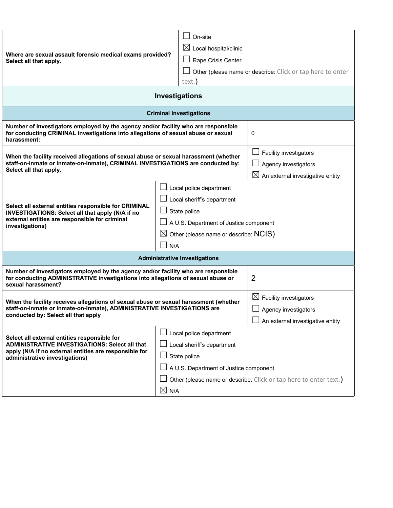|                                                                                                                                                                                                        |                                               | On-site                                                           |                                              |  |
|--------------------------------------------------------------------------------------------------------------------------------------------------------------------------------------------------------|-----------------------------------------------|-------------------------------------------------------------------|----------------------------------------------|--|
| Where are sexual assault forensic medical exams provided?<br>Select all that apply.                                                                                                                    |                                               | $\boxtimes$ Local hospital/clinic                                 |                                              |  |
|                                                                                                                                                                                                        |                                               | Rape Crisis Center                                                |                                              |  |
|                                                                                                                                                                                                        |                                               | Other (please name or describe: Click or tap here to enter        |                                              |  |
|                                                                                                                                                                                                        |                                               | text.                                                             |                                              |  |
| Investigations                                                                                                                                                                                         |                                               |                                                                   |                                              |  |
|                                                                                                                                                                                                        |                                               | <b>Criminal Investigations</b>                                    |                                              |  |
| Number of investigators employed by the agency and/or facility who are responsible<br>for conducting CRIMINAL investigations into allegations of sexual abuse or sexual<br>harassment:                 |                                               | 0                                                                 |                                              |  |
| When the facility received allegations of sexual abuse or sexual harassment (whether                                                                                                                   |                                               |                                                                   | Facility investigators                       |  |
| staff-on-inmate or inmate-on-inmate), CRIMINAL INVESTIGATIONS are conducted by:                                                                                                                        |                                               |                                                                   | Agency investigators                         |  |
| Select all that apply.                                                                                                                                                                                 |                                               |                                                                   | $\boxtimes$ An external investigative entity |  |
|                                                                                                                                                                                                        |                                               | Local police department                                           |                                              |  |
|                                                                                                                                                                                                        | Local sheriff's department                    |                                                                   |                                              |  |
| Select all external entities responsible for CRIMINAL<br>INVESTIGATIONS: Select all that apply (N/A if no                                                                                              | State police                                  |                                                                   |                                              |  |
| external entities are responsible for criminal<br>investigations)                                                                                                                                      | $\Box$ A U.S. Department of Justice component |                                                                   |                                              |  |
|                                                                                                                                                                                                        |                                               | $\boxtimes$ Other (please name or describe: NCIS)                 |                                              |  |
|                                                                                                                                                                                                        |                                               | N/A                                                               |                                              |  |
|                                                                                                                                                                                                        |                                               | <b>Administrative Investigations</b>                              |                                              |  |
| Number of investigators employed by the agency and/or facility who are responsible<br>for conducting ADMINISTRATIVE investigations into allegations of sexual abuse or<br>sexual harassment?           |                                               | 2                                                                 |                                              |  |
| When the facility receives allegations of sexual abuse or sexual harassment (whether<br>staff-on-inmate or inmate-on-inmate), ADMINISTRATIVE INVESTIGATIONS are<br>conducted by: Select all that apply |                                               | $\boxtimes$ Facility investigators                                |                                              |  |
|                                                                                                                                                                                                        |                                               | Agency investigators                                              |                                              |  |
|                                                                                                                                                                                                        |                                               |                                                                   | An external investigative entity             |  |
| Select all external entities responsible for                                                                                                                                                           |                                               | Local police department                                           |                                              |  |
| <b>ADMINISTRATIVE INVESTIGATIONS: Select all that</b>                                                                                                                                                  | $\perp$ Local sheriff's department            |                                                                   |                                              |  |
| apply (N/A if no external entities are responsible for<br>administrative investigations)                                                                                                               |                                               | State police                                                      |                                              |  |
|                                                                                                                                                                                                        | A U.S. Department of Justice component        |                                                                   |                                              |  |
|                                                                                                                                                                                                        |                                               | Other (please name or describe: Click or tap here to enter text.) |                                              |  |
|                                                                                                                                                                                                        | $\boxtimes$ N/A                               |                                                                   |                                              |  |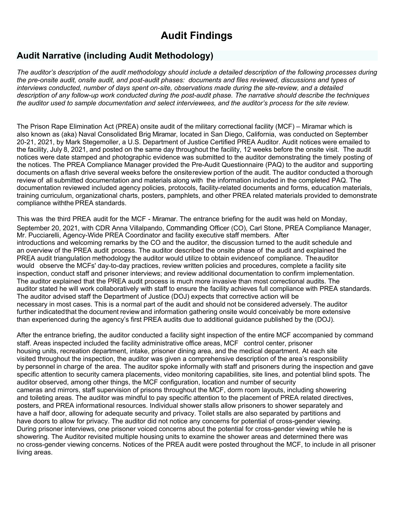# **Audit Findings**

# **Audit Narrative (including Audit Methodology)**

The auditor's description of the audit methodology should include a detailed description of the following processes during *the pre-onsite audit, onsite audit, and post-audit phases: documents and files reviewed, discussions and types of interviews conducted, number of days spent on-site, observations made during the site-review, and a detailed description of any follow-up work conducted during the post-audit phase. The narrative should describe the techniques the auditor used to sample documentation and select interviewees, and the auditor's process for the site review.*

The Prison Rape Elimination Act (PREA) onsite audit of the military correctional facility (MCF) – Miramar which is also known as (aka) Naval Consolidated Brig Miramar, located in San Diego, California, was conducted on September 20-21, 2021, by Mark Stegemoller, a U.S. Department of Justice Certified PREA Auditor. Audit notices were emailed to the facility, July 8, 2021, and posted on the same day throughout the facility, 12 weeks before the onsite visit. The audit notices were date stamped and photographic evidence was submitted to the auditor demonstrating the timely posting of the notices. The PREA Compliance Manager provided the Pre-Audit Questionnaire (PAQ) to the auditor and supporting documents on aflash drive several weeks before the onsitereview portion of the audit. The auditor conducted a thorough review of all submitted documentation and materials along with the information included in the completed PAQ. The documentation reviewed included agency policies, protocols, facility-related documents and forms, education materials, training curriculum, organizational charts, posters, pamphlets, and other PREA related materials provided to demonstrate compliance withthe PREA standards.

This was the third PREA audit for the MCF - Miramar. The entrance briefing for the audit was held on Monday, September 20, 2021, with CDR Anna Villalpando, Commanding Officer (CO), Carl Stone, PREA Compliance Manager, Mr. Pucciarelli, Agency-Wide PREA Coordinator and facility executive staff members. After introductions and welcoming remarks by the CO and the auditor, the discussion turned to the audit schedule and an overview of the PREA audit process. The auditor described the onsite phase of the audit and explained the PREA audit triangulation methodology the auditor would utilize to obtain evidenceof compliance. Theauditor would observe the MCFs' day-to-day practices, review written policies and procedures, complete a facility site inspection, conduct staff and prisoner interviews; and review additional documentation to confirm implementation. The auditor explained that the PREA audit process is much more invasive than most correctional audits. The auditor stated he will work collaboratively with staff to ensure the facility achieves full compliance with PREA standards. The auditor advised staff the Department of Justice (DOJ) expects that corrective action will be necessary in most cases. This is a normal part of the audit and should not be considered adversely. The auditor further indicatedthat the document review and information gathering onsite would conceivably be more extensive than experienced during the agency's first PREA audits due to additional guidance published by the (DOJ).

After the entrance briefing, the auditor conducted a facility sight inspection of the entire MCF accompanied by command staff. Areas inspected included the facility administrative office areas, MCF control center, prisoner housing units, recreation department, intake, prisoner dining area, and the medical department. At each site visited throughout the inspection, the auditor was given a comprehensive description of the area's responsibility by personnel in charge of the area. The auditor spoke informally with staff and prisoners during the inspection and gave specific attention to security camera placements, video monitoring capabilities, site lines, and potential blind spots. The auditor observed, among other things, the MCF configuration, location and number of security cameras and mirrors, staff supervision of prisons throughout the MCF, dorm room layouts, including showering and toileting areas. The auditor was mindful to pay specific attention to the placement of PREA related directives, posters, and PREA informational resources. Individual shower stalls allow prisoners to shower separately and have a half door, allowing for adequate security and privacy. Toilet stalls are also separated by partitions and have doors to allow for privacy. The auditor did not notice any concerns for potential of cross-gender viewing. During prisoner interviews, one prisoner voiced concerns about the potential for cross-gender viewing while he is showering. The Auditor revisited multiple housing units to examine the shower areas and determined there was no cross-gender viewing concerns. Notices of the PREA audit were posted throughout the MCF, to include in all prisoner living areas.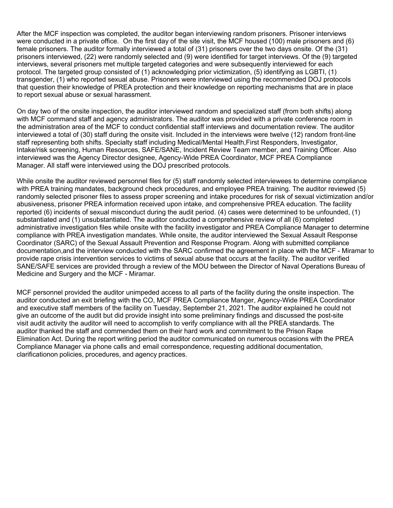After the MCF inspection was completed, the auditor began interviewing random prisoners. Prisoner interviews were conducted in a private office. On the first day of the site visit, the MCF housed (100) male prisoners and (6) female prisoners. The auditor formally interviewed a total of (31) prisoners over the two days onsite. Of the (31) prisoners interviewed, (22) were randomly selected and (9) were identified for target interviews. Of the (9) targeted interviews, several prisoners met multiple targeted categories and were subsequently interviewed for each protocol. The targeted group consisted of (1) acknowledging prior victimization, (5) identifying as LGBTI, (1) transgender, (1) who reported sexual abuse. Prisoners were interviewed using the recommended DOJ protocols that question their knowledge of PREA protection and their knowledge on reporting mechanisms that are in place to report sexual abuse or sexual harassment.

On day two of the onsite inspection, the auditor interviewed random and specialized staff (from both shifts) along with MCF command staff and agency administrators. The auditor was provided with a private conference room in the administration area of the MCF to conduct confidential staff interviews and documentation review. The auditor interviewed a total of (30) staff during the onsite visit. Included in the interviews were twelve (12) random front-line staff representing both shifts. Specialty staff including Medical/Mental Health,First Responders, Investigator, Intake/risk screening, Human Resources, SAFE/SANE, Incident Review Team member, and Training Officer. Also interviewed was the Agency Director designee, Agency-Wide PREA Coordinator, MCF PREA Compliance Manager. All staff were interviewed using the DOJ prescribed protocols.

While onsite the auditor reviewed personnel files for (5) staff randomly selected interviewees to determine compliance with PREA training mandates, background check procedures, and employee PREA training. The auditor reviewed (5) randomly selected prisoner files to assess proper screening and intake procedures for risk of sexual victimization and/or abusiveness, prisoner PREA information received upon intake, and comprehensive PREA education. The facility reported (6) incidents of sexual misconduct during the audit period. (4) cases were determined to be unfounded, (1) substantiated and (1) unsubstantiated. The auditor conducted a comprehensive review of all (6) completed administrative investigation files while onsite with the facility investigator and PREA Compliance Manager to determine compliance with PREA investigation mandates. While onsite, the auditor interviewed the Sexual Assault Response Coordinator (SARC) of the Sexual Assault Prevention and Response Program. Along with submitted compliance documentation,and the interview conducted with the SARC confirmed the agreement in place with the MCF - Miramar to provide rape crisis intervention services to victims of sexual abuse that occurs at the facility. The auditor verified SANE/SAFE services are provided through a review of the MOU between the Director of Naval Operations Bureau of Medicine and Surgery and the MCF - Miramar.

MCF personnel provided the auditor unimpeded access to all parts of the facility during the onsite inspection. The auditor conducted an exit briefing with the CO, MCF PREA Compliance Manger, Agency-Wide PREA Coordinator and executive staff members of the facility on Tuesday, September 21, 2021. The auditor explained he could not give an outcome of the audit but did provide insight into some preliminary findings and discussed the post-site visit audit activity the auditor will need to accomplish to verify compliance with all the PREA standards. The auditor thanked the staff and commended them on their hard work and commitment to the Prison Rape Elimination Act. During the report writing period the auditor communicated on numerous occasions with the PREA Compliance Manager via phone calls and email correspondence, requesting additional documentation, clarificationon policies, procedures, and agency practices.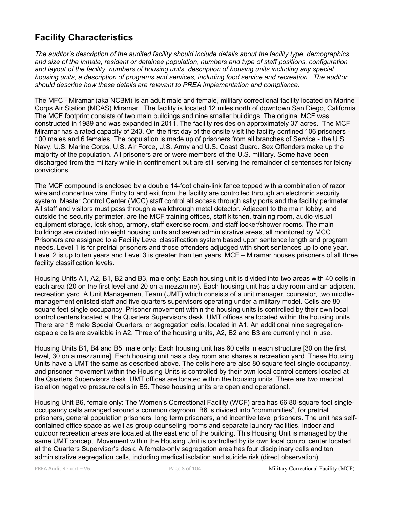# **Facility Characteristics**

*The auditor's description of the audited facility should include details about the facility type, demographics and size of the inmate, resident or detainee population, numbers and type of staff positions, configuration and layout of the facility, numbers of housing units, description of housing units including any special housing units, a description of programs and services, including food service and recreation. The auditor should describe how these details are relevant to PREA implementation and compliance.*

The MFC - Miramar (aka NCBM) is an adult male and female, military correctional facility located on Marine Corps Air Station (MCAS) Miramar. The facility is located 12 miles north of downtown San Diego, California. The MCF footprint consists of two main buildings and nine smaller buildings. The original MCF was constructed in 1989 and was expanded in 2011. The facility resides on approximately 37 acres. The MCF – Miramar has a rated capacity of 243. On the first day of the onsite visit the facility confined 106 prisoners - 100 males and 6 females. The population is made up of prisoners from all branches of Service - the U.S. Navy, U.S. Marine Corps, U.S. Air Force, U.S. Army and U.S. Coast Guard. Sex Offenders make up the majority of the population. All prisoners are or were members of the U.S. military. Some have been discharged from the military while in confinement but are still serving the remainder of sentences for felony convictions.

The MCF compound is enclosed by a double 14-foot chain-link fence topped with a combination of razor wire and concertina wire. Entry to and exit from the facility are controlled through an electronic security system. Master Control Center (MCC) staff control all access through sally ports and the facility perimeter. All staff and visitors must pass through a walkthrough metal detector. Adjacent to the main lobby, and outside the security perimeter, are the MCF training offices, staff kitchen, training room, audio-visual equipment storage, lock shop, armory, staff exercise room, and staff locker/shower rooms. The main buildings are divided into eight housing units and seven administrative areas, all monitored by MCC. Prisoners are assigned to a Facility Level classification system based upon sentence length and program needs. Level 1 is for pretrial prisoners and those offenders adjudged with short sentences up to one year. Level 2 is up to ten years and Level 3 is greater than ten years. MCF – Miramar houses prisoners of all three facility classification levels.

Housing Units A1, A2, B1, B2 and B3, male only: Each housing unit is divided into two areas with 40 cells in each area (20 on the first level and 20 on a mezzanine). Each housing unit has a day room and an adjacent recreation yard. A Unit Management Team (UMT) which consists of a unit manager, counselor, two middlemanagement enlisted staff and five quarters supervisors operating under a military model. Cells are 80 square feet single occupancy. Prisoner movement within the housing units is controlled by their own local control centers located at the Quarters Supervisors desk. UMT offices are located within the housing units. There are 18 male Special Quarters, or segregation cells, located in A1. An additional nine segregationcapable cells are available in A2. Three of the housing units, A2, B2 and B3 are currently not in use.

Housing Units B1, B4 and B5, male only: Each housing unit has 60 cells in each structure [30 on the first level, 30 on a mezzanine]. Each housing unit has a day room and shares a recreation yard. These Housing Units have a UMT the same as described above. The cells here are also 80 square feet single occupancy, and prisoner movement within the Housing Units is controlled by their own local control centers located at the Quarters Supervisors desk. UMT offices are located within the housing units. There are two medical isolation negative pressure cells in B5. These housing units are open and operational.

Housing Unit B6, female only: The Women's Correctional Facility (WCF) area has 66 80-square foot singleoccupancy cells arranged around a common dayroom. B6 is divided into "communities", for pretrial prisoners, general population prisoners, long term prisoners, and incentive level prisoners. The unit has selfcontained office space as well as group counseling rooms and separate laundry facilities. Indoor and outdoor recreation areas are located at the east end of the building. This Housing Unit is managed by the same UMT concept. Movement within the Housing Unit is controlled by its own local control center located at the Quarters Supervisor's desk. A female-only segregation area has four disciplinary cells and ten administrative segregation cells, including medical isolation and suicide risk (direct observation).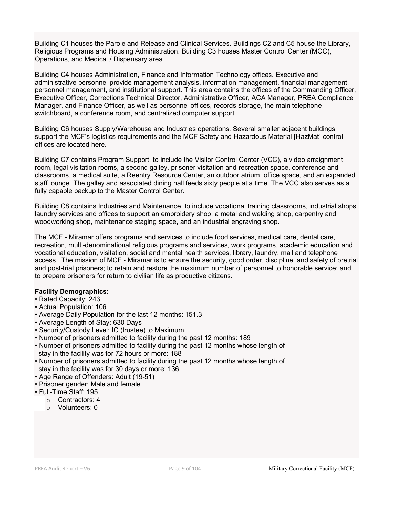Building C1 houses the Parole and Release and Clinical Services. Buildings C2 and C5 house the Library, Religious Programs and Housing Administration. Building C3 houses Master Control Center (MCC), Operations, and Medical / Dispensary area.

Building C4 houses Administration, Finance and Information Technology offices. Executive and administrative personnel provide management analysis, information management, financial management, personnel management, and institutional support. This area contains the offices of the Commanding Officer, Executive Officer, Corrections Technical Director, Administrative Officer, ACA Manager, PREA Compliance Manager, and Finance Officer, as well as personnel offices, records storage, the main telephone switchboard, a conference room, and centralized computer support.

Building C6 houses Supply/Warehouse and Industries operations. Several smaller adjacent buildings support the MCF's logistics requirements and the MCF Safety and Hazardous Material [HazMat] control offices are located here.

Building C7 contains Program Support, to include the Visitor Control Center (VCC), a video arraignment room, legal visitation rooms, a second galley, prisoner visitation and recreation space, conference and classrooms, a medical suite, a Reentry Resource Center, an outdoor atrium, office space, and an expanded staff lounge. The galley and associated dining hall feeds sixty people at a time. The VCC also serves as a fully capable backup to the Master Control Center.

Building C8 contains Industries and Maintenance, to include vocational training classrooms, industrial shops, laundry services and offices to support an embroidery shop, a metal and welding shop, carpentry and woodworking shop, maintenance staging space, and an industrial engraving shop.

The MCF - Miramar offers programs and services to include food services, medical care, dental care, recreation, multi-denominational religious programs and services, work programs, academic education and vocational education, visitation, social and mental health services, library, laundry, mail and telephone access. The mission of MCF - Miramar is to ensure the security, good order, discipline, and safety of pretrial and post-trial prisoners; to retain and restore the maximum number of personnel to honorable service; and to prepare prisoners for return to civilian life as productive citizens.

### **Facility Demographics:**

- Rated Capacity: 243
- Actual Population: 106
- Average Daily Population for the last 12 months: 151.3
- Average Length of Stay: 630 Days
- Security/Custody Level: IC (trustee) to Maximum
- Number of prisoners admitted to facility during the past 12 months: 189
- Number of prisoners admitted to facility during the past 12 months whose length of stay in the facility was for 72 hours or more: 188
- Number of prisoners admitted to facility during the past 12 months whose length of stay in the facility was for 30 days or more: 136
- Age Range of Offenders: Adult (19-51)
- Prisoner gender: Male and female
- Full-Time Staff: 195
	- o Contractors: 4
	- o Volunteers: 0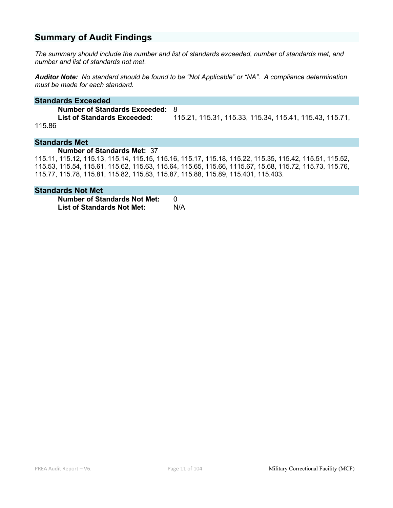# **Summary of Audit Findings**

*The summary should include the number and list of standards exceeded, number of standards met, and number and list of standards not met.*

*Auditor Note: No standard should be found to be "Not Applicable" or "NA". A compliance determination must be made for each standard.*

#### **Standards Exceeded**

**Number of Standards Exceeded:** 8 **List of Standards Exceeded:** 115.21, 115.31, 115.33, 115.34, 115.41, 115.43, 115.71, 115.86

#### **Standards Met**

#### **Number of Standards Met:** 37

115.11, 115.12, 115.13, 115.14, 115.15, 115.16, 115.17, 115.18, 115.22, 115.35, 115.42, 115.51, 115.52, 115.53, 115.54, 115.61, 115.62, 115.63, 115.64, 115.65, 115.66, 1115.67, 15.68, 115.72, 115.73, 115.76, 115.77, 115.78, 115.81, 115.82, 115.83, 115.87, 115.88, 115.89, 115.401, 115.403.

### **Standards Not Met**

**Number of Standards Not Met:** 0 **List of Standards Not Met:** N/A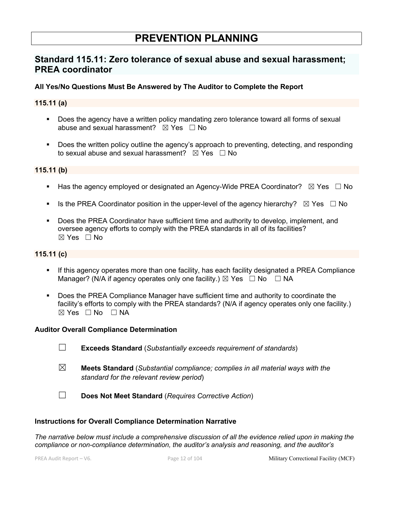# **PREVENTION PLANNING**

# **Standard 115.11: Zero tolerance of sexual abuse and sexual harassment; PREA coordinator**

# **All Yes/No Questions Must Be Answered by The Auditor to Complete the Report**

# **115.11 (a)**

- Does the agency have a written policy mandating zero tolerance toward all forms of sexual abuse and sexual harassment?  $\boxtimes$  Yes  $\Box$  No
- Does the written policy outline the agency's approach to preventing, detecting, and responding to sexual abuse and sexual harassment?  $\boxtimes$  Yes  $\Box$  No

# **115.11 (b)**

- **•** Has the agency employed or designated an Agency-Wide PREA Coordinator?  $\boxtimes$  Yes  $\Box$  No
- **•** Is the PREA Coordinator position in the upper-level of the agency hierarchy?  $\boxtimes$  Yes  $\Box$  No
- § Does the PREA Coordinator have sufficient time and authority to develop, implement, and oversee agency efforts to comply with the PREA standards in all of its facilities?  $\boxtimes$  Yes  $\Box$  No

# **115.11 (c)**

- If this agency operates more than one facility, has each facility designated a PREA Compliance Manager? (N/A if agency operates only one facility.)  $\boxtimes$  Yes  $\Box$  No  $\Box$  NA
- § Does the PREA Compliance Manager have sufficient time and authority to coordinate the facility's efforts to comply with the PREA standards? (N/A if agency operates only one facility.)  $⊠ Yes ⊡ No ⊡ NA$

### **Auditor Overall Compliance Determination**

- ☐ **Exceeds Standard** (*Substantially exceeds requirement of standards*)
- ☒ **Meets Standard** (*Substantial compliance; complies in all material ways with the standard for the relevant review period*)
- ☐ **Does Not Meet Standard** (*Requires Corrective Action*)

### **Instructions for Overall Compliance Determination Narrative**

*The narrative below must include a comprehensive discussion of all the evidence relied upon in making the compliance or non-compliance determination, the auditor's analysis and reasoning, and the auditor's* 

PREA Audit Report – V6. Page 12 of 104 Military Correctional Facility (MCF)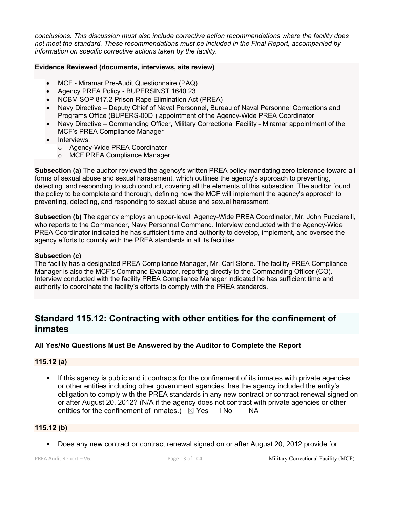*conclusions. This discussion must also include corrective action recommendations where the facility does not meet the standard. These recommendations must be included in the Final Report, accompanied by information on specific corrective actions taken by the facility.*

## **Evidence Reviewed (documents, interviews, site review)**

- MCF Miramar Pre-Audit Questionnaire (PAQ)
- Agency PREA Policy BUPERSINST 1640.23
- NCBM SOP 817.2 Prison Rape Elimination Act (PREA)
- Navy Directive Deputy Chief of Naval Personnel, Bureau of Naval Personnel Corrections and Programs Office (BUPERS-00D ) appointment of the Agency-Wide PREA Coordinator
- Navy Directive Commanding Officer, Military Correctional Facility Miramar appointment of the MCF's PREA Compliance Manager
- Interviews:
	- o Agency-Wide PREA Coordinator
	- o MCF PREA Compliance Manager

**Subsection (a)** The auditor reviewed the agency's written PREA policy mandating zero tolerance toward all forms of sexual abuse and sexual harassment, which outlines the agency's approach to preventing, detecting, and responding to such conduct, covering all the elements of this subsection. The auditor found the policy to be complete and thorough, defining how the MCF will implement the agency's approach to preventing, detecting, and responding to sexual abuse and sexual harassment.

**Subsection (b)** The agency employs an upper-level, Agency-Wide PREA Coordinator, Mr. John Pucciarelli, who reports to the Commander, Navy Personnel Command. Interview conducted with the Agency-Wide PREA Coordinator indicated he has sufficient time and authority to develop, implement, and oversee the agency efforts to comply with the PREA standards in all its facilities.

### **Subsection (c)**

The facility has a designated PREA Compliance Manager, Mr. Carl Stone. The facility PREA Compliance Manager is also the MCF's Command Evaluator, reporting directly to the Commanding Officer (CO). Interview conducted with the facility PREA Compliance Manager indicated he has sufficient time and authority to coordinate the facility's efforts to comply with the PREA standards.

# **Standard 115.12: Contracting with other entities for the confinement of inmates**

# **All Yes/No Questions Must Be Answered by the Auditor to Complete the Report**

### **115.12 (a)**

If this agency is public and it contracts for the confinement of its inmates with private agencies or other entities including other government agencies, has the agency included the entity's obligation to comply with the PREA standards in any new contract or contract renewal signed on or after August 20, 2012? (N/A if the agency does not contract with private agencies or other entities for the confinement of inmates.)  $\boxtimes$  Yes  $\Box$  No  $\Box$  NA

### **115.12 (b)**

■ Does any new contract or contract renewal signed on or after August 20, 2012 provide for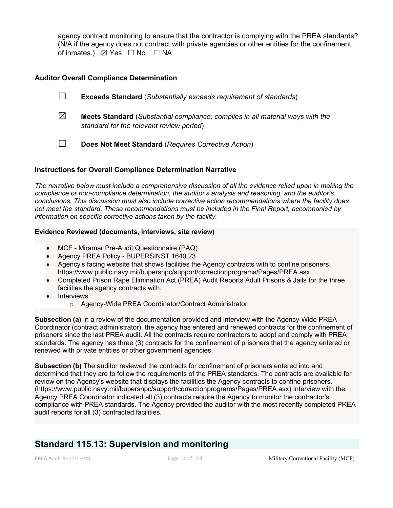agency contract monitoring to ensure that the contractor is complying with the PREA standards? (N/A if the agency does not contract with private agencies or other entities for the confinement of inmates.) ⊠ Yes □ No □ NA

## **Auditor Overall Compliance Determination**

|   | <b>Exceeds Standard</b> (Substantially exceeds requirement of standards)                                                          |
|---|-----------------------------------------------------------------------------------------------------------------------------------|
| ⊠ | <b>Meets Standard</b> (Substantial compliance; complies in all material ways with the<br>standard for the relevant review period) |
|   | Does Not Meet Standard (Requires Corrective Action)                                                                               |

### **Instructions for Overall Compliance Determination Narrative**

*The narrative below must include a comprehensive discussion of all the evidence relied upon in making the compliance or non-compliance determination, the auditor's analysis and reasoning, and the auditor's conclusions. This discussion must also include corrective action recommendations where the facility does not meet the standard. These recommendations must be included in the Final Report, accompanied by information on specific corrective actions taken by the facility.*

#### **Evidence Reviewed (documents, interviews, site review)**

- MCF Miramar Pre-Audit Questionnaire (PAQ)
- Agency PREA Policy BUPERSINST 1640.23
- Agency's facing website that shows facilities the Agency contracts with to confine prisoners. https://www.public.navy.mil/bupersnpc/support/correctionprograms/Pages/PREA.asx
- Completed Prison Rape Elimination Act (PREA) Audit Reports Adult Prisons & Jails for the three facilities the agency contracts with.
- Interviews
	- o Agency-Wide PREA Coordinator/Contract Administrator

**Subsection (a)** In a review of the documentation provided and interview with the Agency-Wide PREA Coordinator (contract administrator), the agency has entered and renewed contracts for the confinement of prisoners since the last PREA audit. All the contracts require contractors to adopt and comply with PREA standards. The agency has three (3) contracts for the confinement of prisoners that the agency entered or renewed with private entities or other government agencies.

**Subsection (b)** The auditor reviewed the contracts for confinement of prisoners entered into and determined that they are to follow the requirements of the PREA standards. The contracts are available for review on the Agency's website that displays the facilities the Agency contracts to confine prisoners. (https://www.public.navy.mil/bupersnpc/support/correctionprograms/Pages/PREA.asx) Interview with the Agency PREA Coordinator indicated all (3) contracts require the Agency to monitor the contractor's compliance with PREA standards. The Agency provided the auditor with the most recently completed PREA audit reports for all (3) contracted facilities.

# **Standard 115.13: Supervision and monitoring**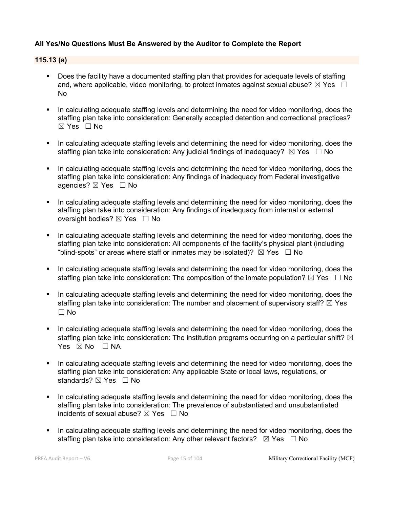# **All Yes/No Questions Must Be Answered by the Auditor to Complete the Report**

## **115.13 (a)**

- Does the facility have a documented staffing plan that provides for adequate levels of staffing and, where applicable, video monitoring, to protect inmates against sexual abuse?  $\boxtimes$  Yes  $\Box$ No
- In calculating adequate staffing levels and determining the need for video monitoring, does the staffing plan take into consideration: Generally accepted detention and correctional practices? ☒ Yes ☐ No
- In calculating adequate staffing levels and determining the need for video monitoring, does the staffing plan take into consideration: Any judicial findings of inadequacy?  $\boxtimes$  Yes  $\Box$  No
- In calculating adequate staffing levels and determining the need for video monitoring, does the staffing plan take into consideration: Any findings of inadequacy from Federal investigative agencies? ⊠ Yes □ No
- In calculating adequate staffing levels and determining the need for video monitoring, does the staffing plan take into consideration: Any findings of inadequacy from internal or external oversight bodies? ⊠ Yes □ No
- In calculating adequate staffing levels and determining the need for video monitoring, does the staffing plan take into consideration: All components of the facility's physical plant (including "blind-spots" or areas where staff or inmates may be isolated)?  $\boxtimes$  Yes  $\Box$  No
- In calculating adequate staffing levels and determining the need for video monitoring, does the staffing plan take into consideration: The composition of the inmate population?  $\boxtimes$  Yes  $\Box$  No
- In calculating adequate staffing levels and determining the need for video monitoring, does the staffing plan take into consideration: The number and placement of supervisory staff?  $\boxtimes$  Yes  $\Box$  No
- In calculating adequate staffing levels and determining the need for video monitoring, does the staffing plan take into consideration: The institution programs occurring on a particular shift?  $\boxtimes$ Yes  $\boxtimes$  No  $\Box$  NA
- In calculating adequate staffing levels and determining the need for video monitoring, does the staffing plan take into consideration: Any applicable State or local laws, regulations, or standards? ⊠ Yes □ No
- In calculating adequate staffing levels and determining the need for video monitoring, does the staffing plan take into consideration: The prevalence of substantiated and unsubstantiated incidents of sexual abuse?  $\boxtimes$  Yes  $\Box$  No
- In calculating adequate staffing levels and determining the need for video monitoring, does the staffing plan take into consideration: Any other relevant factors?  $\boxtimes$  Yes  $\Box$  No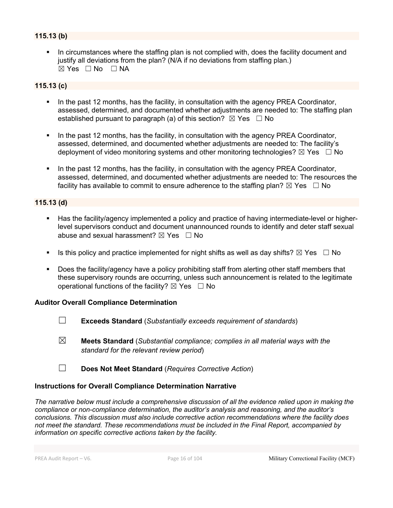# **115.13 (b)**

In circumstances where the staffing plan is not complied with, does the facility document and justify all deviations from the plan? (N/A if no deviations from staffing plan.)  $\boxtimes$  Yes  $\Box$  No  $\Box$  NA

# **115.13 (c)**

- In the past 12 months, has the facility, in consultation with the agency PREA Coordinator, assessed, determined, and documented whether adjustments are needed to: The staffing plan established pursuant to paragraph (a) of this section?  $\boxtimes$  Yes  $\Box$  No
- In the past 12 months, has the facility, in consultation with the agency PREA Coordinator, assessed, determined, and documented whether adjustments are needed to: The facility's deployment of video monitoring systems and other monitoring technologies?  $\boxtimes$  Yes  $\Box$  No
- In the past 12 months, has the facility, in consultation with the agency PREA Coordinator, assessed, determined, and documented whether adjustments are needed to: The resources the facility has available to commit to ensure adherence to the staffing plan?  $\boxtimes$  Yes  $\Box$  No

# **115.13 (d)**

- Has the facility/agency implemented a policy and practice of having intermediate-level or higherlevel supervisors conduct and document unannounced rounds to identify and deter staff sexual abuse and sexual harassment?  $\boxtimes$  Yes  $\Box$  No
- **•** Is this policy and practice implemented for night shifts as well as day shifts?  $\boxtimes$  Yes  $\Box$  No
- Does the facility/agency have a policy prohibiting staff from alerting other staff members that these supervisory rounds are occurring, unless such announcement is related to the legitimate operational functions of the facility?  $\boxtimes$  Yes  $\Box$  No

### **Auditor Overall Compliance Determination**

- ☐ **Exceeds Standard** (*Substantially exceeds requirement of standards*)
- ☒ **Meets Standard** (*Substantial compliance; complies in all material ways with the standard for the relevant review period*)
- ☐ **Does Not Meet Standard** (*Requires Corrective Action*)

### **Instructions for Overall Compliance Determination Narrative**

*The narrative below must include a comprehensive discussion of all the evidence relied upon in making the compliance or non-compliance determination, the auditor's analysis and reasoning, and the auditor's conclusions. This discussion must also include corrective action recommendations where the facility does not meet the standard. These recommendations must be included in the Final Report, accompanied by information on specific corrective actions taken by the facility.*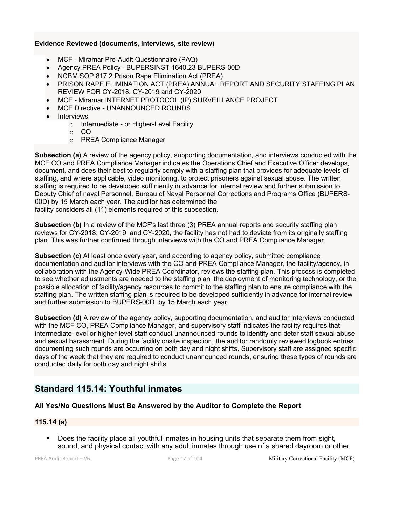### **Evidence Reviewed (documents, interviews, site review)**

- MCF Miramar Pre-Audit Questionnaire (PAQ)
- Agency PREA Policy BUPERSINST 1640.23 BUPERS-00D
- NCBM SOP 817.2 Prison Rape Elimination Act (PREA)
- PRISON RAPE ELIMINATION ACT (PREA) ANNUAL REPORT AND SECURITY STAFFING PLAN REVIEW FOR CY-2018, CY-2019 and CY-2020
- MCF Miramar INTERNET PROTOCOL (IP) SURVEILLANCE PROJECT
- MCF Directive UNANNOUNCED ROUNDS
- **Interviews** 
	- o Intermediate or Higher-Level Facility
		- $\circ$  CO
		- o PREA Compliance Manager

**Subsection (a)** A review of the agency policy, supporting documentation, and interviews conducted with the MCF CO and PREA Compliance Manager indicates the Operations Chief and Executive Officer develops, document, and does their best to regularly comply with a staffing plan that provides for adequate levels of staffing, and where applicable, video monitoring, to protect prisoners against sexual abuse. The written staffing is required to be developed sufficiently in advance for internal review and further submission to Deputy Chief of naval Personnel, Bureau of Naval Personnel Corrections and Programs Office (BUPERS-00D) by 15 March each year. The auditor has determined the

facility considers all (11) elements required of this subsection.

**Subsection (b)** In a review of the MCF's last three (3) PREA annual reports and security staffing plan reviews for CY-2018, CY-2019, and CY-2020, the facility has not had to deviate from its originally staffing plan. This was further confirmed through interviews with the CO and PREA Compliance Manager.

**Subsection (c)** At least once every year, and according to agency policy, submitted compliance documentation and auditor interviews with the CO and PREA Compliance Manager, the facility/agency, in collaboration with the Agency-Wide PREA Coordinator, reviews the staffing plan. This process is completed to see whether adjustments are needed to the staffing plan, the deployment of monitoring technology, or the possible allocation of facility/agency resources to commit to the staffing plan to ensure compliance with the staffing plan. The written staffing plan is required to be developed sufficiently in advance for internal review and further submission to BUPERS-00D by 15 March each year.

**Subsection (d)** A review of the agency policy, supporting documentation, and auditor interviews conducted with the MCF CO, PREA Compliance Manager, and supervisory staff indicates the facility requires that intermediate-level or higher-level staff conduct unannounced rounds to identify and deter staff sexual abuse and sexual harassment. During the facility onsite inspection, the auditor randomly reviewed logbook entries documenting such rounds are occurring on both day and night shifts. Supervisory staff are assigned specific days of the week that they are required to conduct unannounced rounds, ensuring these types of rounds are conducted daily for both day and night shifts.

# **Standard 115.14: Youthful inmates**

# **All Yes/No Questions Must Be Answered by the Auditor to Complete the Report**

# **115.14 (a)**

Does the facility place all youthful inmates in housing units that separate them from sight, sound, and physical contact with any adult inmates through use of a shared dayroom or other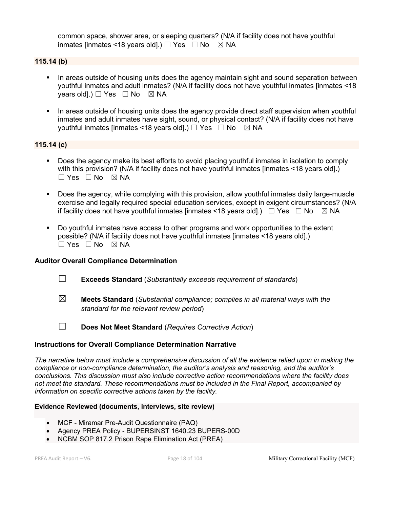common space, shower area, or sleeping quarters? (N/A if facility does not have youthful inmates [inmates <18 years old].)  $\Box$  Yes  $\Box$  No  $\boxtimes$  NA

## **115.14 (b)**

- In areas outside of housing units does the agency maintain sight and sound separation between youthful inmates and adult inmates? (N/A if facility does not have youthful inmates [inmates <18 years old].)  $\Box$  Yes  $\Box$  No  $\boxtimes$  NA
- In areas outside of housing units does the agency provide direct staff supervision when youthful inmates and adult inmates have sight, sound, or physical contact? (N/A if facility does not have youthful inmates [inmates <18 years old].)  $\Box$  Yes  $\Box$  No  $\boxtimes$  NA

## **115.14 (c)**

- Does the agency make its best efforts to avoid placing youthful inmates in isolation to comply with this provision? (N/A if facility does not have youthful inmates [inmates <18 years old].) ☐ Yes ☐ No ☒ NA
- § Does the agency, while complying with this provision, allow youthful inmates daily large-muscle exercise and legally required special education services, except in exigent circumstances? (N/A if facility does not have youthful inmates [inmates <18 years old].)  $\Box$  Yes  $\Box$  No  $\boxtimes$  NA
- Do youthful inmates have access to other programs and work opportunities to the extent possible? (N/A if facility does not have youthful inmates [inmates <18 years old].)  $\Box$  Yes  $\Box$  No  $\boxtimes$  NA

### **Auditor Overall Compliance Determination**

- ☐ **Exceeds Standard** (*Substantially exceeds requirement of standards*)
- ☒ **Meets Standard** (*Substantial compliance; complies in all material ways with the standard for the relevant review period*)
- ☐ **Does Not Meet Standard** (*Requires Corrective Action*)

### **Instructions for Overall Compliance Determination Narrative**

*The narrative below must include a comprehensive discussion of all the evidence relied upon in making the compliance or non-compliance determination, the auditor's analysis and reasoning, and the auditor's conclusions. This discussion must also include corrective action recommendations where the facility does not meet the standard. These recommendations must be included in the Final Report, accompanied by information on specific corrective actions taken by the facility.*

#### **Evidence Reviewed (documents, interviews, site review)**

- MCF Miramar Pre-Audit Questionnaire (PAQ)
- Agency PREA Policy BUPERSINST 1640.23 BUPERS-00D
- NCBM SOP 817.2 Prison Rape Elimination Act (PREA)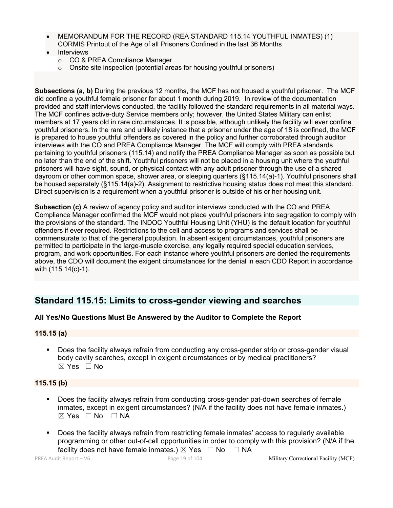- MEMORANDUM FOR THE RECORD (REA STANDARD 115.14 YOUTHFUL INMATES) (1) CORMIS Printout of the Age of all Prisoners Confined in the last 36 Months
- **Interviews** 
	- o CO & PREA Compliance Manager
	- o Onsite site inspection (potential areas for housing youthful prisoners)

**Subsections (a, b)** During the previous 12 months, the MCF has not housed a youthful prisoner. The MCF did confine a youthful female prisoner for about 1 month during 2019. In review of the documentation provided and staff interviews conducted, the facility followed the standard requirements in all material ways. The MCF confines active-duty Service members only; however, the United States Military can enlist members at 17 years old in rare circumstances. It is possible, although unlikely the facility will ever confine youthful prisoners. In the rare and unlikely instance that a prisoner under the age of 18 is confined, the MCF is prepared to house youthful offenders as covered in the policy and further corroborated through auditor interviews with the CO and PREA Compliance Manager. The MCF will comply with PREA standards pertaining to youthful prisoners (115.14) and notify the PREA Compliance Manager as soon as possible but no later than the end of the shift. Youthful prisoners will not be placed in a housing unit where the youthful prisoners will have sight, sound, or physical contact with any adult prisoner through the use of a shared dayroom or other common space, shower area, or sleeping quarters (§115.14(a)-1). Youthful prisoners shall be housed separately (§115.14(a)-2). Assignment to restrictive housing status does not meet this standard. Direct supervision is a requirement when a youthful prisoner is outside of his or her housing unit.

**Subsection (c)** A review of agency policy and auditor interviews conducted with the CO and PREA Compliance Manager confirmed the MCF would not place youthful prisoners into segregation to comply with the provisions of the standard. The INDOC Youthful Housing Unit (YHU) is the default location for youthful offenders if ever required. Restrictions to the cell and access to programs and services shall be commensurate to that of the general population. In absent exigent circumstances, youthful prisoners are permitted to participate in the large-muscle exercise, any legally required special education services, program, and work opportunities. For each instance where youthful prisoners are denied the requirements above, the CDO will document the exigent circumstances for the denial in each CDO Report in accordance with (115.14(c)-1).

# **Standard 115.15: Limits to cross-gender viewing and searches**

# **All Yes/No Questions Must Be Answered by the Auditor to Complete the Report**

### **115.15 (a)**

Does the facility always refrain from conducting any cross-gender strip or cross-gender visual body cavity searches, except in exigent circumstances or by medical practitioners? ☒ Yes ☐ No

# **115.15 (b)**

- Does the facility always refrain from conducting cross-gender pat-down searches of female inmates, except in exigent circumstances? (N/A if the facility does not have female inmates.)  $⊠ Yes ⊡ No ⊡ NA$
- § Does the facility always refrain from restricting female inmates' access to regularly available programming or other out-of-cell opportunities in order to comply with this provision? (N/A if the facility does not have female inmates.)  $\boxtimes$  Yes  $\Box$  No  $\Box$  NA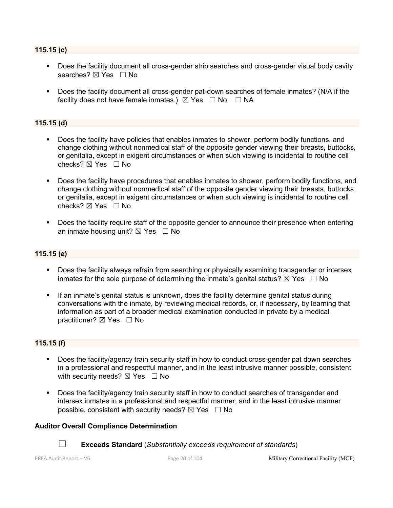## **115.15 (c)**

- Does the facility document all cross-gender strip searches and cross-gender visual body cavity searches? ⊠ Yes □ No
- Does the facility document all cross-gender pat-down searches of female inmates? (N/A if the facility does not have female inmates.)  $\boxtimes$  Yes  $\Box$  No  $\Box$  NA

# **115.15 (d)**

- § Does the facility have policies that enables inmates to shower, perform bodily functions, and change clothing without nonmedical staff of the opposite gender viewing their breasts, buttocks, or genitalia, except in exigent circumstances or when such viewing is incidental to routine cell checks? ☒ Yes ☐ No
- § Does the facility have procedures that enables inmates to shower, perform bodily functions, and change clothing without nonmedical staff of the opposite gender viewing their breasts, buttocks, or genitalia, except in exigent circumstances or when such viewing is incidental to routine cell checks?  $\boxtimes$  Yes  $\Box$  No
- § Does the facility require staff of the opposite gender to announce their presence when entering an inmate housing unit?  $\boxtimes$  Yes  $\Box$  No

# **115.15 (e)**

- § Does the facility always refrain from searching or physically examining transgender or intersex inmates for the sole purpose of determining the inmate's genital status?  $\boxtimes$  Yes  $\Box$  No
- If an inmate's genital status is unknown, does the facility determine genital status during conversations with the inmate, by reviewing medical records, or, if necessary, by learning that information as part of a broader medical examination conducted in private by a medical practitioner?  $\boxtimes$  Yes  $\Box$  No

### **115.15 (f)**

- Does the facility/agency train security staff in how to conduct cross-gender pat down searches in a professional and respectful manner, and in the least intrusive manner possible, consistent with security needs?  $\boxtimes$  Yes  $\Box$  No
- § Does the facility/agency train security staff in how to conduct searches of transgender and intersex inmates in a professional and respectful manner, and in the least intrusive manner possible, consistent with security needs?  $\boxtimes$  Yes  $\Box$  No

### **Auditor Overall Compliance Determination**



☐ **Exceeds Standard** (*Substantially exceeds requirement of standards*)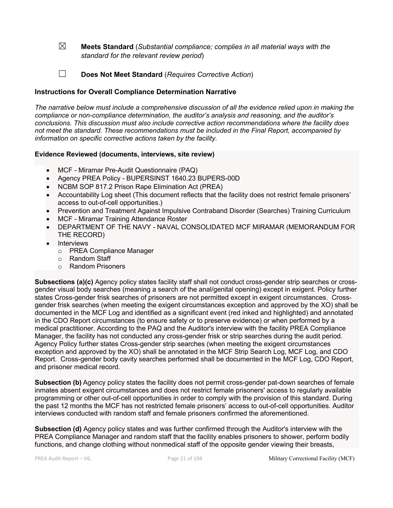☒ **Meets Standard** (*Substantial compliance; complies in all material ways with the standard for the relevant review period*)

☐ **Does Not Meet Standard** (*Requires Corrective Action*)

## **Instructions for Overall Compliance Determination Narrative**

*The narrative below must include a comprehensive discussion of all the evidence relied upon in making the compliance or non-compliance determination, the auditor's analysis and reasoning, and the auditor's conclusions. This discussion must also include corrective action recommendations where the facility does not meet the standard. These recommendations must be included in the Final Report, accompanied by information on specific corrective actions taken by the facility.*

### **Evidence Reviewed (documents, interviews, site review)**

- MCF Miramar Pre-Audit Questionnaire (PAQ)
- Agency PREA Policy BUPERSINST 1640.23 BUPERS-00D
- NCBM SOP 817.2 Prison Rape Elimination Act (PREA)
- Accountability Log sheet (This document reflects that the facility does not restrict female prisoners' access to out-of-cell opportunities.)
- Prevention and Treatment Against Impulsive Contraband Disorder (Searches) Training Curriculum
- MCF Miramar Training Attendance Roster
- DEPARTMENT OF THE NAVY NAVAL CONSOLIDATED MCF MIRAMAR (MEMORANDUM FOR THE RECORD)
- Interviews
	- o PREA Compliance Manager
	- o Random Staff
	- o Random Prisoners

**Subsections (a)(c)** Agency policy states facility staff shall not conduct cross-gender strip searches or crossgender visual body searches (meaning a search of the anal/genital opening) except in exigent. Policy further states Cross-gender frisk searches of prisoners are not permitted except in exigent circumstances. Crossgender frisk searches (when meeting the exigent circumstances exception and approved by the XO) shall be documented in the MCF Log and identified as a significant event (red inked and highlighted) and annotated in the CDO Report circumstances (to ensure safety or to preserve evidence) or when performed by a medical practitioner. According to the PAQ and the Auditor's interview with the facility PREA Compliance Manager, the facility has not conducted any cross-gender frisk or strip searches during the audit period. Agency Policy further states Cross-gender strip searches (when meeting the exigent circumstances exception and approved by the XO) shall be annotated in the MCF Strip Search Log, MCF Log, and CDO Report. Cross-gender body cavity searches performed shall be documented in the MCF Log, CDO Report, and prisoner medical record.

**Subsection (b)** Agency policy states the facility does not permit cross-gender pat-down searches of female inmates absent exigent circumstances and does not restrict female prisoners' access to regularly available programming or other out-of-cell opportunities in order to comply with the provision of this standard. During the past 12 months the MCF has not restricted female prisoners' access to out-of-cell opportunities. Auditor interviews conducted with random staff and female prisoners confirmed the aforementioned.

**Subsection (d)** Agency policy states and was further confirmed through the Auditor's interview with the PREA Compliance Manager and random staff that the facility enables prisoners to shower, perform bodily functions, and change clothing without nonmedical staff of the opposite gender viewing their breasts,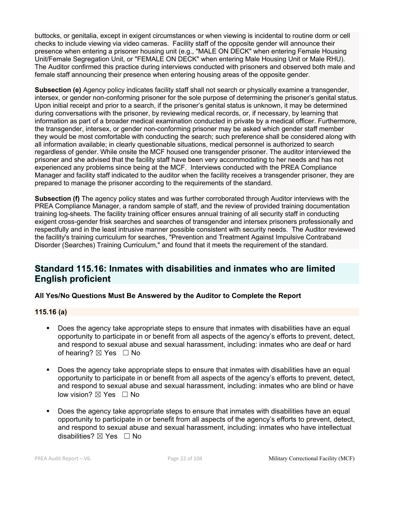buttocks, or genitalia, except in exigent circumstances or when viewing is incidental to routine dorm or cell checks to include viewing via video cameras. Facility staff of the opposite gender will announce their presence when entering a prisoner housing unit (e.g., "MALE ON DECK" when entering Female Housing Unit/Female Segregation Unit, or "FEMALE ON DECK" when entering Male Housing Unit or Male RHU). The Auditor confirmed this practice during interviews conducted with prisoners and observed both male and female staff announcing their presence when entering housing areas of the opposite gender.

**Subsection (e)** Agency policy indicates facility staff shall not search or physically examine a transgender, intersex, or gender non-conforming prisoner for the sole purpose of determining the prisoner's genital status. Upon initial receipt and prior to a search, if the prisoner's genital status is unknown, it may be determined during conversations with the prisoner, by reviewing medical records, or, if necessary, by learning that information as part of a broader medical examination conducted in private by a medical officer. Furthermore, the transgender, intersex, or gender non-conforming prisoner may be asked which gender staff member they would be most comfortable with conducting the search; such preference shall be considered along with all information available; in clearly questionable situations, medical personnel is authorized to search regardless of gender. While onsite the MCF housed one transgender prisoner. The auditor interviewed the prisoner and she advised that the facility staff have been very accommodating to her needs and has not experienced any problems since being at the MCF. Interviews conducted with the PREA Compliance Manager and facility staff indicated to the auditor when the facility receives a transgender prisoner, they are prepared to manage the prisoner according to the requirements of the standard.

**Subsection (f)** The agency policy states and was further corroborated through Auditor interviews with the PREA Compliance Manager, a random sample of staff, and the review of provided training documentation training log-sheets. The facility training officer ensures annual training of all security staff in conducting exigent cross-gender frisk searches and searches of transgender and intersex prisoners professionally and respectfully and in the least intrusive manner possible consistent with security needs. The Auditor reviewed the facility's training curriculum for searches, "Prevention and Treatment Against Impulsive Contraband Disorder (Searches) Training Curriculum," and found that it meets the requirement of the standard.

# **Standard 115.16: Inmates with disabilities and inmates who are limited English proficient**

# **All Yes/No Questions Must Be Answered by the Auditor to Complete the Report**

# **115.16 (a)**

- § Does the agency take appropriate steps to ensure that inmates with disabilities have an equal opportunity to participate in or benefit from all aspects of the agency's efforts to prevent, detect, and respond to sexual abuse and sexual harassment, including: inmates who are deaf or hard of hearing?  $\boxtimes$  Yes  $\Box$  No
- Does the agency take appropriate steps to ensure that inmates with disabilities have an equal opportunity to participate in or benefit from all aspects of the agency's efforts to prevent, detect, and respond to sexual abuse and sexual harassment, including: inmates who are blind or have low vision? ⊠ Yes □ No
- Does the agency take appropriate steps to ensure that inmates with disabilities have an equal opportunity to participate in or benefit from all aspects of the agency's efforts to prevent, detect, and respond to sexual abuse and sexual harassment, including: inmates who have intellectual disabilities?  $\boxtimes$  Yes  $\Box$  No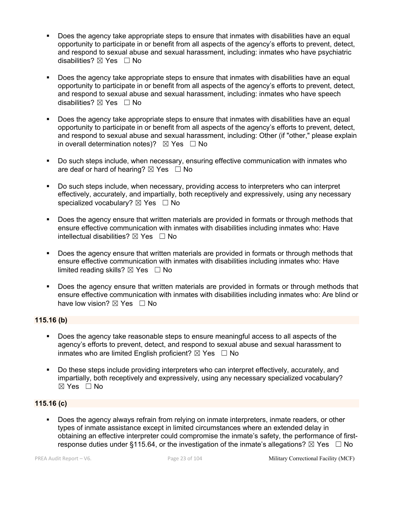- Does the agency take appropriate steps to ensure that inmates with disabilities have an equal opportunity to participate in or benefit from all aspects of the agency's efforts to prevent, detect, and respond to sexual abuse and sexual harassment, including: inmates who have psychiatric disabilities?  $\boxtimes$  Yes  $\Box$  No
- § Does the agency take appropriate steps to ensure that inmates with disabilities have an equal opportunity to participate in or benefit from all aspects of the agency's efforts to prevent, detect, and respond to sexual abuse and sexual harassment, including: inmates who have speech disabilities? ⊠ Yes □ No
- Does the agency take appropriate steps to ensure that inmates with disabilities have an equal opportunity to participate in or benefit from all aspects of the agency's efforts to prevent, detect, and respond to sexual abuse and sexual harassment, including: Other (if "other," please explain in overall determination notes)?  $\boxtimes$  Yes  $\Box$  No
- § Do such steps include, when necessary, ensuring effective communication with inmates who are deaf or hard of hearing?  $\boxtimes$  Yes  $\Box$  No
- Do such steps include, when necessary, providing access to interpreters who can interpret effectively, accurately, and impartially, both receptively and expressively, using any necessary specialized vocabulary?  $\boxtimes$  Yes  $\Box$  No
- Does the agency ensure that written materials are provided in formats or through methods that ensure effective communication with inmates with disabilities including inmates who: Have intellectual disabilities?  $\boxtimes$  Yes  $\Box$  No
- Does the agency ensure that written materials are provided in formats or through methods that ensure effective communication with inmates with disabilities including inmates who: Have limited reading skills?  $\boxtimes$  Yes  $\Box$  No
- Does the agency ensure that written materials are provided in formats or through methods that ensure effective communication with inmates with disabilities including inmates who: Are blind or have low vision?  $\boxtimes$  Yes  $\Box$  No

# **115.16 (b)**

- § Does the agency take reasonable steps to ensure meaningful access to all aspects of the agency's efforts to prevent, detect, and respond to sexual abuse and sexual harassment to inmates who are limited English proficient?  $\boxtimes$  Yes  $\Box$  No
- Do these steps include providing interpreters who can interpret effectively, accurately, and impartially, both receptively and expressively, using any necessary specialized vocabulary? ☒ Yes ☐ No

# **115.16 (c)**

§ Does the agency always refrain from relying on inmate interpreters, inmate readers, or other types of inmate assistance except in limited circumstances where an extended delay in obtaining an effective interpreter could compromise the inmate's safety, the performance of firstresponse duties under §115.64, or the investigation of the inmate's allegations?  $\boxtimes$  Yes  $\Box$  No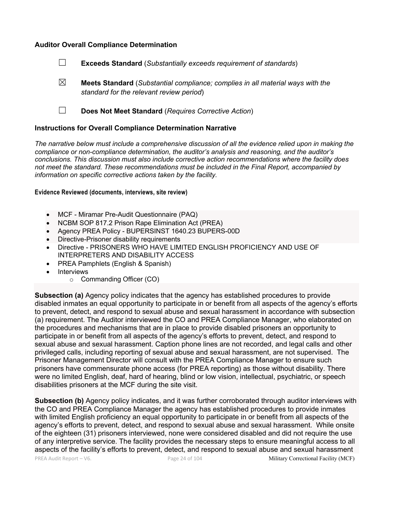## **Auditor Overall Compliance Determination**

- ☐ **Exceeds Standard** (*Substantially exceeds requirement of standards*)
- ☒ **Meets Standard** (*Substantial compliance; complies in all material ways with the standard for the relevant review period*)
- ☐ **Does Not Meet Standard** (*Requires Corrective Action*)

#### **Instructions for Overall Compliance Determination Narrative**

*The narrative below must include a comprehensive discussion of all the evidence relied upon in making the compliance or non-compliance determination, the auditor's analysis and reasoning, and the auditor's conclusions. This discussion must also include corrective action recommendations where the facility does not meet the standard. These recommendations must be included in the Final Report, accompanied by information on specific corrective actions taken by the facility.*

#### **Evidence Reviewed (documents, interviews, site review)**

- MCF Miramar Pre-Audit Questionnaire (PAQ)
- NCBM SOP 817.2 Prison Rape Elimination Act (PREA)
- Agency PREA Policy BUPERSINST 1640.23 BUPERS-00D
- Directive-Prisoner disability requirements
- Directive PRISONERS WHO HAVE LIMITED ENGLISH PROFICIENCY AND USE OF INTERPRETERS AND DISABILITY ACCESS
- PREA Pamphlets (English & Spanish)
- **Interviews** 
	- o Commanding Officer (CO)

**Subsection (a)** Agency policy indicates that the agency has established procedures to provide disabled inmates an equal opportunity to participate in or benefit from all aspects of the agency's efforts to prevent, detect, and respond to sexual abuse and sexual harassment in accordance with subsection (a) requirement. The Auditor interviewed the CO and PREA Compliance Manager, who elaborated on the procedures and mechanisms that are in place to provide disabled prisoners an opportunity to participate in or benefit from all aspects of the agency's efforts to prevent, detect, and respond to sexual abuse and sexual harassment. Caption phone lines are not recorded, and legal calls and other privileged calls, including reporting of sexual abuse and sexual harassment, are not supervised. The Prisoner Management Director will consult with the PREA Compliance Manager to ensure such prisoners have commensurate phone access (for PREA reporting) as those without disability. There were no limited English, deaf, hard of hearing, blind or low vision, intellectual, psychiatric, or speech disabilities prisoners at the MCF during the site visit.

**Subsection (b)** Agency policy indicates, and it was further corroborated through auditor interviews with the CO and PREA Compliance Manager the agency has established procedures to provide inmates with limited English proficiency an equal opportunity to participate in or benefit from all aspects of the agency's efforts to prevent, detect, and respond to sexual abuse and sexual harassment. While onsite of the eighteen (31) prisoners interviewed, none were considered disabled and did not require the use of any interpretive service. The facility provides the necessary steps to ensure meaningful access to all aspects of the facility's efforts to prevent, detect, and respond to sexual abuse and sexual harassment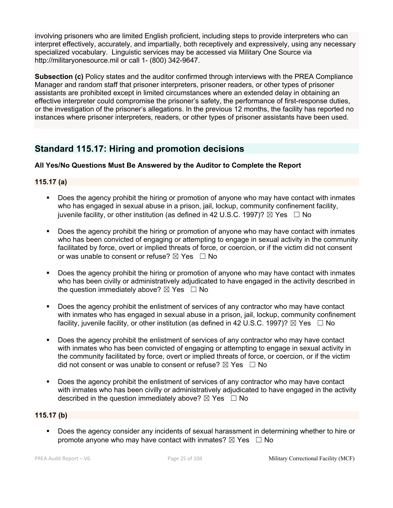involving prisoners who are limited English proficient, including steps to provide interpreters who can interpret effectively, accurately, and impartially, both receptively and expressively, using any necessary specialized vocabulary. Linguistic services may be accessed via Military One Source via http://militaryonesource.mil or call 1- (800) 342-9647.

**Subsection (c)** Policy states and the auditor confirmed through interviews with the PREA Compliance Manager and random staff that prisoner interpreters, prisoner readers, or other types of prisoner assistants are prohibited except in limited circumstances where an extended delay in obtaining an effective interpreter could compromise the prisoner's safety, the performance of first-response duties, or the investigation of the prisoner's allegations. In the previous 12 months, the facility has reported no instances where prisoner interpreters, readers, or other types of prisoner assistants have been used.

# **Standard 115.17: Hiring and promotion decisions**

# **All Yes/No Questions Must Be Answered by the Auditor to Complete the Report**

# **115.17 (a)**

- Does the agency prohibit the hiring or promotion of anyone who may have contact with inmates who has engaged in sexual abuse in a prison, jail, lockup, community confinement facility, juvenile facility, or other institution (as defined in 42 U.S.C. 1997)?  $\boxtimes$  Yes  $\Box$  No
- Does the agency prohibit the hiring or promotion of anyone who may have contact with inmates who has been convicted of engaging or attempting to engage in sexual activity in the community facilitated by force, overt or implied threats of force, or coercion, or if the victim did not consent or was unable to consent or refuse?  $\boxtimes$  Yes  $\Box$  No
- Does the agency prohibit the hiring or promotion of anyone who may have contact with inmates who has been civilly or administratively adjudicated to have engaged in the activity described in the question immediately above?  $\boxtimes$  Yes  $\Box$  No
- Does the agency prohibit the enlistment of services of any contractor who may have contact with inmates who has engaged in sexual abuse in a prison, jail, lockup, community confinement facility, iuvenile facility, or other institution (as defined in 42 U.S.C. 1997)?  $\boxtimes$  Yes  $\Box$  No
- Does the agency prohibit the enlistment of services of any contractor who may have contact with inmates who has been convicted of engaging or attempting to engage in sexual activity in the community facilitated by force, overt or implied threats of force, or coercion, or if the victim did not consent or was unable to consent or refuse?  $\boxtimes$  Yes  $\Box$  No
- Does the agency prohibit the enlistment of services of any contractor who may have contact with inmates who has been civilly or administratively adjudicated to have engaged in the activity described in the question immediately above?  $\boxtimes$  Yes  $\Box$  No

# **115.17 (b)**

§ Does the agency consider any incidents of sexual harassment in determining whether to hire or promote anyone who may have contact with inmates?  $\boxtimes$  Yes  $\Box$  No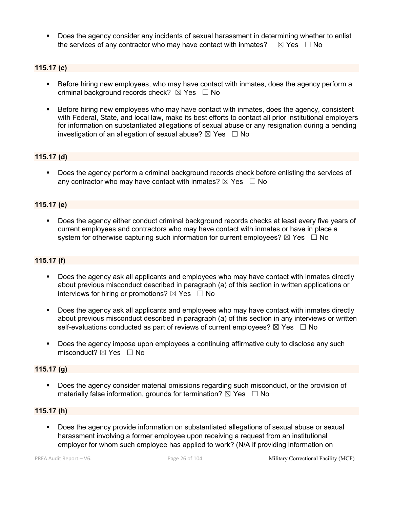§ Does the agency consider any incidents of sexual harassment in determining whether to enlist the services of any contractor who may have contact with inmates?  $\boxtimes$  Yes  $\Box$  No

# **115.17 (c)**

- Before hiring new employees, who may have contact with inmates, does the agency perform a criminal background records check?  $\boxtimes$  Yes  $\Box$  No
- Before hiring new employees who may have contact with inmates, does the agency, consistent with Federal, State, and local law, make its best efforts to contact all prior institutional employers for information on substantiated allegations of sexual abuse or any resignation during a pending investigation of an allegation of sexual abuse?  $\boxtimes$  Yes  $\Box$  No

## **115.17 (d)**

■ Does the agency perform a criminal background records check before enlisting the services of any contractor who may have contact with inmates?  $\boxtimes$  Yes  $\Box$  No

## **115.17 (e)**

§ Does the agency either conduct criminal background records checks at least every five years of current employees and contractors who may have contact with inmates or have in place a system for otherwise capturing such information for current employees?  $\boxtimes$  Yes  $\Box$  No

# **115.17 (f)**

- Does the agency ask all applicants and employees who may have contact with inmates directly about previous misconduct described in paragraph (a) of this section in written applications or interviews for hiring or promotions?  $\boxtimes$  Yes  $\Box$  No
- Does the agency ask all applicants and employees who may have contact with inmates directly about previous misconduct described in paragraph (a) of this section in any interviews or written self-evaluations conducted as part of reviews of current employees?  $\boxtimes$  Yes  $\Box$  No
- § Does the agency impose upon employees a continuing affirmative duty to disclose any such misconduct?  $\boxtimes$  Yes  $\Box$  No

### **115.17 (g)**

§ Does the agency consider material omissions regarding such misconduct, or the provision of materially false information, grounds for termination?  $\boxtimes$  Yes  $\Box$  No

## **115.17 (h)**

§ Does the agency provide information on substantiated allegations of sexual abuse or sexual harassment involving a former employee upon receiving a request from an institutional employer for whom such employee has applied to work? (N/A if providing information on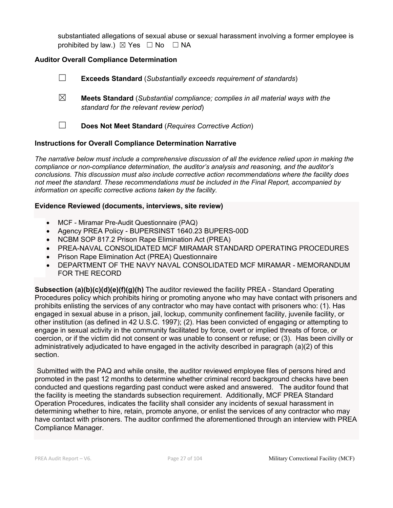substantiated allegations of sexual abuse or sexual harassment involving a former employee is prohibited by law.)  $\boxtimes$  Yes  $\Box$  No  $\Box$  NA

# **Auditor Overall Compliance Determination**

- ☐ **Exceeds Standard** (*Substantially exceeds requirement of standards*)
- ☒ **Meets Standard** (*Substantial compliance; complies in all material ways with the standard for the relevant review period*)
- ☐ **Does Not Meet Standard** (*Requires Corrective Action*)

# **Instructions for Overall Compliance Determination Narrative**

*The narrative below must include a comprehensive discussion of all the evidence relied upon in making the compliance or non-compliance determination, the auditor's analysis and reasoning, and the auditor's conclusions. This discussion must also include corrective action recommendations where the facility does not meet the standard. These recommendations must be included in the Final Report, accompanied by information on specific corrective actions taken by the facility.*

## **Evidence Reviewed (documents, interviews, site review)**

- MCF Miramar Pre-Audit Questionnaire (PAQ)
- Agency PREA Policy BUPERSINST 1640.23 BUPERS-00D
- NCBM SOP 817.2 Prison Rape Elimination Act (PREA)
- PREA-NAVAL CONSOLIDATED MCF MIRAMAR STANDARD OPERATING PROCEDURES
- Prison Rape Elimination Act (PREA) Questionnaire
- DEPARTMENT OF THE NAVY NAVAL CONSOLIDATED MCF MIRAMAR MEMORANDUM FOR THE RECORD

**Subsection (a)(b)(c)(d)(e)(f)(g)(h)** The auditor reviewed the facility PREA - Standard Operating Procedures policy which prohibits hiring or promoting anyone who may have contact with prisoners and prohibits enlisting the services of any contractor who may have contact with prisoners who: (1). Has engaged in sexual abuse in a prison, jail, lockup, community confinement facility, juvenile facility, or other institution (as defined in 42 U.S.C. 1997); (2). Has been convicted of engaging or attempting to engage in sexual activity in the community facilitated by force, overt or implied threats of force, or coercion, or if the victim did not consent or was unable to consent or refuse; or (3). Has been civilly or administratively adjudicated to have engaged in the activity described in paragraph (a)(2) of this section.

Submitted with the PAQ and while onsite, the auditor reviewed employee files of persons hired and promoted in the past 12 months to determine whether criminal record background checks have been conducted and questions regarding past conduct were asked and answered. The auditor found that the facility is meeting the standards subsection requirement. Additionally, MCF PREA Standard Operation Procedures, indicates the facility shall consider any incidents of sexual harassment in determining whether to hire, retain, promote anyone, or enlist the services of any contractor who may have contact with prisoners. The auditor confirmed the aforementioned through an interview with PREA Compliance Manager.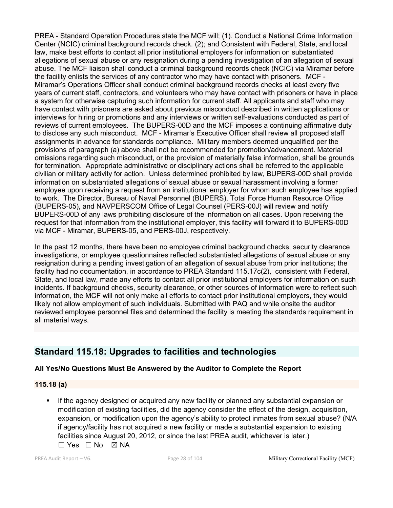PREA - Standard Operation Procedures state the MCF will; (1). Conduct a National Crime Information Center (NCIC) criminal background records check. (2); and Consistent with Federal, State, and local law, make best efforts to contact all prior institutional employers for information on substantiated allegations of sexual abuse or any resignation during a pending investigation of an allegation of sexual abuse. The MCF liaison shall conduct a criminal background records check (NCIC) via Miramar before the facility enlists the services of any contractor who may have contact with prisoners. MCF - Miramar's Operations Officer shall conduct criminal background records checks at least every five years of current staff, contractors, and volunteers who may have contact with prisoners or have in place a system for otherwise capturing such information for current staff. All applicants and staff who may have contact with prisoners are asked about previous misconduct described in written applications or interviews for hiring or promotions and any interviews or written self-evaluations conducted as part of reviews of current employees. The BUPERS-00D and the MCF imposes a continuing affirmative duty to disclose any such misconduct. MCF - Miramar's Executive Officer shall review all proposed staff assignments in advance for standards compliance. Military members deemed unqualified per the provisions of paragraph (a) above shall not be recommended for promotion/advancement. Material omissions regarding such misconduct, or the provision of materially false information, shall be grounds for termination. Appropriate administrative or disciplinary actions shall be referred to the applicable civilian or military activity for action. Unless determined prohibited by law, BUPERS-00D shall provide information on substantiated allegations of sexual abuse or sexual harassment involving a former employee upon receiving a request from an institutional employer for whom such employee has applied to work. The Director, Bureau of Naval Personnel (BUPERS), Total Force Human Resource Office (BUPERS-05), and NAVPERSCOM Office of Legal Counsel (PERS-00J) will review and notify BUPERS-00D of any laws prohibiting disclosure of the information on all cases. Upon receiving the request for that information from the institutional employer, this facility will forward it to BUPERS-00D via MCF - Miramar, BUPERS-05, and PERS-00J, respectively.

In the past 12 months, there have been no employee criminal background checks, security clearance investigations, or employee questionnaires reflected substantiated allegations of sexual abuse or any resignation during a pending investigation of an allegation of sexual abuse from prior institutions; the facility had no documentation, in accordance to PREA Standard 115.17c(2), consistent with Federal, State, and local law, made any efforts to contact all prior institutional employers for information on such incidents. If background checks, security clearance, or other sources of information were to reflect such information, the MCF will not only make all efforts to contact prior institutional employers, they would likely not allow employment of such individuals. Submitted with PAQ and while onsite the auditor reviewed employee personnel files and determined the facility is meeting the standards requirement in all material ways.

# **Standard 115.18: Upgrades to facilities and technologies**

# **All Yes/No Questions Must Be Answered by the Auditor to Complete the Report**

# **115.18 (a)**

If the agency designed or acquired any new facility or planned any substantial expansion or modification of existing facilities, did the agency consider the effect of the design, acquisition, expansion, or modification upon the agency's ability to protect inmates from sexual abuse? (N/A if agency/facility has not acquired a new facility or made a substantial expansion to existing facilities since August 20, 2012, or since the last PREA audit, whichever is later.) ☐ Yes ☐ No ☒ NA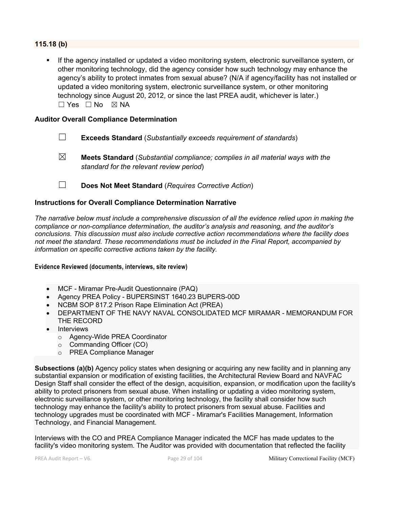# **115.18 (b)**

If the agency installed or updated a video monitoring system, electronic surveillance system, or other monitoring technology, did the agency consider how such technology may enhance the agency's ability to protect inmates from sexual abuse? (N/A if agency/facility has not installed or updated a video monitoring system, electronic surveillance system, or other monitoring technology since August 20, 2012, or since the last PREA audit, whichever is later.)  $\square$  Yes  $\square$  No  $\square$  NA

## **Auditor Overall Compliance Determination**

- ☐ **Exceeds Standard** (*Substantially exceeds requirement of standards*)
- ☒ **Meets Standard** (*Substantial compliance; complies in all material ways with the standard for the relevant review period*)
- ☐ **Does Not Meet Standard** (*Requires Corrective Action*)

# **Instructions for Overall Compliance Determination Narrative**

*The narrative below must include a comprehensive discussion of all the evidence relied upon in making the compliance or non-compliance determination, the auditor's analysis and reasoning, and the auditor's conclusions. This discussion must also include corrective action recommendations where the facility does not meet the standard. These recommendations must be included in the Final Report, accompanied by information on specific corrective actions taken by the facility.*

### **Evidence Reviewed (documents, interviews, site review)**

- MCF Miramar Pre-Audit Questionnaire (PAQ)
- Agency PREA Policy BUPERSINST 1640.23 BUPERS-00D
- NCBM SOP 817.2 Prison Rape Elimination Act (PREA)
- DEPARTMENT OF THE NAVY NAVAL CONSOLIDATED MCF MIRAMAR MEMORANDUM FOR THE RECORD
- Interviews
	- o Agency-Wide PREA Coordinator
	- o Commanding Officer (CO)
	- o PREA Compliance Manager

**Subsections (a)(b)** Agency policy states when designing or acquiring any new facility and in planning any substantial expansion or modification of existing facilities, the Architectural Review Board and NAVFAC Design Staff shall consider the effect of the design, acquisition, expansion, or modification upon the facility's ability to protect prisoners from sexual abuse. When installing or updating a video monitoring system, electronic surveillance system, or other monitoring technology, the facility shall consider how such technology may enhance the facility's ability to protect prisoners from sexual abuse. Facilities and technology upgrades must be coordinated with MCF - Miramar's Facilities Management, Information Technology, and Financial Management.

Interviews with the CO and PREA Compliance Manager indicated the MCF has made updates to the facility's video monitoring system. The Auditor was provided with documentation that reflected the facility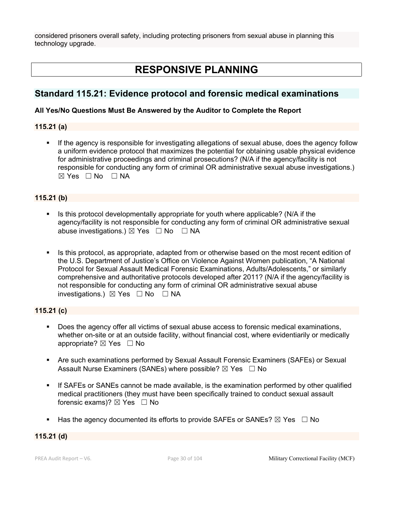considered prisoners overall safety, including protecting prisoners from sexual abuse in planning this technology upgrade.

# **RESPONSIVE PLANNING**

# **Standard 115.21: Evidence protocol and forensic medical examinations**

# **All Yes/No Questions Must Be Answered by the Auditor to Complete the Report**

# **115.21 (a)**

**•** If the agency is responsible for investigating allegations of sexual abuse, does the agency follow a uniform evidence protocol that maximizes the potential for obtaining usable physical evidence for administrative proceedings and criminal prosecutions? (N/A if the agency/facility is not responsible for conducting any form of criminal OR administrative sexual abuse investigations.)  $⊠ Yes ⊡ No ⊡ NA$ 

# **115.21 (b)**

- Is this protocol developmentally appropriate for youth where applicable? (N/A if the agency/facility is not responsible for conducting any form of criminal OR administrative sexual abuse investigations.)  $\boxtimes$  Yes  $\Box$  No  $\Box$  NA
- § Is this protocol, as appropriate, adapted from or otherwise based on the most recent edition of the U.S. Department of Justice's Office on Violence Against Women publication, "A National Protocol for Sexual Assault Medical Forensic Examinations, Adults/Adolescents," or similarly comprehensive and authoritative protocols developed after 2011? (N/A if the agency/facility is not responsible for conducting any form of criminal OR administrative sexual abuse investigations.)  $\boxtimes$  Yes  $\Box$  No  $\Box$  NA

# **115.21 (c)**

- § Does the agency offer all victims of sexual abuse access to forensic medical examinations, whether on-site or at an outside facility, without financial cost, where evidentiarily or medically appropriate? ⊠ Yes □ No
- § Are such examinations performed by Sexual Assault Forensic Examiners (SAFEs) or Sexual Assault Nurse Examiners (SANEs) where possible?  $\boxtimes$  Yes  $\Box$  No
- **•** If SAFEs or SANEs cannot be made available, is the examination performed by other qualified medical practitioners (they must have been specifically trained to conduct sexual assault forensic exams)?  $\boxtimes$  Yes  $\Box$  No
- **E** Has the agency documented its efforts to provide SAFEs or SANEs?  $\boxtimes$  Yes  $\Box$  No

# **115.21 (d)**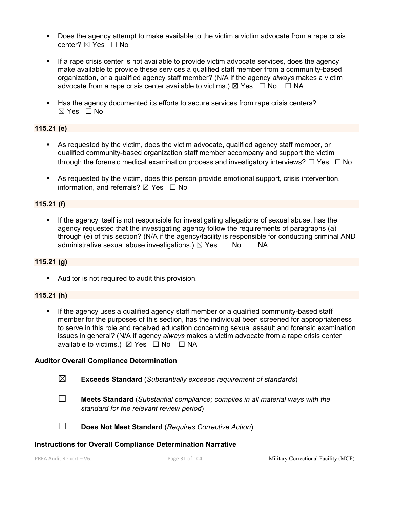- Does the agency attempt to make available to the victim a victim advocate from a rape crisis center? ☒ Yes ☐ No
- **•** If a rape crisis center is not available to provide victim advocate services, does the agency make available to provide these services a qualified staff member from a community-based organization, or a qualified agency staff member? (N/A if the agency *always* makes a victim advocate from a rape crisis center available to victims.)  $\boxtimes$  Yes  $\Box$  No  $\Box$  NA
- **EXECT** Has the agency documented its efforts to secure services from rape crisis centers?  $\boxtimes$  Yes  $\Box$  No

# **115.21 (e)**

- As requested by the victim, does the victim advocate, qualified agency staff member, or qualified community-based organization staff member accompany and support the victim through the forensic medical examination process and investigatory interviews?  $\Box$  Yes  $\Box$  No
- As requested by the victim, does this person provide emotional support, crisis intervention, information, and referrals?  $\boxtimes$  Yes  $\Box$  No

# **115.21 (f)**

**•** If the agency itself is not responsible for investigating allegations of sexual abuse, has the agency requested that the investigating agency follow the requirements of paragraphs (a) through (e) of this section? (N/A if the agency/facility is responsible for conducting criminal AND administrative sexual abuse investigations.)  $\boxtimes$  Yes  $\Box$  No  $\Box$  NA

# **115.21 (g)**

**•** Auditor is not required to audit this provision.

# **115.21 (h)**

§ If the agency uses a qualified agency staff member or a qualified community-based staff member for the purposes of this section, has the individual been screened for appropriateness to serve in this role and received education concerning sexual assault and forensic examination issues in general? (N/A if agency *always* makes a victim advocate from a rape crisis center available to victims.)  $\boxtimes$  Yes  $\Box$  No  $\Box$  NA

# **Auditor Overall Compliance Determination**

- ☒ **Exceeds Standard** (*Substantially exceeds requirement of standards*)
- ☐ **Meets Standard** (*Substantial compliance; complies in all material ways with the standard for the relevant review period*)

☐ **Does Not Meet Standard** (*Requires Corrective Action*)

# **Instructions for Overall Compliance Determination Narrative**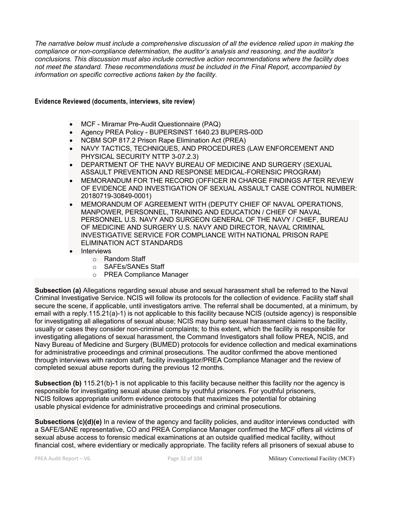*The narrative below must include a comprehensive discussion of all the evidence relied upon in making the compliance or non-compliance determination, the auditor's analysis and reasoning, and the auditor's conclusions. This discussion must also include corrective action recommendations where the facility does not meet the standard. These recommendations must be included in the Final Report, accompanied by information on specific corrective actions taken by the facility.*

#### **Evidence Reviewed (documents, interviews, site review)**

- MCF Miramar Pre-Audit Questionnaire (PAQ)
- Agency PREA Policy BUPERSINST 1640.23 BUPERS-00D
- NCBM SOP 817.2 Prison Rape Elimination Act (PREA)
- NAVY TACTICS, TECHNIQUES, AND PROCEDURES (LAW ENFORCEMENT AND PHYSICAL SECURITY NTTP 3-07.2.3)
- DEPARTMENT OF THE NAVY BUREAU OF MEDICINE AND SURGERY (SEXUAL ASSAULT PREVENTION AND RESPONSE MEDICAL-FORENSIC PROGRAM)
- MEMORANDUM FOR THE RECORD (OFFICER IN CHARGE FINDINGS AFTER REVIEW OF EVIDENCE AND INVESTIGATION OF SEXUAL ASSAULT CASE CONTROL NUMBER: 20180719-30849-0001)
- MEMORANDUM OF AGREEMENT WITH (DEPUTY CHIEF OF NAVAL OPERATIONS, MANPOWER, PERSONNEL, TRAINING AND EDUCATION / CHIEF OF NAVAL PERSONNEL U.S. NAVY AND SURGEON GENERAL OF THE NAVY / CHIEF, BUREAU OF MEDICINE AND SURGERY U.S. NAVY AND DIRECTOR, NAVAL CRIMINAL INVESTIGATIVE SERVICE FOR COMPLIANCE WITH NATIONAL PRISON RAPE ELIMINATION ACT STANDARDS
- Interviews
	- o Random Staff
	- o SAFEs/SANEs Staff
	- o PREA Compliance Manager

**Subsection (a)** Allegations regarding sexual abuse and sexual harassment shall be referred to the Naval Criminal Investigative Service. NCIS will follow its protocols for the collection of evidence. Facility staff shall secure the scene, if applicable, until investigators arrive. The referral shall be documented, at a minimum, by email with a reply.115.21(a)-1) is not applicable to this facility because NCIS (outside agency) is responsible for investigating all allegations of sexual abuse; NCIS may bump sexual harassment claims to the facility, usually or cases they consider non-criminal complaints; to this extent, which the facility is responsible for investigating allegations of sexual harassment, the Command Investigators shall follow PREA, NCIS, and Navy Bureau of Medicine and Surgery (BUMED) protocols for evidence collection and medical examinations for administrative proceedings and criminal prosecutions. The auditor confirmed the above mentioned through interviews with random staff, facility investigator/PREA Compliance Manager and the review of completed sexual abuse reports during the previous 12 months.

**Subsection (b)** 115.21(b)-1 is not applicable to this facility because neither this facility nor the agency is responsible for investigating sexual abuse claims by youthful prisoners. For youthful prisoners, NCIS follows appropriate uniform evidence protocols that maximizes the potential for obtaining usable physical evidence for administrative proceedings and criminal prosecutions.

**Subsections (c)(d)(e)** In a review of the agency and facility policies, and auditor interviews conducted with a SAFE/SANE representative, CO and PREA Compliance Manager confirmed the MCF offers all victims of sexual abuse access to forensic medical examinations at an outside qualified medical facility, without financial cost, where evidentiary or medically appropriate. The facility refers all prisoners of sexual abuse to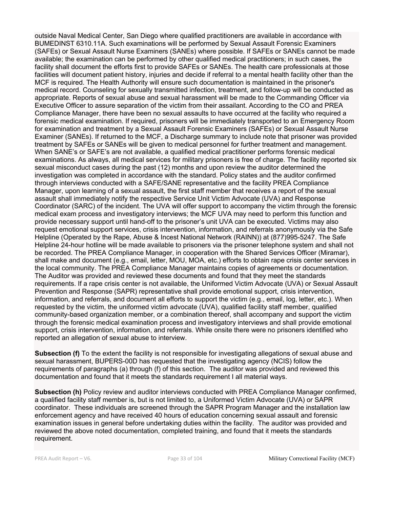outside Naval Medical Center, San Diego where qualified practitioners are available in accordance with BUMEDINST 6310.11A. Such examinations will be performed by Sexual Assault Forensic Examiners (SAFEs) or Sexual Assault Nurse Examiners (SANEs) where possible. If SAFEs or SANEs cannot be made available; the examination can be performed by other qualified medical practitioners; in such cases, the facility shall document the efforts first to provide SAFEs or SANEs. The health care professionals at those facilities will document patient history, injuries and decide if referral to a mental health facility other than the MCF is required. The Health Authority will ensure such documentation is maintained in the prisoner's medical record. Counseling for sexually transmitted infection, treatment, and follow-up will be conducted as appropriate. Reports of sexual abuse and sexual harassment will be made to the Commanding Officer via Executive Officer to assure separation of the victim from their assailant. According to the CO and PREA Compliance Manager, there have been no sexual assaults to have occurred at the facility who required a forensic medical examination. If required, prisoners will be immediately transported to an Emergency Room for examination and treatment by a Sexual Assault Forensic Examiners (SAFEs) or Sexual Assault Nurse Examiner (SANEs). If returned to the MCF, a Discharge summary to include note that prisoner was provided treatment by SAFEs or SANEs will be given to medical personnel for further treatment and management. When SANE's or SAFE's are not available, a qualified medical practitioner performs forensic medical examinations. As always, all medical services for military prisoners is free of charge. The facility reported six sexual misconduct cases during the past (12) months and upon review the auditor determined the investigation was completed in accordance with the standard. Policy states and the auditor confirmed through interviews conducted with a SAFE/SANE representative and the facility PREA Compliance Manager, upon learning of a sexual assault, the first staff member that receives a report of the sexual assault shall immediately notify the respective Service Unit Victim Advocate (UVA) and Response Coordinator (SARC) of the incident. The UVA will offer support to accompany the victim through the forensic medical exam process and investigatory interviews; the MCF UVA may need to perform this function and provide necessary support until hand-off to the prisoner's unit UVA can be executed. Victims may also request emotional support services, crisis intervention, information, and referrals anonymously via the Safe Helpline (Operated by the Rape, Abuse & Incest National Network (RAINN)) at (877)995-5247. The Safe Helpline 24-hour hotline will be made available to prisoners via the prisoner telephone system and shall not be recorded. The PREA Compliance Manager, in cooperation with the Shared Services Officer (Miramar), shall make and document (e.g., email, letter, MOU, MOA, etc.) efforts to obtain rape crisis center services in the local community. The PREA Compliance Manager maintains copies of agreements or documentation. The Auditor was provided and reviewed these documents and found that they meet the standards requirements. If a rape crisis center is not available, the Uniformed Victim Advocate (UVA) or Sexual Assault Prevention and Response (SAPR) representative shall provide emotional support, crisis intervention, information, and referrals, and document all efforts to support the victim (e.g., email, log, letter, etc.). When requested by the victim, the uniformed victim advocate (UVA), qualified facility staff member, qualified community-based organization member, or a combination thereof, shall accompany and support the victim through the forensic medical examination process and investigatory interviews and shall provide emotional support, crisis intervention, information, and referrals. While onsite there were no prisoners identified who reported an allegation of sexual abuse to interview.

**Subsection (f)** To the extent the facility is not responsible for investigating allegations of sexual abuse and sexual harassment, BUPERS-00D has requested that the investigating agency (NCIS) follow the requirements of paragraphs (a) through (f) of this section. The auditor was provided and reviewed this documentation and found that it meets the standards requirement I all material ways.

**Subsection (h)** Policy review and auditor interviews conducted with PREA Compliance Manager confirmed, a qualified facility staff member is, but is not limited to, a Uniformed Victim Advocate (UVA) or SAPR coordinator. These individuals are screened through the SAPR Program Manager and the installation law enforcement agency and have received 40 hours of education concerning sexual assault and forensic examination issues in general before undertaking duties within the facility. The auditor was provided and reviewed the above noted documentation, completed training, and found that it meets the standards requirement.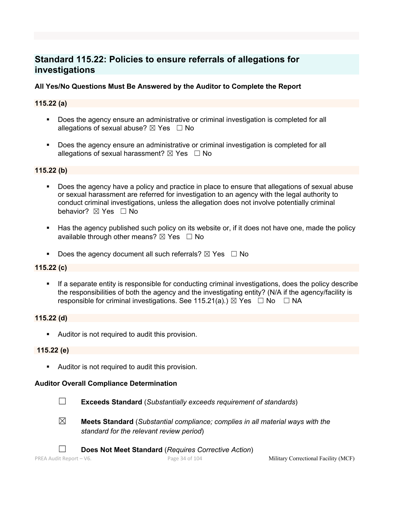# **Standard 115.22: Policies to ensure referrals of allegations for investigations**

# **All Yes/No Questions Must Be Answered by the Auditor to Complete the Report**

# **115.22 (a)**

- § Does the agency ensure an administrative or criminal investigation is completed for all allegations of sexual abuse?  $\boxtimes$  Yes  $\Box$  No
- Does the agency ensure an administrative or criminal investigation is completed for all allegations of sexual harassment?  $\boxtimes$  Yes  $\Box$  No

## **115.22 (b)**

- Does the agency have a policy and practice in place to ensure that allegations of sexual abuse or sexual harassment are referred for investigation to an agency with the legal authority to conduct criminal investigations, unless the allegation does not involve potentially criminal behavior? **⊠** Yes □ No
- Has the agency published such policy on its website or, if it does not have one, made the policy available through other means?  $\boxtimes$  Yes  $\Box$  No
- **•** Does the agency document all such referrals?  $\boxtimes$  Yes  $\Box$  No

## **115.22 (c)**

§ If a separate entity is responsible for conducting criminal investigations, does the policy describe the responsibilities of both the agency and the investigating entity? (N/A if the agency/facility is responsible for criminal investigations. See 115.21(a).)  $\boxtimes$  Yes  $\Box$  No  $\Box$  NA

# **115.22 (d)**

**•** Auditor is not required to audit this provision.

### **115.22 (e)**

**•** Auditor is not required to audit this provision.

### **Auditor Overall Compliance Determination**



☐ **Exceeds Standard** (*Substantially exceeds requirement of standards*)

- 
- ☒ **Meets Standard** (*Substantial compliance; complies in all material ways with the standard for the relevant review period*)
	- ☐ **Does Not Meet Standard** (*Requires Corrective Action*)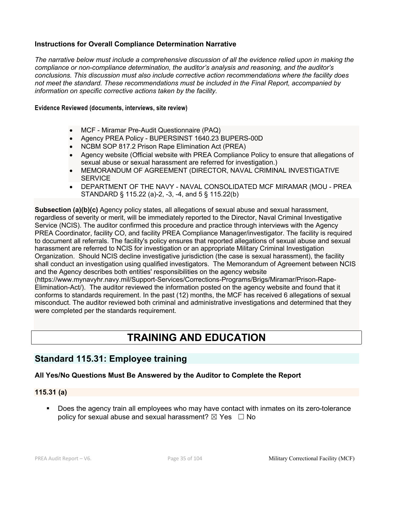# **Instructions for Overall Compliance Determination Narrative**

*The narrative below must include a comprehensive discussion of all the evidence relied upon in making the compliance or non-compliance determination, the auditor's analysis and reasoning, and the auditor's conclusions. This discussion must also include corrective action recommendations where the facility does not meet the standard. These recommendations must be included in the Final Report, accompanied by information on specific corrective actions taken by the facility.*

### **Evidence Reviewed (documents, interviews, site review)**

- MCF Miramar Pre-Audit Questionnaire (PAQ)
- Agency PREA Policy BUPERSINST 1640.23 BUPERS-00D
- NCBM SOP 817.2 Prison Rape Elimination Act (PREA)
- Agency website (Official website with PREA Compliance Policy to ensure that allegations of sexual abuse or sexual harassment are referred for investigation.)
- MEMORANDUM OF AGREEMENT (DIRECTOR, NAVAL CRIMINAL INVESTIGATIVE **SERVICE**
- DEPARTMENT OF THE NAVY NAVAL CONSOLIDATED MCF MIRAMAR (MOU PREA STANDARD § 115.22 (a)-2, -3, -4, and 5 § 115.22(b)

**Subsection (a)(b)(c)** Agency policy states, all allegations of sexual abuse and sexual harassment, regardless of severity or merit, will be immediately reported to the Director, Naval Criminal Investigative Service (NCIS). The auditor confirmed this procedure and practice through interviews with the Agency PREA Coordinator, facility CO, and facility PREA Compliance Manager/investigator. The facility is required to document all referrals. The facility's policy ensures that reported allegations of sexual abuse and sexual harassment are referred to NCIS for investigation or an appropriate Military Criminal Investigation Organization. Should NCIS decline investigative jurisdiction (the case is sexual harassment), the facility shall conduct an investigation using qualified investigators. The Memorandum of Agreement between NCIS and the Agency describes both entities' responsibilities on the agency website

(https://www.mynavyhr.navy.mil/Support-Services/Corrections-Programs/Brigs/Miramar/Prison-Rape-Elimination-Act/). The auditor reviewed the information posted on the agency website and found that it conforms to standards requirement. In the past (12) months, the MCF has received 6 allegations of sexual misconduct. The auditor reviewed both criminal and administrative investigations and determined that they were completed per the standards requirement.

# **TRAINING AND EDUCATION**

# **Standard 115.31: Employee training**

# **All Yes/No Questions Must Be Answered by the Auditor to Complete the Report**

# **115.31 (a)**

• Does the agency train all employees who may have contact with inmates on its zero-tolerance policy for sexual abuse and sexual harassment?  $\boxtimes$  Yes  $\Box$  No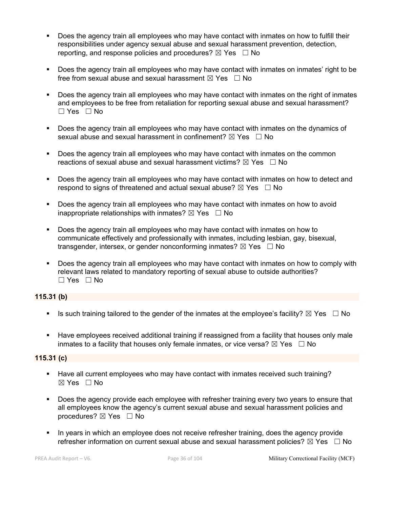- Does the agency train all employees who may have contact with inmates on how to fulfill their responsibilities under agency sexual abuse and sexual harassment prevention, detection, reporting, and response policies and procedures?  $\boxtimes$  Yes  $\Box$  No
- Does the agency train all employees who may have contact with inmates on inmates' right to be free from sexual abuse and sexual harassment  $\boxtimes$  Yes  $\Box$  No
- Does the agency train all employees who may have contact with inmates on the right of inmates and employees to be free from retaliation for reporting sexual abuse and sexual harassment? ☐ Yes ☐ No
- § Does the agency train all employees who may have contact with inmates on the dynamics of sexual abuse and sexual harassment in confinement?  $\boxtimes$  Yes  $\Box$  No
- Does the agency train all employees who may have contact with inmates on the common reactions of sexual abuse and sexual harassment victims?  $\boxtimes$  Yes  $\Box$  No
- Does the agency train all employees who may have contact with inmates on how to detect and respond to signs of threatened and actual sexual abuse?  $\boxtimes$  Yes  $\Box$  No
- Does the agency train all employees who may have contact with inmates on how to avoid inappropriate relationships with inmates?  $\boxtimes$  Yes  $\Box$  No
- Does the agency train all employees who may have contact with inmates on how to communicate effectively and professionally with inmates, including lesbian, gay, bisexual, transgender, intersex, or gender nonconforming inmates?  $\boxtimes$  Yes  $\Box$  No
- § Does the agency train all employees who may have contact with inmates on how to comply with relevant laws related to mandatory reporting of sexual abuse to outside authorities? ☐ Yes ☐ No

# **115.31 (b)**

- **•** Is such training tailored to the gender of the inmates at the employee's facility?  $\boxtimes$  Yes  $\Box$  No
- Have employees received additional training if reassigned from a facility that houses only male inmates to a facility that houses only female inmates, or vice versa?  $\boxtimes$  Yes  $\Box$  No

# **115.31 (c)**

- § Have all current employees who may have contact with inmates received such training?  $\boxtimes$  Yes  $\Box$  No
- Does the agency provide each employee with refresher training every two years to ensure that all employees know the agency's current sexual abuse and sexual harassment policies and procedures? ⊠ Yes □ No
- In years in which an employee does not receive refresher training, does the agency provide refresher information on current sexual abuse and sexual harassment policies?  $\boxtimes$  Yes  $\Box$  No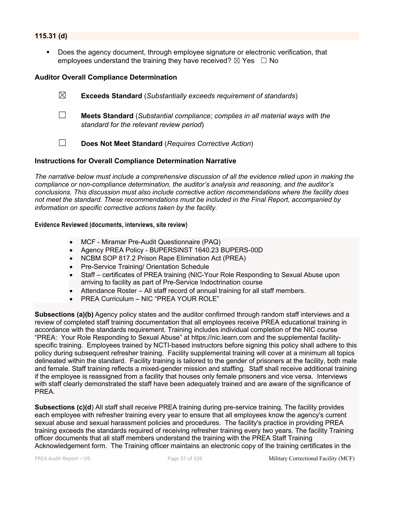## **115.31 (d)**

Does the agency document, through employee signature or electronic verification, that employees understand the training they have received?  $\boxtimes$  Yes  $\Box$  No

#### **Auditor Overall Compliance Determination**

- ☒ **Exceeds Standard** (*Substantially exceeds requirement of standards*) ☐ **Meets Standard** (*Substantial compliance; complies in all material ways with the standard for the relevant review period*)
- ☐ **Does Not Meet Standard** (*Requires Corrective Action*)

#### **Instructions for Overall Compliance Determination Narrative**

*The narrative below must include a comprehensive discussion of all the evidence relied upon in making the compliance or non-compliance determination, the auditor's analysis and reasoning, and the auditor's conclusions. This discussion must also include corrective action recommendations where the facility does not meet the standard. These recommendations must be included in the Final Report, accompanied by information on specific corrective actions taken by the facility.*

#### **Evidence Reviewed (documents, interviews, site review)**

- MCF Miramar Pre-Audit Questionnaire (PAQ)
- Agency PREA Policy BUPERSINST 1640.23 BUPERS-00D
- NCBM SOP 817.2 Prison Rape Elimination Act (PREA)
- Pre-Service Training/ Orientation Schedule
- Staff certificates of PREA training (NIC-Your Role Responding to Sexual Abuse upon arriving to facility as part of Pre-Service Indoctrination course
- Attendance Roster All staff record of annual training for all staff members.
- PREA Curriculum NIC "PREA YOUR ROLE"

**Subsections (a)(b)** Agency policy states and the auditor confirmed through random staff interviews and a review of completed staff training documentation that all employees receive PREA educational training in accordance with the standards requirement. Training includes individual completion of the NIC course "PREA: Your Role Responding to Sexual Abuse" at https://nic.learn.com and the supplemental facilityspecific training. Employees trained by NCTI-based instructors before signing this policy shall adhere to this policy during subsequent refresher training. Facility supplemental training will cover at a minimum all topics delineated within the standard. Facility training is tailored to the gender of prisoners at the facility, both male and female. Staff training reflects a mixed-gender mission and staffing. Staff shall receive additional training if the employee is reassigned from a facility that houses only female prisoners and vice versa. Interviews with staff clearly demonstrated the staff have been adequately trained and are aware of the significance of PREA.

**Subsections (c)(d**) All staff shall receive PREA training during pre-service training. The facility provides each employee with refresher training every year to ensure that all employees know the agency's current sexual abuse and sexual harassment policies and procedures. The facility's practice in providing PREA training exceeds the standards required of receiving refresher training every two years. The facility Training officer documents that all staff members understand the training with the PREA Staff Training Acknowledgement form. The Training officer maintains an electronic copy of the training certificates in the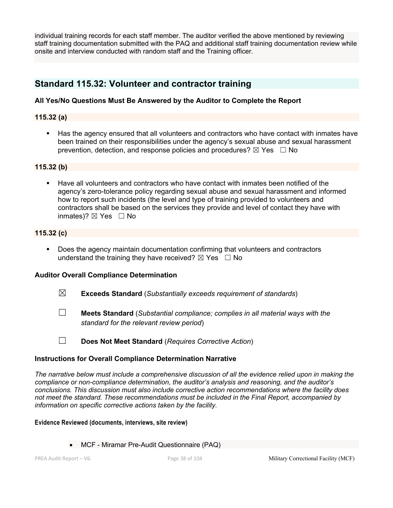individual training records for each staff member. The auditor verified the above mentioned by reviewing staff training documentation submitted with the PAQ and additional staff training documentation review while onsite and interview conducted with random staff and the Training officer.

# **Standard 115.32: Volunteer and contractor training**

### **All Yes/No Questions Must Be Answered by the Auditor to Complete the Report**

### **115.32 (a)**

Has the agency ensured that all volunteers and contractors who have contact with inmates have been trained on their responsibilities under the agency's sexual abuse and sexual harassment prevention, detection, and response policies and procedures?  $\boxtimes$  Yes  $\Box$  No

### **115.32 (b)**

§ Have all volunteers and contractors who have contact with inmates been notified of the agency's zero-tolerance policy regarding sexual abuse and sexual harassment and informed how to report such incidents (the level and type of training provided to volunteers and contractors shall be based on the services they provide and level of contact they have with inmates)?  $\boxtimes$  Yes  $\Box$  No

### **115.32 (c)**

§ Does the agency maintain documentation confirming that volunteers and contractors understand the training they have received?  $\boxtimes$  Yes  $\Box$  No

# **Auditor Overall Compliance Determination**

- ☒ **Exceeds Standard** (*Substantially exceeds requirement of standards*)
- ☐ **Meets Standard** (*Substantial compliance; complies in all material ways with the standard for the relevant review period*)
- ☐ **Does Not Meet Standard** (*Requires Corrective Action*)

#### **Instructions for Overall Compliance Determination Narrative**

*The narrative below must include a comprehensive discussion of all the evidence relied upon in making the compliance or non-compliance determination, the auditor's analysis and reasoning, and the auditor's conclusions. This discussion must also include corrective action recommendations where the facility does not meet the standard. These recommendations must be included in the Final Report, accompanied by information on specific corrective actions taken by the facility.*

#### **Evidence Reviewed (documents, interviews, site review)**

• MCF - Miramar Pre-Audit Questionnaire (PAQ)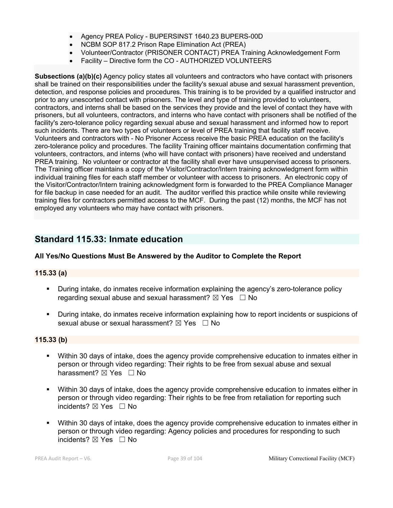- Agency PREA Policy BUPERSINST 1640.23 BUPERS-00D
- NCBM SOP 817.2 Prison Rape Elimination Act (PREA)
- Volunteer/Contractor (PRISONER CONTACT) PREA Training Acknowledgement Form
- Facility Directive form the CO AUTHORIZED VOLUNTEERS

**Subsections (a)(b)(c)** Agency policy states all volunteers and contractors who have contact with prisoners shall be trained on their responsibilities under the facility's sexual abuse and sexual harassment prevention, detection, and response policies and procedures. This training is to be provided by a qualified instructor and prior to any unescorted contact with prisoners. The level and type of training provided to volunteers, contractors, and interns shall be based on the services they provide and the level of contact they have with prisoners, but all volunteers, contractors, and interns who have contact with prisoners shall be notified of the facility's zero-tolerance policy regarding sexual abuse and sexual harassment and informed how to report such incidents. There are two types of volunteers or level of PREA training that facility staff receive. Volunteers and contractors with - No Prisoner Access receive the basic PREA education on the facility's zero-tolerance policy and procedures. The facility Training officer maintains documentation confirming that volunteers, contractors, and interns (who will have contact with prisoners) have received and understand PREA training. No volunteer or contractor at the facility shall ever have unsupervised access to prisoners. The Training officer maintains a copy of the Visitor/Contractor/Intern training acknowledgment form within individual training files for each staff member or volunteer with access to prisoners. An electronic copy of the Visitor/Contractor/Intern training acknowledgment form is forwarded to the PREA Compliance Manager for file backup in case needed for an audit. The auditor verified this practice while onsite while reviewing training files for contractors permitted access to the MCF. During the past (12) months, the MCF has not employed any volunteers who may have contact with prisoners.

# **Standard 115.33: Inmate education**

### **All Yes/No Questions Must Be Answered by the Auditor to Complete the Report**

### **115.33 (a)**

- § During intake, do inmates receive information explaining the agency's zero-tolerance policy regarding sexual abuse and sexual harassment?  $\boxtimes$  Yes  $\Box$  No
- § During intake, do inmates receive information explaining how to report incidents or suspicions of sexual abuse or sexual harassment?  $\boxtimes$  Yes  $\Box$  No

### **115.33 (b)**

- Within 30 days of intake, does the agency provide comprehensive education to inmates either in person or through video regarding: Their rights to be free from sexual abuse and sexual harassment?  $\boxtimes$  Yes  $\Box$  No
- § Within 30 days of intake, does the agency provide comprehensive education to inmates either in person or through video regarding: Their rights to be free from retaliation for reporting such incidents?  $\boxtimes$  Yes  $\Box$  No
- Within 30 days of intake, does the agency provide comprehensive education to inmates either in person or through video regarding: Agency policies and procedures for responding to such incidents? **⊠** Yes □ No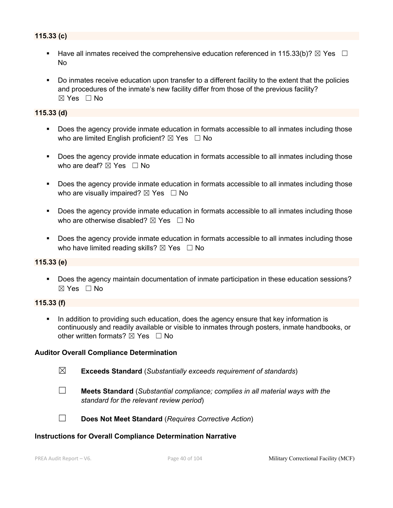# **115.33 (c)**

- Have all inmates received the comprehensive education referenced in 115.33(b)?  $\boxtimes$  Yes  $\Box$ No
- Do inmates receive education upon transfer to a different facility to the extent that the policies and procedures of the inmate's new facility differ from those of the previous facility?  $\boxtimes$  Yes  $\Box$  No

#### **115.33 (d)**

- Does the agency provide inmate education in formats accessible to all inmates including those who are limited English proficient?  $\boxtimes$  Yes  $\Box$  No
- Does the agency provide inmate education in formats accessible to all inmates including those who are deaf?  $\boxtimes$  Yes  $\Box$  No
- Does the agency provide inmate education in formats accessible to all inmates including those who are visually impaired?  $\boxtimes$  Yes  $\Box$  No
- Does the agency provide inmate education in formats accessible to all inmates including those who are otherwise disabled?  $\boxtimes$  Yes  $\Box$  No
- Does the agency provide inmate education in formats accessible to all inmates including those who have limited reading skills?  $\boxtimes$  Yes  $\Box$  No

### **115.33 (e)**

§ Does the agency maintain documentation of inmate participation in these education sessions? ☒ Yes ☐ No

### **115.33 (f)**

In addition to providing such education, does the agency ensure that key information is continuously and readily available or visible to inmates through posters, inmate handbooks, or other written formats?  $\nabla$  Yes  $\Box$  No

#### **Auditor Overall Compliance Determination**

- ☒ **Exceeds Standard** (*Substantially exceeds requirement of standards*)
- 
- ☐ **Meets Standard** (*Substantial compliance; complies in all material ways with the standard for the relevant review period*)



☐ **Does Not Meet Standard** (*Requires Corrective Action*)

#### **Instructions for Overall Compliance Determination Narrative**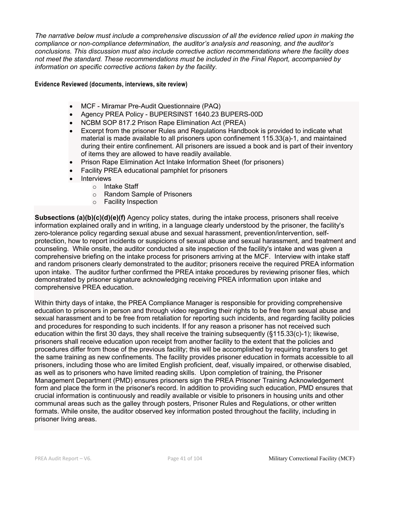*The narrative below must include a comprehensive discussion of all the evidence relied upon in making the compliance or non-compliance determination, the auditor's analysis and reasoning, and the auditor's conclusions. This discussion must also include corrective action recommendations where the facility does not meet the standard. These recommendations must be included in the Final Report, accompanied by information on specific corrective actions taken by the facility.*

**Evidence Reviewed (documents, interviews, site review)** 

- MCF Miramar Pre-Audit Questionnaire (PAQ)
- Agency PREA Policy BUPERSINST 1640.23 BUPERS-00D
- NCBM SOP 817.2 Prison Rape Elimination Act (PREA)
- Excerpt from the prisoner Rules and Regulations Handbook is provided to indicate what material is made available to all prisoners upon confinement 115.33(a)-1, and maintained during their entire confinement. All prisoners are issued a book and is part of their inventory of items they are allowed to have readily available.
- Prison Rape Elimination Act Intake Information Sheet (for prisoners)
- Facility PREA educational pamphlet for prisoners
- Interviews
	- o Intake Staff
	- o Random Sample of Prisoners
	- o Facility Inspection

**Subsections (a)(b)(c)(d)(e)(f)** Agency policy states, during the intake process, prisoners shall receive information explained orally and in writing, in a language clearly understood by the prisoner, the facility's zero-tolerance policy regarding sexual abuse and sexual harassment, prevention/intervention, selfprotection, how to report incidents or suspicions of sexual abuse and sexual harassment, and treatment and counseling. While onsite, the auditor conducted a site inspection of the facility's intake and was given a comprehensive briefing on the intake process for prisoners arriving at the MCF. Interview with intake staff and random prisoners clearly demonstrated to the auditor; prisoners receive the required PREA information upon intake. The auditor further confirmed the PREA intake procedures by reviewing prisoner files, which demonstrated by prisoner signature acknowledging receiving PREA information upon intake and comprehensive PREA education.

Within thirty days of intake, the PREA Compliance Manager is responsible for providing comprehensive education to prisoners in person and through video regarding their rights to be free from sexual abuse and sexual harassment and to be free from retaliation for reporting such incidents, and regarding facility policies and procedures for responding to such incidents. If for any reason a prisoner has not received such education within the first 30 days, they shall receive the training subsequently (§115.33(c)-1); likewise, prisoners shall receive education upon receipt from another facility to the extent that the policies and procedures differ from those of the previous facility; this will be accomplished by requiring transfers to get the same training as new confinements. The facility provides prisoner education in formats accessible to all prisoners, including those who are limited English proficient, deaf, visually impaired, or otherwise disabled, as well as to prisoners who have limited reading skills. Upon completion of training, the Prisoner Management Department (PMD) ensures prisoners sign the PREA Prisoner Training Acknowledgement form and place the form in the prisoner's record. In addition to providing such education, PMD ensures that crucial information is continuously and readily available or visible to prisoners in housing units and other communal areas such as the galley through posters, Prisoner Rules and Regulations, or other written formats. While onsite, the auditor observed key information posted throughout the facility, including in prisoner living areas.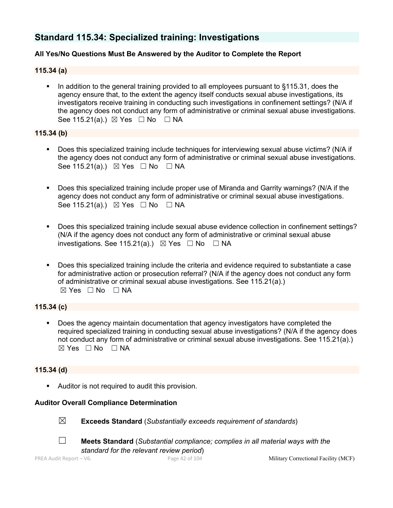# **Standard 115.34: Specialized training: Investigations**

# **All Yes/No Questions Must Be Answered by the Auditor to Complete the Report**

**115.34 (a)**

In addition to the general training provided to all employees pursuant to §115.31, does the agency ensure that, to the extent the agency itself conducts sexual abuse investigations, its investigators receive training in conducting such investigations in confinement settings? (N/A if the agency does not conduct any form of administrative or criminal sexual abuse investigations. See 115.21(a).)  $\boxtimes$  Yes  $\Box$  No  $\Box$  NA

#### **115.34 (b)**

- § Does this specialized training include techniques for interviewing sexual abuse victims? (N/A if the agency does not conduct any form of administrative or criminal sexual abuse investigations. See 115.21(a).)  $\boxtimes$  Yes  $\Box$  No  $\Box$  NA
- § Does this specialized training include proper use of Miranda and Garrity warnings? (N/A if the agency does not conduct any form of administrative or criminal sexual abuse investigations. See 115.21(a).)  $\boxtimes$  Yes  $\Box$  No  $\Box$  NA
- § Does this specialized training include sexual abuse evidence collection in confinement settings? (N/A if the agency does not conduct any form of administrative or criminal sexual abuse investigations. See 115.21(a).)  $\boxtimes$  Yes  $\Box$  No  $\Box$  NA
- § Does this specialized training include the criteria and evidence required to substantiate a case for administrative action or prosecution referral? (N/A if the agency does not conduct any form of administrative or criminal sexual abuse investigations. See 115.21(a).)  $\boxtimes$  Yes  $\Box$  No  $\Box$  NA

# **115.34 (c)**

§ Does the agency maintain documentation that agency investigators have completed the required specialized training in conducting sexual abuse investigations? (N/A if the agency does not conduct any form of administrative or criminal sexual abuse investigations. See 115.21(a).)  $\boxtimes$  Yes  $\Box$  No  $\Box$  NA

### **115.34 (d)**

**•** Auditor is not required to audit this provision.

### **Auditor Overall Compliance Determination**

☒ **Exceeds Standard** (*Substantially exceeds requirement of standards*)





☐ **Meets Standard** (*Substantial compliance; complies in all material ways with the standard for the relevant review period*)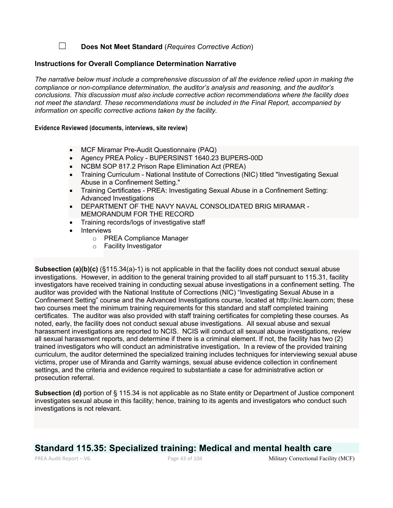☐ **Does Not Meet Standard** (*Requires Corrective Action*)

#### **Instructions for Overall Compliance Determination Narrative**

*The narrative below must include a comprehensive discussion of all the evidence relied upon in making the compliance or non-compliance determination, the auditor's analysis and reasoning, and the auditor's conclusions. This discussion must also include corrective action recommendations where the facility does not meet the standard. These recommendations must be included in the Final Report, accompanied by information on specific corrective actions taken by the facility.*

#### **Evidence Reviewed (documents, interviews, site review)**

- MCF Miramar Pre-Audit Questionnaire (PAQ)
- Agency PREA Policy BUPERSINST 1640.23 BUPERS-00D
- NCBM SOP 817.2 Prison Rape Elimination Act (PREA)
- Training Curriculum National Institute of Corrections (NIC) titled "Investigating Sexual Abuse in a Confinement Setting."
- Training Certificates PREA: Investigating Sexual Abuse in a Confinement Setting: Advanced Investigations
- DEPARTMENT OF THE NAVY NAVAL CONSOLIDATED BRIG MIRAMAR MEMORANDUM FOR THE RECORD
- Training records/logs of investigative staff
- Interviews
	- o PREA Compliance Manager
	- o Facility Investigator

**Subsection (a)(b)(c)** (§115.34(a)-1) is not applicable in that the facility does not conduct sexual abuse investigations. However, in addition to the general training provided to all staff pursuant to 115.31, facility investigators have received training in conducting sexual abuse investigations in a confinement setting. The auditor was provided with the National Institute of Corrections (NIC) "Investigating Sexual Abuse in a Confinement Setting" course and the Advanced Investigations course, located at http://nic.learn.com; these two courses meet the minimum training requirements for this standard and staff completed training certificates. The auditor was also provided with staff training certificates for completing these courses. As noted, early, the facility does not conduct sexual abuse investigations. All sexual abuse and sexual harassment investigations are reported to NCIS. NCIS will conduct all sexual abuse investigations, review all sexual harassment reports, and determine if there is a criminal element. If not, the facility has two (2) trained investigators who will conduct an administrative investigation**.** In a review of the provided training curriculum, the auditor determined the specialized training includes techniques for interviewing sexual abuse victims, proper use of Miranda and Garrity warnings, sexual abuse evidence collection in confinement settings, and the criteria and evidence required to substantiate a case for administrative action or prosecution referral.

**Subsection (d)** portion of § 115.34 is not applicable as no State entity or Department of Justice component investigates sexual abuse in this facility; hence, training to its agents and investigators who conduct such investigations is not relevant.

# **Standard 115.35: Specialized training: Medical and mental health care**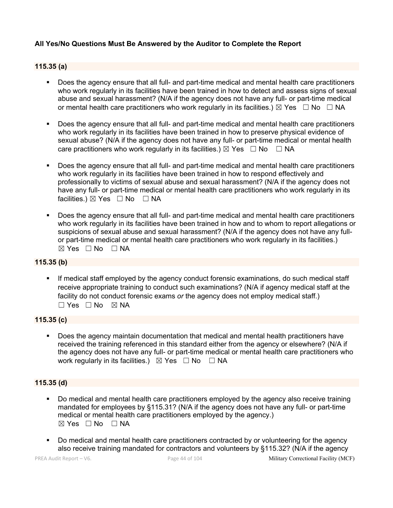# **All Yes/No Questions Must Be Answered by the Auditor to Complete the Report**

#### **115.35 (a)**

- § Does the agency ensure that all full- and part-time medical and mental health care practitioners who work regularly in its facilities have been trained in how to detect and assess signs of sexual abuse and sexual harassment? (N/A if the agency does not have any full- or part-time medical or mental health care practitioners who work regularly in its facilities.)  $\boxtimes$  Yes  $\Box$  No  $\Box$  NA
- Does the agency ensure that all full- and part-time medical and mental health care practitioners who work regularly in its facilities have been trained in how to preserve physical evidence of sexual abuse? (N/A if the agency does not have any full- or part-time medical or mental health care practitioners who work regularly in its facilities.)  $\boxtimes$  Yes  $\Box$  No  $\Box$  NA
- Does the agency ensure that all full- and part-time medical and mental health care practitioners who work regularly in its facilities have been trained in how to respond effectively and professionally to victims of sexual abuse and sexual harassment? (N/A if the agency does not have any full- or part-time medical or mental health care practitioners who work regularly in its facilities.)  $\boxtimes$  Yes  $\Box$  No  $\Box$  NA
- Does the agency ensure that all full- and part-time medical and mental health care practitioners who work regularly in its facilities have been trained in how and to whom to report allegations or suspicions of sexual abuse and sexual harassment? (N/A if the agency does not have any fullor part-time medical or mental health care practitioners who work regularly in its facilities.)  $\boxtimes$  Yes  $\Box$  No  $\Box$  NA

#### **115.35 (b)**

If medical staff employed by the agency conduct forensic examinations, do such medical staff receive appropriate training to conduct such examinations? (N/A if agency medical staff at the facility do not conduct forensic exams *or* the agency does not employ medical staff.)  $\Box$  Yes  $\Box$  No  $\boxtimes$  NA

#### **115.35 (c)**

§ Does the agency maintain documentation that medical and mental health practitioners have received the training referenced in this standard either from the agency or elsewhere? (N/A if the agency does not have any full- or part-time medical or mental health care practitioners who work regularly in its facilities.)  $\boxtimes$  Yes  $\Box$  No  $\Box$  NA

### **115.35 (d)**

- Do medical and mental health care practitioners employed by the agency also receive training mandated for employees by §115.31? (N/A if the agency does not have any full- or part-time medical or mental health care practitioners employed by the agency.)  $\boxtimes$  Yes  $\Box$  No  $\Box$  NA
- Do medical and mental health care practitioners contracted by or volunteering for the agency also receive training mandated for contractors and volunteers by §115.32? (N/A if the agency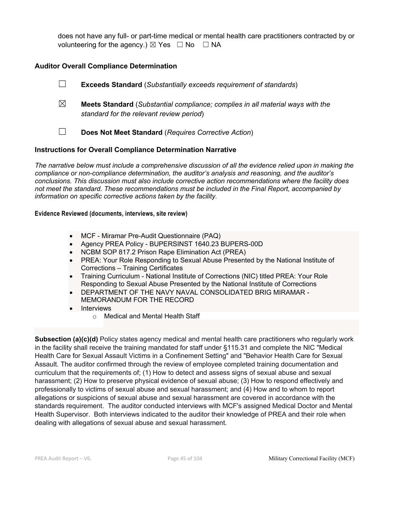does not have any full- or part-time medical or mental health care practitioners contracted by or volunteering for the agency.)  $\boxtimes$  Yes  $\Box$  No  $\Box$  NA

# **Auditor Overall Compliance Determination**

- ☐ **Exceeds Standard** (*Substantially exceeds requirement of standards*) ☒ **Meets Standard** (*Substantial compliance; complies in all material ways with the standard for the relevant review period*)
- ☐ **Does Not Meet Standard** (*Requires Corrective Action*)

#### **Instructions for Overall Compliance Determination Narrative**

*The narrative below must include a comprehensive discussion of all the evidence relied upon in making the compliance or non-compliance determination, the auditor's analysis and reasoning, and the auditor's conclusions. This discussion must also include corrective action recommendations where the facility does not meet the standard. These recommendations must be included in the Final Report, accompanied by information on specific corrective actions taken by the facility.*

#### **Evidence Reviewed (documents, interviews, site review)**

- MCF Miramar Pre-Audit Questionnaire (PAQ)
- Agency PREA Policy BUPERSINST 1640.23 BUPERS-00D
- NCBM SOP 817.2 Prison Rape Elimination Act (PREA)
- PREA: Your Role Responding to Sexual Abuse Presented by the National Institute of Corrections – Training Certificates
- Training Curriculum National Institute of Corrections (NIC) titled PREA: Your Role Responding to Sexual Abuse Presented by the National Institute of Corrections
- DEPARTMENT OF THE NAVY NAVAL CONSOLIDATED BRIG MIRAMAR MEMORANDUM FOR THE RECORD
- Interviews
	- o Medical and Mental Health Staff

**Subsection (a)(c)(d)** Policy states agency medical and mental health care practitioners who regularly work in the facility shall receive the training mandated for staff under §115.31 and complete the NIC "Medical Health Care for Sexual Assault Victims in a Confinement Setting" and "Behavior Health Care for Sexual Assault. The auditor confirmed through the review of employee completed training documentation and curriculum that the requirements of; (1) How to detect and assess signs of sexual abuse and sexual harassment; (2) How to preserve physical evidence of sexual abuse; (3) How to respond effectively and professionally to victims of sexual abuse and sexual harassment; and (4) How and to whom to report allegations or suspicions of sexual abuse and sexual harassment are covered in accordance with the standards requirement. The auditor conducted interviews with MCF's assigned Medical Doctor and Mental Health Supervisor. Both interviews indicated to the auditor their knowledge of PREA and their role when dealing with allegations of sexual abuse and sexual harassment.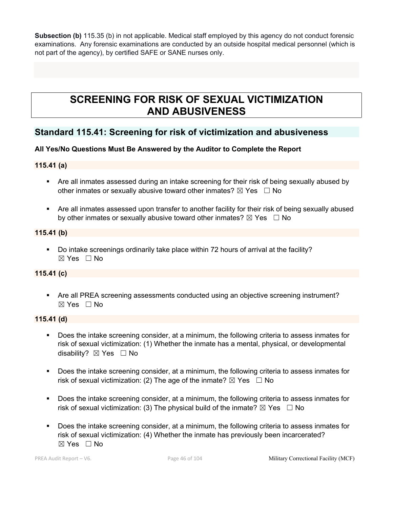**Subsection (b)** 115.35 (b) in not applicable. Medical staff employed by this agency do not conduct forensic examinations. Any forensic examinations are conducted by an outside hospital medical personnel (which is not part of the agency), by certified SAFE or SANE nurses only.

# **SCREENING FOR RISK OF SEXUAL VICTIMIZATION AND ABUSIVENESS**

# **Standard 115.41: Screening for risk of victimization and abusiveness**

# **All Yes/No Questions Must Be Answered by the Auditor to Complete the Report**

### **115.41 (a)**

- § Are all inmates assessed during an intake screening for their risk of being sexually abused by other inmates or sexually abusive toward other inmates?  $\boxtimes$  Yes  $\Box$  No
- § Are all inmates assessed upon transfer to another facility for their risk of being sexually abused by other inmates or sexually abusive toward other inmates?  $\boxtimes$  Yes  $\Box$  No

# **115.41 (b)**

• Do intake screenings ordinarily take place within 72 hours of arrival at the facility?  $\boxtimes$  Yes  $\Box$  No

# **115.41 (c)**

• Are all PREA screening assessments conducted using an objective screening instrument? ☒ Yes ☐ No

## **115.41 (d)**

- § Does the intake screening consider, at a minimum, the following criteria to assess inmates for risk of sexual victimization: (1) Whether the inmate has a mental, physical, or developmental disability?  $\boxtimes$  Yes  $\Box$  No
- § Does the intake screening consider, at a minimum, the following criteria to assess inmates for risk of sexual victimization: (2) The age of the inmate?  $\boxtimes$  Yes  $\Box$  No
- Does the intake screening consider, at a minimum, the following criteria to assess inmates for risk of sexual victimization: (3) The physical build of the inmate?  $\boxtimes$  Yes  $\Box$  No
- § Does the intake screening consider, at a minimum, the following criteria to assess inmates for risk of sexual victimization: (4) Whether the inmate has previously been incarcerated?  $\boxtimes$  Yes  $\Box$  No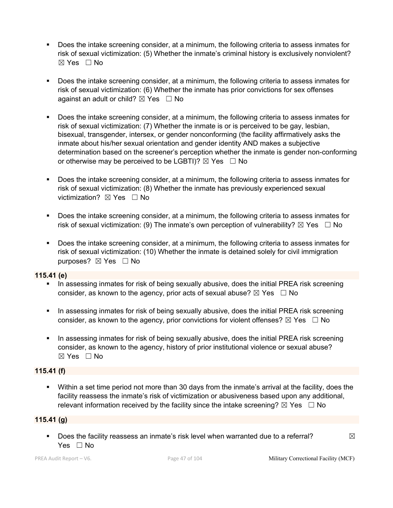- § Does the intake screening consider, at a minimum, the following criteria to assess inmates for risk of sexual victimization: (5) Whether the inmate's criminal history is exclusively nonviolent?  $\boxtimes$  Yes  $\Box$  No
- Does the intake screening consider, at a minimum, the following criteria to assess inmates for risk of sexual victimization: (6) Whether the inmate has prior convictions for sex offenses against an adult or child?  $\boxtimes$  Yes  $\Box$  No
- § Does the intake screening consider, at a minimum, the following criteria to assess inmates for risk of sexual victimization: (7) Whether the inmate is or is perceived to be gay, lesbian, bisexual, transgender, intersex, or gender nonconforming (the facility affirmatively asks the inmate about his/her sexual orientation and gender identity AND makes a subjective determination based on the screener's perception whether the inmate is gender non-conforming or otherwise may be perceived to be LGBTI)?  $\boxtimes$  Yes  $\Box$  No
- § Does the intake screening consider, at a minimum, the following criteria to assess inmates for risk of sexual victimization: (8) Whether the inmate has previously experienced sexual victimization? **⊠** Yes □ No
- § Does the intake screening consider, at a minimum, the following criteria to assess inmates for risk of sexual victimization: (9) The inmate's own perception of vulnerability?  $\boxtimes$  Yes  $\Box$  No
- Does the intake screening consider, at a minimum, the following criteria to assess inmates for risk of sexual victimization: (10) Whether the inmate is detained solely for civil immigration purposes? ⊠ Yes □ No

### **115.41 (e)**

- In assessing inmates for risk of being sexually abusive, does the initial PREA risk screening consider, as known to the agency, prior acts of sexual abuse?  $\boxtimes$  Yes  $\Box$  No
- In assessing inmates for risk of being sexually abusive, does the initial PREA risk screening consider, as known to the agency, prior convictions for violent offenses?  $\boxtimes$  Yes  $\Box$  No
- In assessing inmates for risk of being sexually abusive, does the initial PREA risk screening consider, as known to the agency, history of prior institutional violence or sexual abuse? ☒ Yes ☐ No

### **115.41 (f)**

§ Within a set time period not more than 30 days from the inmate's arrival at the facility, does the facility reassess the inmate's risk of victimization or abusiveness based upon any additional, relevant information received by the facility since the intake screening?  $\boxtimes$  Yes  $\Box$  No

### **115.41 (g)**

**•** Does the facility reassess an inmate's risk level when warranted due to a referral?  $\boxtimes$ Yes □ No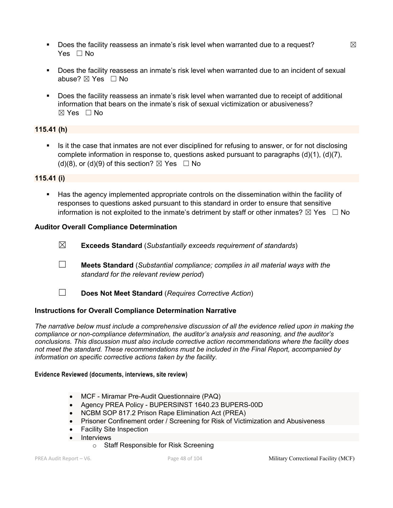- **•** Does the facility reassess an inmate's risk level when warranted due to a request?  $\boxtimes$ Yes □ No
- § Does the facility reassess an inmate's risk level when warranted due to an incident of sexual abuse?  $⊠$  Yes  $□$  No
- § Does the facility reassess an inmate's risk level when warranted due to receipt of additional information that bears on the inmate's risk of sexual victimization or abusiveness?  $\boxtimes$  Yes  $\Box$  No

# **115.41 (h)**

• Is it the case that inmates are not ever disciplined for refusing to answer, or for not disclosing complete information in response to, questions asked pursuant to paragraphs (d)(1), (d)(7), (d)(8), or (d)(9) of this section?  $\boxtimes$  Yes  $\Box$  No

### **115.41 (i)**

§ Has the agency implemented appropriate controls on the dissemination within the facility of responses to questions asked pursuant to this standard in order to ensure that sensitive information is not exploited to the inmate's detriment by staff or other inmates?  $\boxtimes$  Yes  $\Box$  No

#### **Auditor Overall Compliance Determination**

- ☒ **Exceeds Standard** (*Substantially exceeds requirement of standards*)
- ☐ **Meets Standard** (*Substantial compliance; complies in all material ways with the standard for the relevant review period*)
- ☐ **Does Not Meet Standard** (*Requires Corrective Action*)

### **Instructions for Overall Compliance Determination Narrative**

*The narrative below must include a comprehensive discussion of all the evidence relied upon in making the compliance or non-compliance determination, the auditor's analysis and reasoning, and the auditor's conclusions. This discussion must also include corrective action recommendations where the facility does not meet the standard. These recommendations must be included in the Final Report, accompanied by information on specific corrective actions taken by the facility.*

#### **Evidence Reviewed (documents, interviews, site review)**

- MCF Miramar Pre-Audit Questionnaire (PAQ)
- Agency PREA Policy BUPERSINST 1640.23 BUPERS-00D
- NCBM SOP 817.2 Prison Rape Elimination Act (PREA)
- Prisoner Confinement order / Screening for Risk of Victimization and Abusiveness
- Facility Site Inspection
- Interviews
	- o Staff Responsible for Risk Screening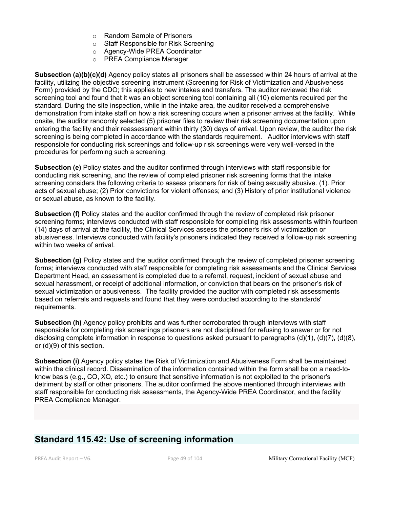- o Random Sample of Prisoners
- o Staff Responsible for Risk Screening
- o Agency-Wide PREA Coordinator
- o PREA Compliance Manager

**Subsection (a)(b)(c)(d)** Agency policy states all prisoners shall be assessed within 24 hours of arrival at the facility, utilizing the objective screening instrument (Screening for Risk of Victimization and Abusiveness Form) provided by the CDO; this applies to new intakes and transfers. The auditor reviewed the risk screening tool and found that it was an object screening tool containing all (10) elements required per the standard. During the site inspection, while in the intake area, the auditor received a comprehensive demonstration from intake staff on how a risk screening occurs when a prisoner arrives at the facility. While onsite, the auditor randomly selected (5) prisoner files to review their risk screening documentation upon entering the facility and their reassessment within thirty (30) days of arrival. Upon review, the auditor the risk screening is being completed in accordance with the standards requirement. Auditor interviews with staff responsible for conducting risk screenings and follow-up risk screenings were very well-versed in the procedures for performing such a screening.

**Subsection (e)** Policy states and the auditor confirmed through interviews with staff responsible for conducting risk screening, and the review of completed prisoner risk screening forms that the intake screening considers the following criteria to assess prisoners for risk of being sexually abusive. (1). Prior acts of sexual abuse; (2) Prior convictions for violent offenses; and (3) History of prior institutional violence or sexual abuse, as known to the facility.

**Subsection (f)** Policy states and the auditor confirmed through the review of completed risk prisoner screening forms; interviews conducted with staff responsible for completing risk assessments within fourteen (14) days of arrival at the facility, the Clinical Services assess the prisoner's risk of victimization or abusiveness. Interviews conducted with facility's prisoners indicated they received a follow-up risk screening within two weeks of arrival.

**Subsection (g)** Policy states and the auditor confirmed through the review of completed prisoner screening forms; interviews conducted with staff responsible for completing risk assessments and the Clinical Services Department Head, an assessment is completed due to a referral, request, incident of sexual abuse and sexual harassment, or receipt of additional information, or conviction that bears on the prisoner's risk of sexual victimization or abusiveness. The facility provided the auditor with completed risk assessments based on referrals and requests and found that they were conducted according to the standards' requirements.

**Subsection (h)** Agency policy prohibits and was further corroborated through interviews with staff responsible for completing risk screenings prisoners are not disciplined for refusing to answer or for not disclosing complete information in response to questions asked pursuant to paragraphs (d)(1), (d)(7), (d)(8), or (d)(9) of this section**.**

**Subsection (i)** Agency policy states the Risk of Victimization and Abusiveness Form shall be maintained within the clinical record. Dissemination of the information contained within the form shall be on a need-toknow basis (e.g., CO, XO, etc.) to ensure that sensitive information is not exploited to the prisoner's detriment by staff or other prisoners. The auditor confirmed the above mentioned through interviews with staff responsible for conducting risk assessments, the Agency-Wide PREA Coordinator, and the facility PREA Compliance Manager.

# **Standard 115.42: Use of screening information**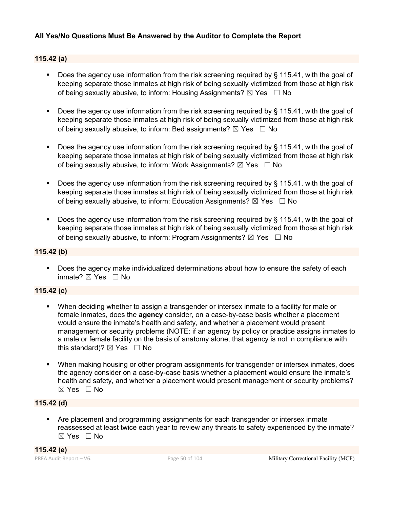# **All Yes/No Questions Must Be Answered by the Auditor to Complete the Report**

### **115.42 (a)**

- Does the agency use information from the risk screening required by § 115.41, with the goal of keeping separate those inmates at high risk of being sexually victimized from those at high risk of being sexually abusive, to inform: Housing Assignments?  $\boxtimes$  Yes  $\Box$  No
- **•** Does the agency use information from the risk screening required by  $\S$  115.41, with the goal of keeping separate those inmates at high risk of being sexually victimized from those at high risk of being sexually abusive, to inform: Bed assignments?  $\boxtimes$  Yes  $\Box$  No
- § Does the agency use information from the risk screening required by § 115.41, with the goal of keeping separate those inmates at high risk of being sexually victimized from those at high risk of being sexually abusive, to inform: Work Assignments?  $\boxtimes$  Yes  $\Box$  No
- Does the agency use information from the risk screening required by § 115.41, with the goal of keeping separate those inmates at high risk of being sexually victimized from those at high risk of being sexually abusive, to inform: Education Assignments?  $\boxtimes$  Yes  $\Box$  No
- **•** Does the agency use information from the risk screening required by  $\S$  115.41, with the goal of keeping separate those inmates at high risk of being sexually victimized from those at high risk of being sexually abusive, to inform: Program Assignments?  $\boxtimes$  Yes  $\Box$  No

#### **115.42 (b)**

■ Does the agency make individualized determinations about how to ensure the safety of each inmate? ☒ Yes ☐ No

### **115.42 (c)**

- When deciding whether to assign a transgender or intersex inmate to a facility for male or female inmates, does the **agency** consider, on a case-by-case basis whether a placement would ensure the inmate's health and safety, and whether a placement would present management or security problems (NOTE: if an agency by policy or practice assigns inmates to a male or female facility on the basis of anatomy alone, that agency is not in compliance with this standard)?  $\boxtimes$  Yes  $\Box$  No
- When making housing or other program assignments for transgender or intersex inmates, does the agency consider on a case-by-case basis whether a placement would ensure the inmate's health and safety, and whether a placement would present management or security problems?  $\boxtimes$  Yes  $\Box$  No

# **115.42 (d)**

§ Are placement and programming assignments for each transgender or intersex inmate reassessed at least twice each year to review any threats to safety experienced by the inmate? ☒ Yes ☐ No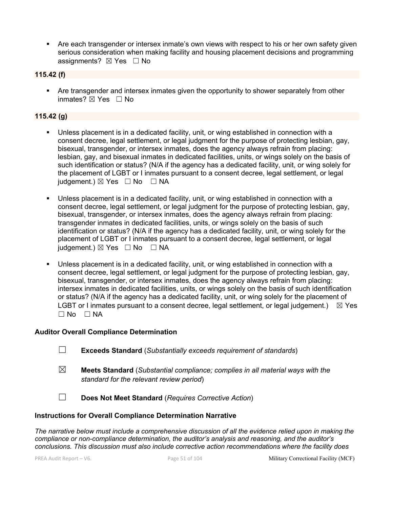• Are each transgender or intersex inmate's own views with respect to his or her own safety given serious consideration when making facility and housing placement decisions and programming assignments? ⊠ Yes □ No

#### **115.42 (f)**

• Are transgender and intersex inmates given the opportunity to shower separately from other inmates? ☒ Yes ☐ No

# **115.42 (g)**

- Unless placement is in a dedicated facility, unit, or wing established in connection with a consent decree, legal settlement, or legal judgment for the purpose of protecting lesbian, gay, bisexual, transgender, or intersex inmates, does the agency always refrain from placing: lesbian, gay, and bisexual inmates in dedicated facilities, units, or wings solely on the basis of such identification or status? (N/A if the agency has a dedicated facility, unit, or wing solely for the placement of LGBT or I inmates pursuant to a consent decree, legal settlement, or legal judgement.)  $\boxtimes$  Yes  $\Box$  No  $\Box$  NA
- Unless placement is in a dedicated facility, unit, or wing established in connection with a consent decree, legal settlement, or legal judgment for the purpose of protecting lesbian, gay, bisexual, transgender, or intersex inmates, does the agency always refrain from placing: transgender inmates in dedicated facilities, units, or wings solely on the basis of such identification or status? (N/A if the agency has a dedicated facility, unit, or wing solely for the placement of LGBT or I inmates pursuant to a consent decree, legal settlement, or legal judgement.)  $\boxtimes$  Yes  $\Box$  No  $\Box$  NA
- Unless placement is in a dedicated facility, unit, or wing established in connection with a consent decree, legal settlement, or legal judgment for the purpose of protecting lesbian, gay, bisexual, transgender, or intersex inmates, does the agency always refrain from placing: intersex inmates in dedicated facilities, units, or wings solely on the basis of such identification or status? (N/A if the agency has a dedicated facility, unit, or wing solely for the placement of LGBT or I inmates pursuant to a consent decree, legal settlement, or legal judgement.)  $\boxtimes$  Yes  $\square$  No  $\square$  NA

#### **Auditor Overall Compliance Determination**

- ☐ **Exceeds Standard** (*Substantially exceeds requirement of standards*)
- ☒ **Meets Standard** (*Substantial compliance; complies in all material ways with the standard for the relevant review period*)
- ☐ **Does Not Meet Standard** (*Requires Corrective Action*)

#### **Instructions for Overall Compliance Determination Narrative**

*The narrative below must include a comprehensive discussion of all the evidence relied upon in making the compliance or non-compliance determination, the auditor's analysis and reasoning, and the auditor's conclusions. This discussion must also include corrective action recommendations where the facility does*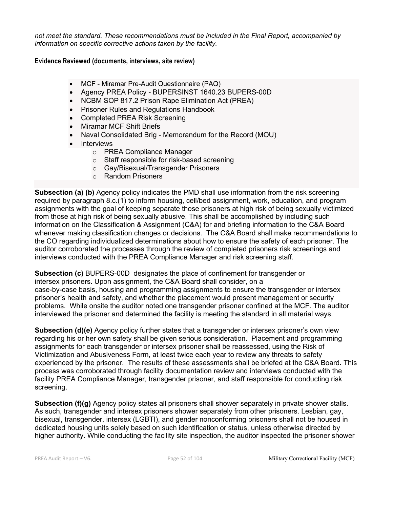*not meet the standard. These recommendations must be included in the Final Report, accompanied by information on specific corrective actions taken by the facility.*

#### **Evidence Reviewed (documents, interviews, site review)**

- MCF Miramar Pre-Audit Questionnaire (PAQ)
- Agency PREA Policy BUPERSINST 1640.23 BUPERS-00D
- NCBM SOP 817.2 Prison Rape Elimination Act (PREA)
- Prisoner Rules and Regulations Handbook
- Completed PREA Risk Screening
- Miramar MCF Shift Briefs
- Naval Consolidated Brig Memorandum for the Record (MOU)
- Interviews
	- o PREA Compliance Manager
	- o Staff responsible for risk-based screening
	- o Gay/Bisexual/Transgender Prisoners
	- o Random Prisoners

**Subsection (a) (b)** Agency policy indicates the PMD shall use information from the risk screening required by paragraph 8.c.(1) to inform housing, cell/bed assignment, work, education, and program assignments with the goal of keeping separate those prisoners at high risk of being sexually victimized from those at high risk of being sexually abusive. This shall be accomplished by including such information on the Classification & Assignment (C&A) for and briefing information to the C&A Board whenever making classification changes or decisions. The C&A Board shall make recommendations to the CO regarding individualized determinations about how to ensure the safety of each prisoner. The auditor corroborated the processes through the review of completed prisoners risk screenings and interviews conducted with the PREA Compliance Manager and risk screening staff.

**Subsection (c)** BUPERS-00D designates the place of confinement for transgender or intersex prisoners. Upon assignment, the C&A Board shall consider, on a case-by-case basis, housing and programming assignments to ensure the transgender or intersex prisoner's health and safety, and whether the placement would present management or security problems. While onsite the auditor noted one transgender prisoner confined at the MCF. The auditor interviewed the prisoner and determined the facility is meeting the standard in all material ways.

**Subsection (d)(e)** Agency policy further states that a transgender or intersex prisoner's own view regarding his or her own safety shall be given serious consideration. Placement and programming assignments for each transgender or intersex prisoner shall be reassessed, using the Risk of Victimization and Abusiveness Form, at least twice each year to review any threats to safety experienced by the prisoner. The results of these assessments shall be briefed at the C&A Board**.** This process was corroborated through facility documentation review and interviews conducted with the facility PREA Compliance Manager, transgender prisoner, and staff responsible for conducting risk screening.

**Subsection (f)(g)** Agency policy states all prisoners shall shower separately in private shower stalls. As such, transgender and intersex prisoners shower separately from other prisoners. Lesbian, gay, bisexual, transgender, intersex (LGBTI), and gender nonconforming prisoners shall not be housed in dedicated housing units solely based on such identification or status, unless otherwise directed by higher authority. While conducting the facility site inspection, the auditor inspected the prisoner shower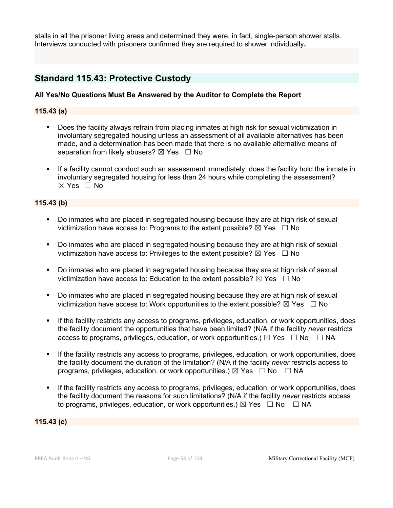stalls in all the prisoner living areas and determined they were, in fact, single-person shower stalls. Interviews conducted with prisoners confirmed they are required to shower individually**.**

# **Standard 115.43: Protective Custody**

### **All Yes/No Questions Must Be Answered by the Auditor to Complete the Report**

#### **115.43 (a)**

- § Does the facility always refrain from placing inmates at high risk for sexual victimization in involuntary segregated housing unless an assessment of all available alternatives has been made, and a determination has been made that there is no available alternative means of separation from likely abusers?  $\boxtimes$  Yes  $\Box$  No
- If a facility cannot conduct such an assessment immediately, does the facility hold the inmate in involuntary segregated housing for less than 24 hours while completing the assessment?  $\boxtimes$  Yes  $\Box$  No

#### **115.43 (b)**

- § Do inmates who are placed in segregated housing because they are at high risk of sexual victimization have access to: Programs to the extent possible?  $\boxtimes$  Yes  $\Box$  No
- § Do inmates who are placed in segregated housing because they are at high risk of sexual victimization have access to: Privileges to the extent possible?  $\boxtimes$  Yes  $\Box$  No
- § Do inmates who are placed in segregated housing because they are at high risk of sexual victimization have access to: Education to the extent possible?  $\boxtimes$  Yes  $\Box$  No
- § Do inmates who are placed in segregated housing because they are at high risk of sexual victimization have access to: Work opportunities to the extent possible?  $\boxtimes$  Yes  $\Box$  No
- If the facility restricts any access to programs, privileges, education, or work opportunities, does the facility document the opportunities that have been limited? (N/A if the facility *never* restricts access to programs, privileges, education, or work opportunities.)  $\boxtimes$  Yes  $\Box$  No  $\Box$  NA
- If the facility restricts any access to programs, privileges, education, or work opportunities, does the facility document the duration of the limitation? (N/A if the facility *never* restricts access to programs, privileges, education, or work opportunities.)  $\boxtimes$  Yes  $\Box$  No  $\Box$  NA
- If the facility restricts any access to programs, privileges, education, or work opportunities, does the facility document the reasons for such limitations? (N/A if the facility *never* restricts access to programs, privileges, education, or work opportunities.)  $\boxtimes$  Yes  $\Box$  No  $\Box$  NA

#### **115.43 (c)**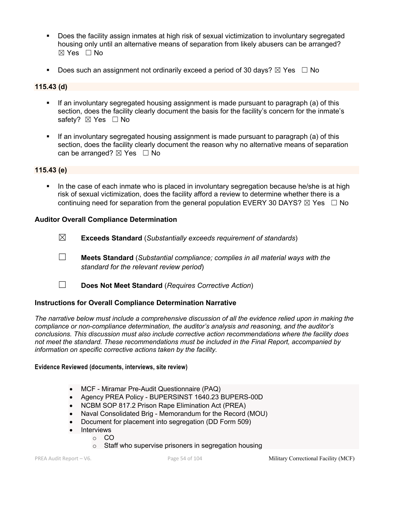- § Does the facility assign inmates at high risk of sexual victimization to involuntary segregated housing only until an alternative means of separation from likely abusers can be arranged? ☒ Yes ☐ No
- **•** Does such an assignment not ordinarily exceed a period of 30 days?  $\boxtimes$  Yes  $\Box$  No

#### **115.43 (d)**

- If an involuntary segregated housing assignment is made pursuant to paragraph (a) of this section, does the facility clearly document the basis for the facility's concern for the inmate's safety? ⊠ Yes □ No
- If an involuntary segregated housing assignment is made pursuant to paragraph (a) of this section, does the facility clearly document the reason why no alternative means of separation can be arranged?  $\boxtimes$  Yes  $\Box$  No

#### **115.43 (e)**

In the case of each inmate who is placed in involuntary segregation because he/she is at high risk of sexual victimization, does the facility afford a review to determine whether there is a continuing need for separation from the general population EVERY 30 DAYS?  $\boxtimes$  Yes  $\Box$  No

#### **Auditor Overall Compliance Determination**

- ☒ **Exceeds Standard** (*Substantially exceeds requirement of standards*)
- ☐ **Meets Standard** (*Substantial compliance; complies in all material ways with the standard for the relevant review period*)
- ☐ **Does Not Meet Standard** (*Requires Corrective Action*)

### **Instructions for Overall Compliance Determination Narrative**

*The narrative below must include a comprehensive discussion of all the evidence relied upon in making the compliance or non-compliance determination, the auditor's analysis and reasoning, and the auditor's conclusions. This discussion must also include corrective action recommendations where the facility does not meet the standard. These recommendations must be included in the Final Report, accompanied by information on specific corrective actions taken by the facility.*

#### **Evidence Reviewed (documents, interviews, site review)**

- MCF Miramar Pre-Audit Questionnaire (PAQ)
- Agency PREA Policy BUPERSINST 1640.23 BUPERS-00D
- NCBM SOP 817.2 Prison Rape Elimination Act (PREA)
- Naval Consolidated Brig Memorandum for the Record (MOU)
- Document for placement into segregation (DD Form 509)
- Interviews
	- o CO
		- o Staff who supervise prisoners in segregation housing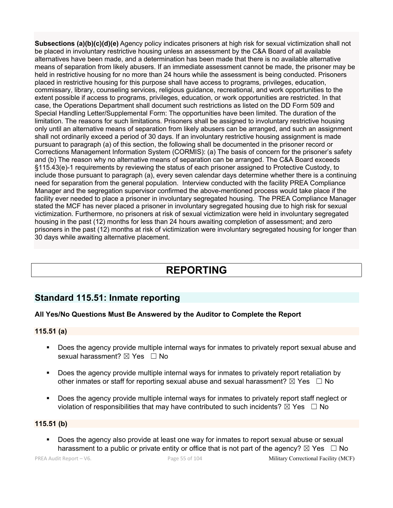**Subsections (a)(b)(c)(d)(e)** Agency policy indicates prisoners at high risk for sexual victimization shall not be placed in involuntary restrictive housing unless an assessment by the C&A Board of all available alternatives have been made, and a determination has been made that there is no available alternative means of separation from likely abusers. If an immediate assessment cannot be made, the prisoner may be held in restrictive housing for no more than 24 hours while the assessment is being conducted. Prisoners placed in restrictive housing for this purpose shall have access to programs, privileges, education, commissary, library, counseling services, religious guidance, recreational, and work opportunities to the extent possible if access to programs, privileges, education, or work opportunities are restricted. In that case, the Operations Department shall document such restrictions as listed on the DD Form 509 and Special Handling Letter/Supplemental Form: The opportunities have been limited. The duration of the limitation. The reasons for such limitations. Prisoners shall be assigned to involuntary restrictive housing only until an alternative means of separation from likely abusers can be arranged, and such an assignment shall not ordinarily exceed a period of 30 days. If an involuntary restrictive housing assignment is made pursuant to paragraph (a) of this section, the following shall be documented in the prisoner record or Corrections Management Information System (CORMIS): (a) The basis of concern for the prisoner's safety and (b) The reason why no alternative means of separation can be arranged. The C&A Board exceeds §115.43(e)-1 requirements by reviewing the status of each prisoner assigned to Protective Custody, to include those pursuant to paragraph (a), every seven calendar days determine whether there is a continuing need for separation from the general population. Interview conducted with the facility PREA Compliance Manager and the segregation supervisor confirmed the above-mentioned process would take place if the facility ever needed to place a prisoner in involuntary segregated housing. The PREA Compliance Manager stated the MCF has never placed a prisoner in involuntary segregated housing due to high risk for sexual victimization. Furthermore, no prisoners at risk of sexual victimization were held in involuntary segregated housing in the past (12) months for less than 24 hours awaiting completion of assessment; and zero prisoners in the past (12) months at risk of victimization were involuntary segregated housing for longer than 30 days while awaiting alternative placement.

# **REPORTING**

# **Standard 115.51: Inmate reporting**

# **All Yes/No Questions Must Be Answered by the Auditor to Complete the Report**

### **115.51 (a)**

- § Does the agency provide multiple internal ways for inmates to privately report sexual abuse and sexual harassment? ⊠ Yes □ No
- **•** Does the agency provide multiple internal ways for inmates to privately report retaliation by other inmates or staff for reporting sexual abuse and sexual harassment?  $\boxtimes$  Yes  $\Box$  No
- Does the agency provide multiple internal ways for inmates to privately report staff neglect or violation of responsibilities that may have contributed to such incidents?  $\boxtimes$  Yes  $\Box$  No

### **115.51 (b)**

§ Does the agency also provide at least one way for inmates to report sexual abuse or sexual harassment to a public or private entity or office that is not part of the agency?  $\boxtimes$  Yes  $\Box$  No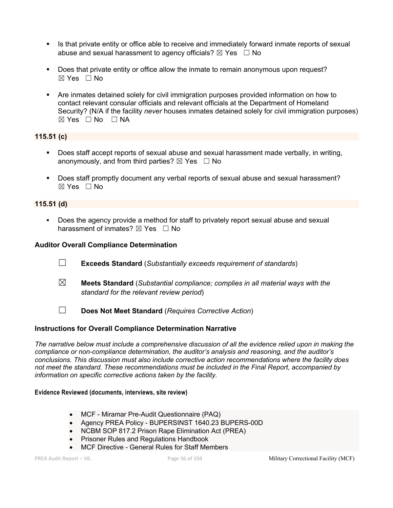- **■** Is that private entity or office able to receive and immediately forward inmate reports of sexual abuse and sexual harassment to agency officials?  $\boxtimes$  Yes  $\Box$  No
- Does that private entity or office allow the inmate to remain anonymous upon request?  $\boxtimes$  Yes  $\Box$  No
- § Are inmates detained solely for civil immigration purposes provided information on how to contact relevant consular officials and relevant officials at the Department of Homeland Security? (N/A if the facility *never* houses inmates detained solely for civil immigration purposes)  $\boxtimes$  Yes  $\Box$  No  $\Box$  NA

# **115.51 (c)**

- § Does staff accept reports of sexual abuse and sexual harassment made verbally, in writing, anonymously, and from third parties?  $\boxtimes$  Yes  $\Box$  No
- § Does staff promptly document any verbal reports of sexual abuse and sexual harassment?  $\boxtimes$  Yes  $\Box$  No

#### **115.51 (d)**

§ Does the agency provide a method for staff to privately report sexual abuse and sexual harassment of inmates?  $\boxtimes$  Yes  $\Box$  No

#### **Auditor Overall Compliance Determination**

- ☐ **Exceeds Standard** (*Substantially exceeds requirement of standards*)
- ☒ **Meets Standard** (*Substantial compliance; complies in all material ways with the standard for the relevant review period*)
- ☐ **Does Not Meet Standard** (*Requires Corrective Action*)

#### **Instructions for Overall Compliance Determination Narrative**

*The narrative below must include a comprehensive discussion of all the evidence relied upon in making the compliance or non-compliance determination, the auditor's analysis and reasoning, and the auditor's conclusions. This discussion must also include corrective action recommendations where the facility does not meet the standard. These recommendations must be included in the Final Report, accompanied by information on specific corrective actions taken by the facility.*

#### **Evidence Reviewed (documents, interviews, site review)**

- MCF Miramar Pre-Audit Questionnaire (PAQ)
- Agency PREA Policy BUPERSINST 1640.23 BUPERS-00D
- NCBM SOP 817.2 Prison Rape Elimination Act (PREA)
- Prisoner Rules and Regulations Handbook
- MCF Directive General Rules for Staff Members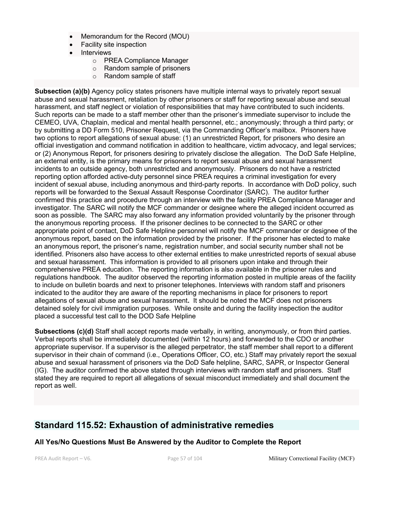- Memorandum for the Record (MOU)
- Facility site inspection
- **Interviews** 
	- o PREA Compliance Manager
	- o Random sample of prisoners
	- o Random sample of staff

**Subsection (a)(b)** Agency policy states prisoners have multiple internal ways to privately report sexual abuse and sexual harassment, retaliation by other prisoners or staff for reporting sexual abuse and sexual harassment, and staff neglect or violation of responsibilities that may have contributed to such incidents. Such reports can be made to a staff member other than the prisoner's immediate supervisor to include the CEMEO, UVA, Chaplain, medical and mental health personnel, etc.; anonymously; through a third party; or by submitting a DD Form 510, Prisoner Request, via the Commanding Officer's mailbox. Prisoners have two options to report allegations of sexual abuse: (1) an unrestricted Report, for prisoners who desire an official investigation and command notification in addition to healthcare, victim advocacy, and legal services; or (2) Anonymous Report, for prisoners desiring to privately disclose the allegation. The DoD Safe Helpline, an external entity, is the primary means for prisoners to report sexual abuse and sexual harassment incidents to an outside agency, both unrestricted and anonymously. Prisoners do not have a restricted reporting option afforded active-duty personnel since PREA requires a criminal investigation for every incident of sexual abuse, including anonymous and third-party reports. In accordance with DoD policy, such reports will be forwarded to the Sexual Assault Response Coordinator (SARC). The auditor further confirmed this practice and procedure through an interview with the facility PREA Compliance Manager and investigator. The SARC will notify the MCF commander or designee where the alleged incident occurred as soon as possible. The SARC may also forward any information provided voluntarily by the prisoner through the anonymous reporting process. If the prisoner declines to be connected to the SARC or other appropriate point of contact, DoD Safe Helpline personnel will notify the MCF commander or designee of the anonymous report, based on the information provided by the prisoner. If the prisoner has elected to make an anonymous report, the prisoner's name, registration number, and social security number shall not be identified. Prisoners also have access to other external entities to make unrestricted reports of sexual abuse and sexual harassment. This information is provided to all prisoners upon intake and through their comprehensive PREA education. The reporting information is also available in the prisoner rules and regulations handbook. The auditor observed the reporting information posted in multiple areas of the facility to include on bulletin boards and next to prisoner telephones. Interviews with random staff and prisoners indicated to the auditor they are aware of the reporting mechanisms in place for prisoners to report allegations of sexual abuse and sexual harassment**.** It should be noted the MCF does not prisoners detained solely for civil immigration purposes. While onsite and during the facility inspection the auditor placed a successful test call to the DOD Safe Helpline

**Subsections (c)(d)** Staff shall accept reports made verbally, in writing, anonymously, or from third parties. Verbal reports shall be immediately documented (within 12 hours) and forwarded to the CDO or another appropriate supervisor. If a supervisor is the alleged perpetrator, the staff member shall report to a different supervisor in their chain of command (i.e., Operations Officer, CO, etc.) Staff may privately report the sexual abuse and sexual harassment of prisoners via the DoD Safe helpline, SARC, SAPR, or Inspector General (IG). The auditor confirmed the above stated through interviews with random staff and prisoners. Staff stated they are required to report all allegations of sexual misconduct immediately and shall document the report as well.

# **Standard 115.52: Exhaustion of administrative remedies**

#### **All Yes/No Questions Must Be Answered by the Auditor to Complete the Report**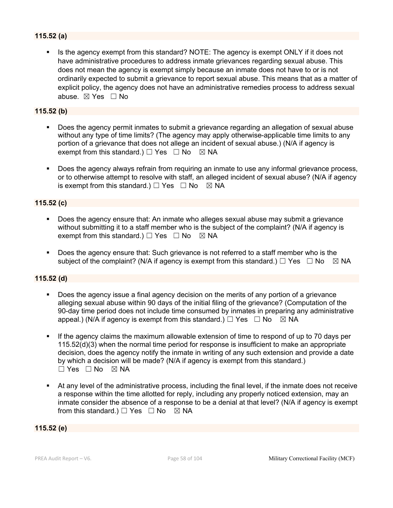# **115.52 (a)**

Is the agency exempt from this standard? NOTE: The agency is exempt ONLY if it does not have administrative procedures to address inmate grievances regarding sexual abuse. This does not mean the agency is exempt simply because an inmate does not have to or is not ordinarily expected to submit a grievance to report sexual abuse. This means that as a matter of explicit policy, the agency does not have an administrative remedies process to address sexual abuse. ☒ Yes ☐ No

# **115.52 (b)**

- § Does the agency permit inmates to submit a grievance regarding an allegation of sexual abuse without any type of time limits? (The agency may apply otherwise-applicable time limits to any portion of a grievance that does not allege an incident of sexual abuse.) (N/A if agency is exempt from this standard.)  $\Box$  Yes  $\Box$  No  $\boxtimes$  NA
- Does the agency always refrain from requiring an inmate to use any informal grievance process, or to otherwise attempt to resolve with staff, an alleged incident of sexual abuse? (N/A if agency is exempt from this standard.)  $\Box$  Yes  $\Box$  No  $\boxtimes$  NA

# **115.52 (c)**

- Does the agency ensure that: An inmate who alleges sexual abuse may submit a grievance without submitting it to a staff member who is the subject of the complaint? (N/A if agency is exempt from this standard.)  $\Box$  Yes  $\Box$  No  $\boxtimes$  NA
- § Does the agency ensure that: Such grievance is not referred to a staff member who is the subject of the complaint? (N/A if agency is exempt from this standard.)  $\Box$  Yes  $\Box$  No  $\boxtimes$  NA

### **115.52 (d)**

- Does the agency issue a final agency decision on the merits of any portion of a grievance alleging sexual abuse within 90 days of the initial filing of the grievance? (Computation of the 90-day time period does not include time consumed by inmates in preparing any administrative appeal.) (N/A if agency is exempt from this standard.)  $\Box$  Yes  $\Box$  No  $\boxtimes$  NA
- If the agency claims the maximum allowable extension of time to respond of up to 70 days per 115.52(d)(3) when the normal time period for response is insufficient to make an appropriate decision, does the agency notify the inmate in writing of any such extension and provide a date by which a decision will be made? (N/A if agency is exempt from this standard.)  $\square$  Yes  $\square$  No  $\square$  NA
- § At any level of the administrative process, including the final level, if the inmate does not receive a response within the time allotted for reply, including any properly noticed extension, may an inmate consider the absence of a response to be a denial at that level? (N/A if agency is exempt from this standard.)  $\Box$  Yes  $\Box$  No  $\boxtimes$  NA

#### **115.52 (e)**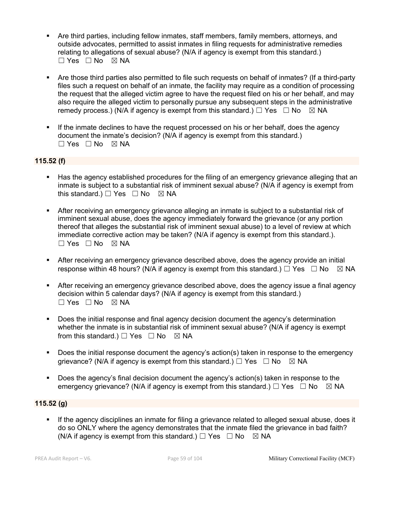- § Are third parties, including fellow inmates, staff members, family members, attorneys, and outside advocates, permitted to assist inmates in filing requests for administrative remedies relating to allegations of sexual abuse? (N/A if agency is exempt from this standard.)  $\Box$  Yes  $\Box$  No  $\boxtimes$  NA
- Are those third parties also permitted to file such requests on behalf of inmates? (If a third-party files such a request on behalf of an inmate, the facility may require as a condition of processing the request that the alleged victim agree to have the request filed on his or her behalf, and may also require the alleged victim to personally pursue any subsequent steps in the administrative remedy process.) (N/A if agency is exempt from this standard.)  $\Box$  Yes  $\Box$  No  $\boxtimes$  NA
- **•** If the inmate declines to have the request processed on his or her behalf, does the agency document the inmate's decision? (N/A if agency is exempt from this standard.)  $\square$  Yes  $\square$  No  $\square$  NA

# **115.52 (f)**

- Has the agency established procedures for the filing of an emergency grievance alleging that an inmate is subject to a substantial risk of imminent sexual abuse? (N/A if agency is exempt from this standard.)  $\Box$  Yes  $\Box$  No  $\boxtimes$  NA
- After receiving an emergency grievance alleging an inmate is subject to a substantial risk of imminent sexual abuse, does the agency immediately forward the grievance (or any portion thereof that alleges the substantial risk of imminent sexual abuse) to a level of review at which immediate corrective action may be taken? (N/A if agency is exempt from this standard.). ☐ Yes ☐ No ☒ NA
- **•** After receiving an emergency grievance described above, does the agency provide an initial response within 48 hours? (N/A if agency is exempt from this standard.)  $\Box$  Yes  $\Box$  No  $\boxtimes$  NA
- After receiving an emergency grievance described above, does the agency issue a final agency decision within 5 calendar days? (N/A if agency is exempt from this standard.)  $\Box$  Yes  $\Box$  No  $\boxtimes$  NA
- § Does the initial response and final agency decision document the agency's determination whether the inmate is in substantial risk of imminent sexual abuse? (N/A if agency is exempt from this standard.)  $\Box$  Yes  $\Box$  No  $\boxtimes$  NA
- Does the initial response document the agency's action(s) taken in response to the emergency grievance? (N/A if agency is exempt from this standard.)  $\Box$  Yes  $\Box$  No  $\boxtimes$  NA
- Does the agency's final decision document the agency's action(s) taken in response to the emergency grievance? (N/A if agency is exempt from this standard.)  $\Box$  Yes  $\Box$  No  $\boxtimes$  NA

# **115.52 (g)**

**•** If the agency disciplines an inmate for filing a grievance related to alleged sexual abuse, does it do so ONLY where the agency demonstrates that the inmate filed the grievance in bad faith? (N/A if agency is exempt from this standard.)  $\Box$  Yes  $\Box$  No  $\boxtimes$  NA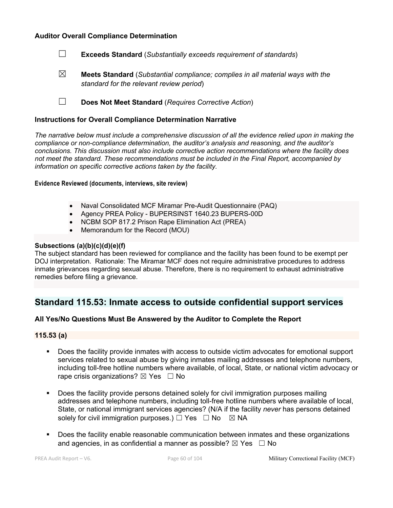#### **Auditor Overall Compliance Determination**



☒ **Meets Standard** (*Substantial compliance; complies in all material ways with the standard for the relevant review period*)

☐ **Does Not Meet Standard** (*Requires Corrective Action*)

#### **Instructions for Overall Compliance Determination Narrative**

*The narrative below must include a comprehensive discussion of all the evidence relied upon in making the compliance or non-compliance determination, the auditor's analysis and reasoning, and the auditor's conclusions. This discussion must also include corrective action recommendations where the facility does not meet the standard. These recommendations must be included in the Final Report, accompanied by information on specific corrective actions taken by the facility.*

**Evidence Reviewed (documents, interviews, site review)** 

- Naval Consolidated MCF Miramar Pre-Audit Questionnaire (PAQ)
- Agency PREA Policy BUPERSINST 1640.23 BUPERS-00D
- NCBM SOP 817.2 Prison Rape Elimination Act (PREA)
- Memorandum for the Record (MOU)

#### **Subsections (a)(b)(c)(d)(e)(f)**

The subject standard has been reviewed for compliance and the facility has been found to be exempt per DOJ interpretation. Rationale: The Miramar MCF does not require administrative procedures to address inmate grievances regarding sexual abuse. Therefore, there is no requirement to exhaust administrative remedies before filing a grievance.

# **Standard 115.53: Inmate access to outside confidential support services**

#### **All Yes/No Questions Must Be Answered by the Auditor to Complete the Report**

#### **115.53 (a)**

- § Does the facility provide inmates with access to outside victim advocates for emotional support services related to sexual abuse by giving inmates mailing addresses and telephone numbers, including toll-free hotline numbers where available, of local, State, or national victim advocacy or rape crisis organizations?  $\boxtimes$  Yes  $\Box$  No
- § Does the facility provide persons detained solely for civil immigration purposes mailing addresses and telephone numbers, including toll-free hotline numbers where available of local, State, or national immigrant services agencies? (N/A if the facility *never* has persons detained solely for civil immigration purposes.)  $\Box$  Yes  $\Box$  No  $\boxtimes$  NA
- § Does the facility enable reasonable communication between inmates and these organizations and agencies, in as confidential a manner as possible?  $\boxtimes$  Yes  $\Box$  No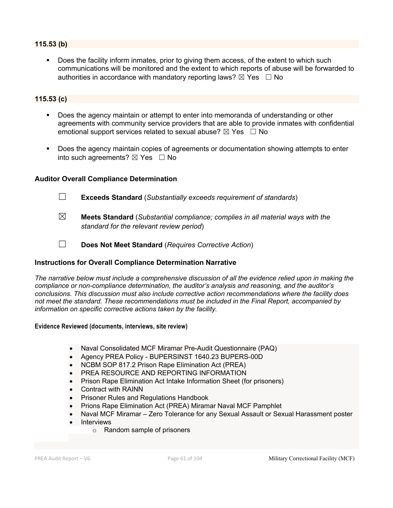# **115.53 (b)**

Does the facility inform inmates, prior to giving them access, of the extent to which such communications will be monitored and the extent to which reports of abuse will be forwarded to authorities in accordance with mandatory reporting laws?  $\boxtimes$  Yes  $\Box$  No

# **115.53 (c)**

- Does the agency maintain or attempt to enter into memoranda of understanding or other agreements with community service providers that are able to provide inmates with confidential emotional support services related to sexual abuse?  $\boxtimes$  Yes  $\Box$  No
- Does the agency maintain copies of agreements or documentation showing attempts to enter into such agreements?  $\boxtimes$  Yes  $\Box$  No

#### **Auditor Overall Compliance Determination**

- 
- ☐ **Exceeds Standard** (*Substantially exceeds requirement of standards*)
- ☒ **Meets Standard** (*Substantial compliance; complies in all material ways with the standard for the relevant review period*)
- ☐ **Does Not Meet Standard** (*Requires Corrective Action*)

### **Instructions for Overall Compliance Determination Narrative**

*The narrative below must include a comprehensive discussion of all the evidence relied upon in making the compliance or non-compliance determination, the auditor's analysis and reasoning, and the auditor's conclusions. This discussion must also include corrective action recommendations where the facility does not meet the standard. These recommendations must be included in the Final Report, accompanied by information on specific corrective actions taken by the facility.*

#### **Evidence Reviewed (documents, interviews, site review)**

- Naval Consolidated MCF Miramar Pre-Audit Questionnaire (PAQ)
- Agency PREA Policy BUPERSINST 1640.23 BUPERS-00D
- NCBM SOP 817.2 Prison Rape Elimination Act (PREA)
- PREA RESOURCE AND REPORTING INFORMATION
- Prison Rape Elimination Act Intake Information Sheet (for prisoners)
- Contract with RAINN
- Prisoner Rules and Regulations Handbook
- Prions Rape Elimination Act (PREA) Miramar Naval MCF Pamphlet
- Naval MCF Miramar Zero Tolerance for any Sexual Assault or Sexual Harassment poster
- **Interviews** 
	- o Random sample of prisoners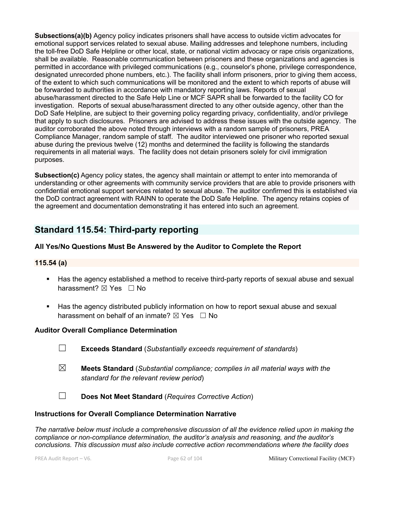**Subsections(a)(b)** Agency policy indicates prisoners shall have access to outside victim advocates for emotional support services related to sexual abuse. Mailing addresses and telephone numbers, including the toll-free DoD Safe Helpline or other local, state, or national victim advocacy or rape crisis organizations, shall be available. Reasonable communication between prisoners and these organizations and agencies is permitted in accordance with privileged communications (e.g., counselor's phone, privilege correspondence, designated unrecorded phone numbers, etc.). The facility shall inform prisoners, prior to giving them access, of the extent to which such communications will be monitored and the extent to which reports of abuse will be forwarded to authorities in accordance with mandatory reporting laws. Reports of sexual abuse/harassment directed to the Safe Help Line or MCF SAPR shall be forwarded to the facility CO for investigation. Reports of sexual abuse/harassment directed to any other outside agency, other than the DoD Safe Helpline, are subject to their governing policy regarding privacy, confidentiality, and/or privilege that apply to such disclosures. Prisoners are advised to address these issues with the outside agency. The auditor corroborated the above noted through interviews with a random sample of prisoners, PREA Compliance Manager, random sample of staff. The auditor interviewed one prisoner who reported sexual abuse during the previous twelve (12) months and determined the facility is following the standards requirements in all material ways. The facility does not detain prisoners solely for civil immigration purposes.

**Subsection(c)** Agency policy states, the agency shall maintain or attempt to enter into memoranda of understanding or other agreements with community service providers that are able to provide prisoners with confidential emotional support services related to sexual abuse. The auditor confirmed this is established via the DoD contract agreement with RAINN to operate the DoD Safe Helpline. The agency retains copies of the agreement and documentation demonstrating it has entered into such an agreement.

# **Standard 115.54: Third-party reporting**

# **All Yes/No Questions Must Be Answered by the Auditor to Complete the Report**

### **115.54 (a)**

- Has the agency established a method to receive third-party reports of sexual abuse and sexual harassment?  $\boxtimes$  Yes  $\Box$  No
- **Has the agency distributed publicly information on how to report sexual abuse and sexual** harassment on behalf of an inmate?  $\boxtimes$  Yes  $\Box$  No

#### **Auditor Overall Compliance Determination**

- ☐ **Exceeds Standard** (*Substantially exceeds requirement of standards*)
- ☒ **Meets Standard** (*Substantial compliance; complies in all material ways with the standard for the relevant review period*)
- ☐ **Does Not Meet Standard** (*Requires Corrective Action*)

#### **Instructions for Overall Compliance Determination Narrative**

*The narrative below must include a comprehensive discussion of all the evidence relied upon in making the compliance or non-compliance determination, the auditor's analysis and reasoning, and the auditor's conclusions. This discussion must also include corrective action recommendations where the facility does*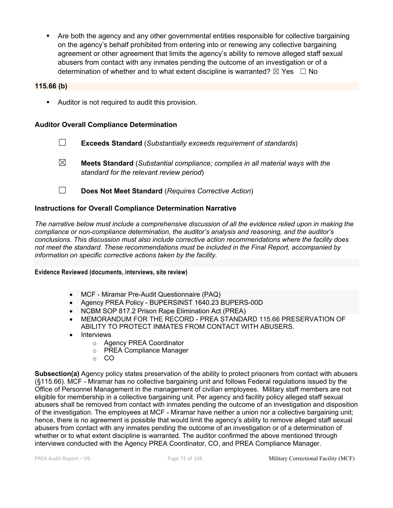• Are both the agency and any other governmental entities responsible for collective bargaining on the agency's behalf prohibited from entering into or renewing any collective bargaining agreement or other agreement that limits the agency's ability to remove alleged staff sexual abusers from contact with any inmates pending the outcome of an investigation or of a determination of whether and to what extent discipline is warranted?  $\boxtimes$  Yes  $\Box$  No

# **115.66 (b)**

**•** Auditor is not required to audit this provision.

#### **Auditor Overall Compliance Determination**

- ☐ **Exceeds Standard** (*Substantially exceeds requirement of standards*)
- ☒ **Meets Standard** (*Substantial compliance; complies in all material ways with the standard for the relevant review period*)
- ☐ **Does Not Meet Standard** (*Requires Corrective Action*)

#### **Instructions for Overall Compliance Determination Narrative**

*The narrative below must include a comprehensive discussion of all the evidence relied upon in making the compliance or non-compliance determination, the auditor's analysis and reasoning, and the auditor's conclusions. This discussion must also include corrective action recommendations where the facility does not meet the standard. These recommendations must be included in the Final Report, accompanied by information on specific corrective actions taken by the facility.*

**Evidence Reviewed (documents, interviews, site review)** 

- MCF Miramar Pre-Audit Questionnaire (PAQ)
- Agency PREA Policy BUPERSINST 1640.23 BUPERS-00D
- NCBM SOP 817.2 Prison Rape Elimination Act (PREA)
- MEMORANDUM FOR THE RECORD PREA STANDARD 115.66 PRESERVATION OF ABILITY TO PROTECT INMATES FROM CONTACT WITH ABUSERS.
- Interviews
	- o Agency PREA Coordinator
	- o PREA Compliance Manager
	- o CO

**Subsection(a)** Agency policy states preservation of the ability to protect prisoners from contact with abusers (§115.66). MCF Miramar has no collective bargaining unit and follows Federal regulations issued by the  $\Box$ Office of Personnel Management in the management of civilian employees. Military staff members are not eligible for membership in a collective bargaining unit. Per agency and facility policy alleged staff sexual abusers shall be removed from contact with inmates pending the outcome of an investigation and disposition  $\Box$ of the investigation. The employees at MCF Miramar have neither a union nor a collective bargaining unit;  $\Box$ hence, there is no agreement is possible that would limit the agency's ability to remove alleged staff sexual abusers from contact with any inmates pending the outcome of an investigation or of a determination of  $\Box$ whether or to what extent discipline is warranted. The auditor confirmed the above mentioned through  $\Box$ interviews conducted with the Agency PREA Coordinator, CO, and PREA Compliance Manager.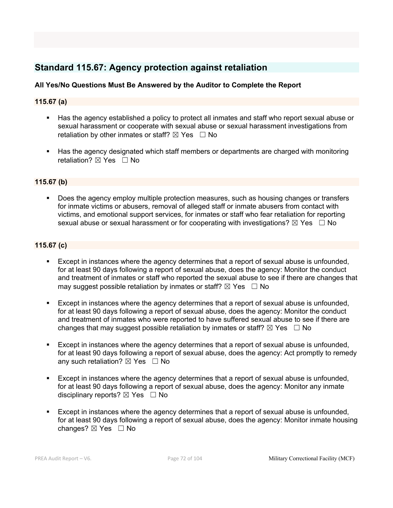# **Standard 115.67: Agency protection against retaliation**

# **All Yes/No Questions Must Be Answered by the Auditor to Complete the Report**

### **115.67 (a)**

- § Has the agency established a policy to protect all inmates and staff who report sexual abuse or sexual harassment or cooperate with sexual abuse or sexual harassment investigations from retaliation by other inmates or staff?  $\boxtimes$  Yes  $\Box$  No
- Has the agency designated which staff members or departments are charged with monitoring retaliation?  $\boxtimes$  Yes  $\Box$  No

### **115.67 (b)**

§ Does the agency employ multiple protection measures, such as housing changes or transfers for inmate victims or abusers, removal of alleged staff or inmate abusers from contact with victims, and emotional support services, for inmates or staff who fear retaliation for reporting sexual abuse or sexual harassment or for cooperating with investigations?  $\boxtimes$  Yes  $\Box$  No

### **115.67 (c)**

- § Except in instances where the agency determines that a report of sexual abuse is unfounded, for at least 90 days following a report of sexual abuse, does the agency: Monitor the conduct and treatment of inmates or staff who reported the sexual abuse to see if there are changes that may suggest possible retaliation by inmates or staff?  $\boxtimes$  Yes  $\Box$  No
- § Except in instances where the agency determines that a report of sexual abuse is unfounded, for at least 90 days following a report of sexual abuse, does the agency: Monitor the conduct and treatment of inmates who were reported to have suffered sexual abuse to see if there are changes that may suggest possible retaliation by inmates or staff?  $\boxtimes$  Yes  $\Box$  No
- § Except in instances where the agency determines that a report of sexual abuse is unfounded, for at least 90 days following a report of sexual abuse, does the agency: Act promptly to remedy any such retaliation?  $\boxtimes$  Yes  $\Box$  No
- § Except in instances where the agency determines that a report of sexual abuse is unfounded, for at least 90 days following a report of sexual abuse, does the agency: Monitor any inmate disciplinary reports?  $\boxtimes$  Yes  $\Box$  No
- § Except in instances where the agency determines that a report of sexual abuse is unfounded, for at least 90 days following a report of sexual abuse, does the agency: Monitor inmate housing changes?  $\boxtimes$  Yes  $\Box$  No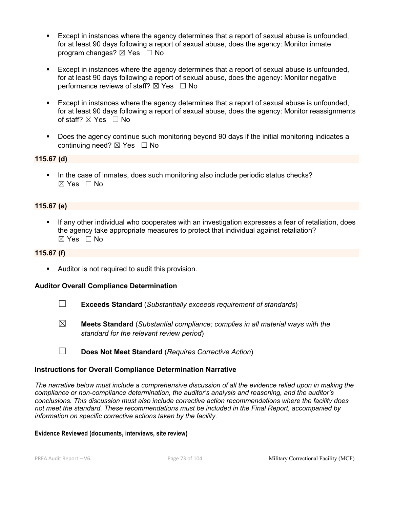- Except in instances where the agency determines that a report of sexual abuse is unfounded, for at least 90 days following a report of sexual abuse, does the agency: Monitor inmate program changes?  $\boxtimes$  Yes  $\Box$  No
- Except in instances where the agency determines that a report of sexual abuse is unfounded, for at least 90 days following a report of sexual abuse, does the agency: Monitor negative performance reviews of staff?  $\boxtimes$  Yes  $\Box$  No
- Except in instances where the agency determines that a report of sexual abuse is unfounded, for at least 90 days following a report of sexual abuse, does the agency: Monitor reassignments of staff?  $\boxtimes$  Yes  $\Box$  No
- § Does the agency continue such monitoring beyond 90 days if the initial monitoring indicates a continuing need?  $\boxtimes$  Yes  $\Box$  No

## **115.67 (d)**

• In the case of inmates, does such monitoring also include periodic status checks?  $\boxtimes$  Yes  $\Box$  No

## **115.67 (e)**

If any other individual who cooperates with an investigation expresses a fear of retaliation, does the agency take appropriate measures to protect that individual against retaliation?  $\boxtimes$  Yes  $\Box$  No

#### **115.67 (f)**

**•** Auditor is not required to audit this provision.

#### **Auditor Overall Compliance Determination**

- ☐ **Exceeds Standard** (*Substantially exceeds requirement of standards*)
- ☒ **Meets Standard** (*Substantial compliance; complies in all material ways with the standard for the relevant review period*)
- ☐ **Does Not Meet Standard** (*Requires Corrective Action*)

#### **Instructions for Overall Compliance Determination Narrative**

*The narrative below must include a comprehensive discussion of all the evidence relied upon in making the compliance or non-compliance determination, the auditor's analysis and reasoning, and the auditor's conclusions. This discussion must also include corrective action recommendations where the facility does not meet the standard. These recommendations must be included in the Final Report, accompanied by information on specific corrective actions taken by the facility.*

#### **Evidence Reviewed (documents, interviews, site review)**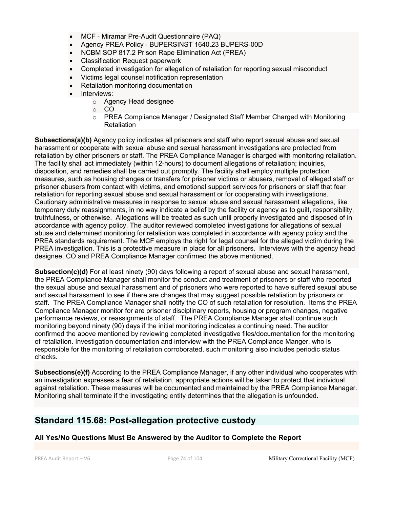- MCF Miramar Pre-Audit Questionnaire (PAQ)
- Agency PREA Policy BUPERSINST 1640.23 BUPERS-00D
- NCBM SOP 817.2 Prison Rape Elimination Act (PREA)
- Classification Request paperwork
- Completed investigation for allegation of retaliation for reporting sexual misconduct
- Victims legal counsel notification representation
- Retaliation monitoring documentation
- Interviews:
	- o Agency Head designee
		- o CO
		- $\circ$  PREA Compliance Manager / Designated Staff Member Charged with Monitoring **Retaliation**

**Subsections(a)(b)** Agency policy indicates all prisoners and staff who report sexual abuse and sexual harassment or cooperate with sexual abuse and sexual harassment investigations are protected from retaliation by other prisoners or staff. The PREA Compliance Manager is charged with monitoring retaliation. The facility shall act immediately (within 12-hours) to document allegations of retaliation; inquiries, disposition, and remedies shall be carried out promptly. The facility shall employ multiple protection measures, such as housing changes or transfers for prisoner victims or abusers, removal of alleged staff or prisoner abusers from contact with victims, and emotional support services for prisoners or staff that fear retaliation for reporting sexual abuse and sexual harassment or for cooperating with investigations. Cautionary administrative measures in response to sexual abuse and sexual harassment allegations, like temporary duty reassignments, in no way indicate a belief by the facility or agency as to guilt, responsibility, truthfulness, or otherwise. Allegations will be treated as such until properly investigated and disposed of in accordance with agency policy. The auditor reviewed completed investigations for allegations of sexual abuse and determined monitoring for retaliation was completed in accordance with agency policy and the PREA standards requirement. The MCF employs the right for legal counsel for the alleged victim during the PREA investigation. This is a protective measure in place for all prisoners. Interviews with the agency head designee, CO and PREA Compliance Manager confirmed the above mentioned.

**Subsection(c)(d)** For at least ninety (90) days following a report of sexual abuse and sexual harassment, the PREA Compliance Manager shall monitor the conduct and treatment of prisoners or staff who reported the sexual abuse and sexual harassment and of prisoners who were reported to have suffered sexual abuse and sexual harassment to see if there are changes that may suggest possible retaliation by prisoners or staff. The PREA Compliance Manager shall notify the CO of such retaliation for resolution. Items the PREA Compliance Manager monitor for are prisoner disciplinary reports, housing or program changes, negative performance reviews, or reassignments of staff. The PREA Compliance Manager shall continue such monitoring beyond ninety (90) days if the initial monitoring indicates a continuing need. The auditor confirmed the above mentioned by reviewing completed investigative files/documentation for the monitoring of retaliation. Investigation documentation and interview with the PREA Compliance Manger, who is responsible for the monitoring of retaliation corroborated, such monitoring also includes periodic status checks.

**Subsections(e)(f)** According to the PREA Compliance Manager, if any other individual who cooperates with an investigation expresses a fear of retaliation, appropriate actions will be taken to protect that individual against retaliation. These measures will be documented and maintained by the PREA Compliance Manager. Monitoring shall terminate if the investigating entity determines that the allegation is unfounded.

## **Standard 115.68: Post-allegation protective custody**

## **All Yes/No Questions Must Be Answered by the Auditor to Complete the Report**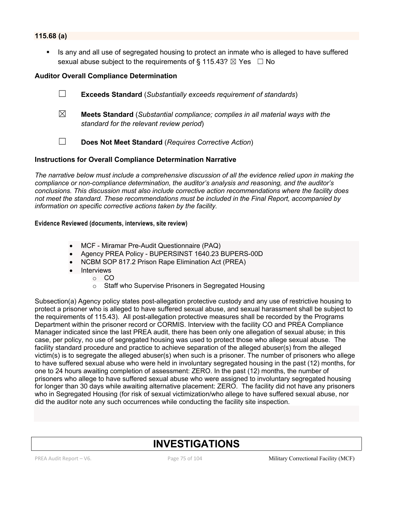## **115.68 (a)**

■ Is any and all use of segregated housing to protect an inmate who is alleged to have suffered sexual abuse subject to the requirements of § 115.43?  $\boxtimes$  Yes  $\Box$  No

## **Auditor Overall Compliance Determination**

- ☐ **Exceeds Standard** (*Substantially exceeds requirement of standards*) ☒ **Meets Standard** (*Substantial compliance; complies in all material ways with the standard for the relevant review period*)
- ☐ **Does Not Meet Standard** (*Requires Corrective Action*)

#### **Instructions for Overall Compliance Determination Narrative**

*The narrative below must include a comprehensive discussion of all the evidence relied upon in making the compliance or non-compliance determination, the auditor's analysis and reasoning, and the auditor's conclusions. This discussion must also include corrective action recommendations where the facility does not meet the standard. These recommendations must be included in the Final Report, accompanied by information on specific corrective actions taken by the facility.*

#### **Evidence Reviewed (documents, interviews, site review)**

- MCF Miramar Pre-Audit Questionnaire (PAQ)
- Agency PREA Policy BUPERSINST 1640.23 BUPERS-00D
- NCBM SOP 817.2 Prison Rape Elimination Act (PREA)
- **Interviews** 
	- o CO
		- o Staff who Supervise Prisoners in Segregated Housing

Subsection(a) Agency policy states post-allegation protective custody and any use of restrictive housing to protect a prisoner who is alleged to have suffered sexual abuse, and sexual harassment shall be subject to the requirements of 115.43). All post-allegation protective measures shall be recorded by the Programs Department within the prisoner record or CORMIS. Interview with the facility CO and PREA Compliance Manager indicated since the last PREA audit, there has been only one allegation of sexual abuse; in this case, per policy, no use of segregated housing was used to protect those who allege sexual abuse. The facility standard procedure and practice to achieve separation of the alleged abuser(s) from the alleged victim(s) is to segregate the alleged abuser(s) when such is a prisoner. The number of prisoners who allege to have suffered sexual abuse who were held in involuntary segregated housing in the past (12) months, for one to 24 hours awaiting completion of assessment: ZERO. In the past (12) months, the number of prisoners who allege to have suffered sexual abuse who were assigned to involuntary segregated housing for longer than 30 days while awaiting alternative placement: ZERO. The facility did not have any prisoners who in Segregated Housing (for risk of sexual victimization/who allege to have suffered sexual abuse, nor did the auditor note any such occurrences while conducting the facility site inspection.

# **INVESTIGATIONS**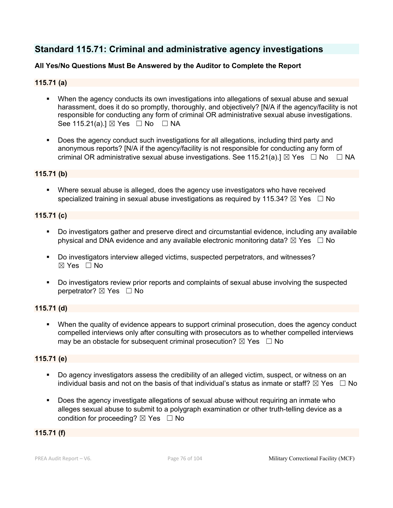## **Standard 115.71: Criminal and administrative agency investigations**

## **All Yes/No Questions Must Be Answered by the Auditor to Complete the Report**

## **115.71 (a)**

- When the agency conducts its own investigations into allegations of sexual abuse and sexual harassment, does it do so promptly, thoroughly, and objectively? [N/A if the agency/facility is not responsible for conducting any form of criminal OR administrative sexual abuse investigations. See 115.21(a).] ⊠ Yes □ No □ NA
- § Does the agency conduct such investigations for all allegations, including third party and anonymous reports? [N/A if the agency/facility is not responsible for conducting any form of criminal OR administrative sexual abuse investigations. See 115.21(a).]  $\boxtimes$  Yes  $\Box$  No  $\Box$  NA

## **115.71 (b)**

■ Where sexual abuse is alleged, does the agency use investigators who have received specialized training in sexual abuse investigations as required by 115.34?  $\boxtimes$  Yes  $\Box$  No

## **115.71 (c)**

- § Do investigators gather and preserve direct and circumstantial evidence, including any available physical and DNA evidence and any available electronic monitoring data?  $\boxtimes$  Yes  $\Box$  No
- § Do investigators interview alleged victims, suspected perpetrators, and witnesses? ☒ Yes ☐ No
- § Do investigators review prior reports and complaints of sexual abuse involving the suspected perpetrator? ⊠ Yes □ No

## **115.71 (d)**

• When the quality of evidence appears to support criminal prosecution, does the agency conduct compelled interviews only after consulting with prosecutors as to whether compelled interviews may be an obstacle for subsequent criminal prosecution?  $\boxtimes$  Yes  $\Box$  No

## **115.71 (e)**

- § Do agency investigators assess the credibility of an alleged victim, suspect, or witness on an individual basis and not on the basis of that individual's status as inmate or staff?  $\boxtimes$  Yes  $\Box$  No
- § Does the agency investigate allegations of sexual abuse without requiring an inmate who alleges sexual abuse to submit to a polygraph examination or other truth-telling device as a condition for proceeding?  $\boxtimes$  Yes  $\Box$  No

## **115.71 (f)**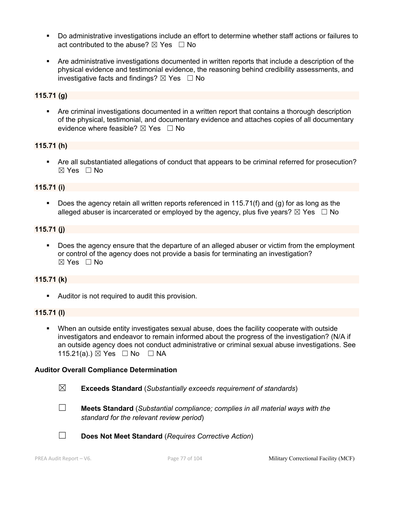- § Do administrative investigations include an effort to determine whether staff actions or failures to act contributed to the abuse?  $\boxtimes$  Yes  $\Box$  No
- § Are administrative investigations documented in written reports that include a description of the physical evidence and testimonial evidence, the reasoning behind credibility assessments, and investigative facts and findings?  $\boxtimes$  Yes  $\Box$  No

## **115.71 (g)**

• Are criminal investigations documented in a written report that contains a thorough description of the physical, testimonial, and documentary evidence and attaches copies of all documentary evidence where feasible?  $\boxtimes$  Yes  $\Box$  No

## **115.71 (h)**

• Are all substantiated allegations of conduct that appears to be criminal referred for prosecution? ☒ Yes ☐ No

## **115.71 (i)**

§ Does the agency retain all written reports referenced in 115.71(f) and (g) for as long as the alleged abuser is incarcerated or employed by the agency, plus five years?  $\boxtimes$  Yes  $\Box$  No

## **115.71 (j)**

Does the agency ensure that the departure of an alleged abuser or victim from the employment or control of the agency does not provide a basis for terminating an investigation? ☒ Yes ☐ No

## **115.71 (k)**

**•** Auditor is not required to audit this provision.

#### **115.71 (l)**

§ When an outside entity investigates sexual abuse, does the facility cooperate with outside investigators and endeavor to remain informed about the progress of the investigation? (N/A if an outside agency does not conduct administrative or criminal sexual abuse investigations. See 115.21(a).) ⊠ Yes □ No □ NA

#### **Auditor Overall Compliance Determination**

- ☒ **Exceeds Standard** (*Substantially exceeds requirement of standards*)
- ☐ **Meets Standard** (*Substantial compliance; complies in all material ways with the standard for the relevant review period*)
- ☐ **Does Not Meet Standard** (*Requires Corrective Action*)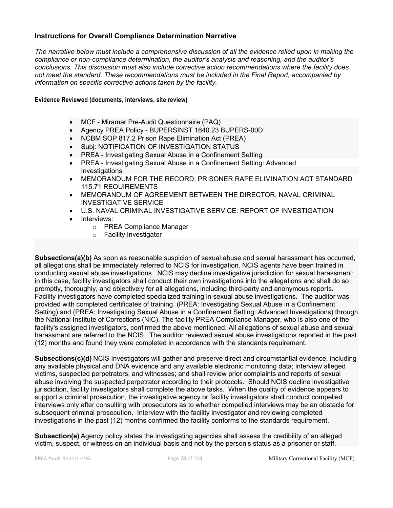## **Instructions for Overall Compliance Determination Narrative**

*The narrative below must include a comprehensive discussion of all the evidence relied upon in making the compliance or non-compliance determination, the auditor's analysis and reasoning, and the auditor's conclusions. This discussion must also include corrective action recommendations where the facility does not meet the standard. These recommendations must be included in the Final Report, accompanied by information on specific corrective actions taken by the facility.*

#### **Evidence Reviewed (documents, interviews, site review)**

- MCF Miramar Pre-Audit Questionnaire (PAQ)
- Agency PREA Policy BUPERSINST 1640.23 BUPERS-00D
- NCBM SOP 817.2 Prison Rape Elimination Act (PREA)
- Subj: NOTIFICATION OF INVESTIGATION STATUS
- PREA Investigating Sexual Abuse in a Confinement Setting
- PREA Investigating Sexual Abuse in a Confinement Setting: Advanced **Investigations**
- MEMORANDUM FOR THE RECORD: PRISONER RAPE ELIMINATION ACT STANDARD 115.71 REQUIREMENTS
- MEMORANDUM OF AGREEMENT BETWEEN THE DIRECTOR, NAVAL CRIMINAL INVESTIGATIVE SERVICE
- U.S. NAVAL CRIMINAL INVESTIGATIVE SERVICE: REPORT OF INVESTIGATION
- Interviews:
	- o PREA Compliance Manager
	- o Facility Investigator

**Subsections(a)(b)** As soon as reasonable suspicion of sexual abuse and sexual harassment has occurred, all allegations shall be immediately referred to NCIS for investigation. NCIS agents have been trained in conducting sexual abuse investigations. NCIS may decline investigative jurisdiction for sexual harassment; in this case, facility investigators shall conduct their own investigations into the allegations and shall do so promptly, thoroughly, and objectively for all allegations, including third-party and anonymous reports. Facility investigators have completed specialized training in sexual abuse investigations. The auditor was provided with completed certificates of training. (PREA: Investigating Sexual Abuse in a Confinement Setting) and (PREA: Investigating Sexual Abuse in a Confinement Setting: Advanced Investigations) through the National Institute of Corrections (NIC). The facility PREA Compliance Manager, who is also one of the facility's assigned investigators, confirmed the above mentioned. All allegations of sexual abuse and sexual harassment are referred to the NCIS. The auditor reviewed sexual abuse investigations reported in the past (12) months and found they were completed in accordance with the standards requirement.

**Subsections(c)(d)** NCIS Investigators will gather and preserve direct and circumstantial evidence, including any available physical and DNA evidence and any available electronic monitoring data; interview alleged victims, suspected perpetrators, and witnesses; and shall review prior complaints and reports of sexual abuse involving the suspected perpetrator according to their protocols. Should NCIS decline investigative jurisdiction, facility investigators shall complete the above tasks. When the quality of evidence appears to support a criminal prosecution, the investigative agency or facility investigators shall conduct compelled interviews only after consulting with prosecutors as to whether compelled interviews may be an obstacle for subsequent criminal prosecution. Interview with the facility investigator and reviewing completed investigations in the past (12) months confirmed the facility conforms to the standards requirement.

**Subsection(e)** Agency policy states the investigating agencies shall assess the credibility of an alleged victim, suspect, or witness on an individual basis and not by the person's status as a prisoner or staff.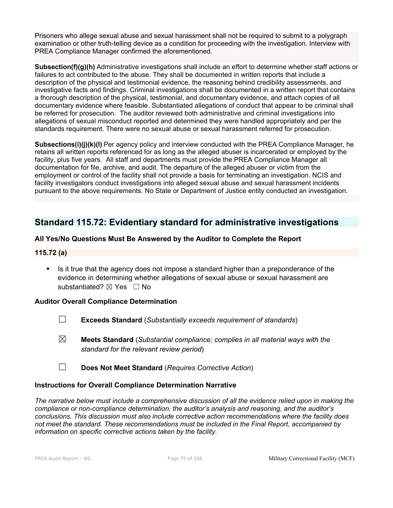Prisoners who allege sexual abuse and sexual harassment shall not be required to submit to a polygraph examination or other truth-telling device as a condition for proceeding with the investigation. Interview with PREA Compliance Manager confirmed the aforementioned.

**Subsection(f)(g)(h)** Administrative investigations shall include an effort to determine whether staff actions or failures to act contributed to the abuse. They shall be documented in written reports that include a description of the physical and testimonial evidence, the reasoning behind credibility assessments, and investigative facts and findings. Criminal investigations shall be documented in a written report that contains a thorough description of the physical, testimonial, and documentary evidence, and attach copies of all documentary evidence where feasible. Substantiated allegations of conduct that appear to be criminal shall be referred for prosecution. The auditor reviewed both administrative and criminal investigations into allegations of sexual misconduct reported and determined they were handled appropriately and per the standards requirement. There were no sexual abuse or sexual harassment referred for prosecution.

**Subsections(i)(j)(k)(l)** Per agency policy and interview conducted with the PREA Compliance Manager, he retains all written reports referenced for as long as the alleged abuser is incarcerated or employed by the facility, plus five years. All staff and departments must provide the PREA Compliance Manager all documentation for file, archive, and audit. The departure of the alleged abuser or victim from the employment or control of the facility shall not provide a basis for terminating an investigation. NCIS and facility investigators conduct investigations into alleged sexual abuse and sexual harassment incidents pursuant to the above requirements. No State or Department of Justice entity conducted an investigation.

## **Standard 115.72: Evidentiary standard for administrative investigations**

## **All Yes/No Questions Must Be Answered by the Auditor to Complete the Report**

## **115.72 (a)**

■ Is it true that the agency does not impose a standard higher than a preponderance of the evidence in determining whether allegations of sexual abuse or sexual harassment are substantiated? ⊠ Yes □ No

## **Auditor Overall Compliance Determination**

- ☐ **Exceeds Standard** (*Substantially exceeds requirement of standards*)
- ☒ **Meets Standard** (*Substantial compliance; complies in all material ways with the standard for the relevant review period*)
- ☐ **Does Not Meet Standard** (*Requires Corrective Action*)

## **Instructions for Overall Compliance Determination Narrative**

*The narrative below must include a comprehensive discussion of all the evidence relied upon in making the compliance or non-compliance determination, the auditor's analysis and reasoning, and the auditor's conclusions. This discussion must also include corrective action recommendations where the facility does not meet the standard. These recommendations must be included in the Final Report, accompanied by information on specific corrective actions taken by the facility.*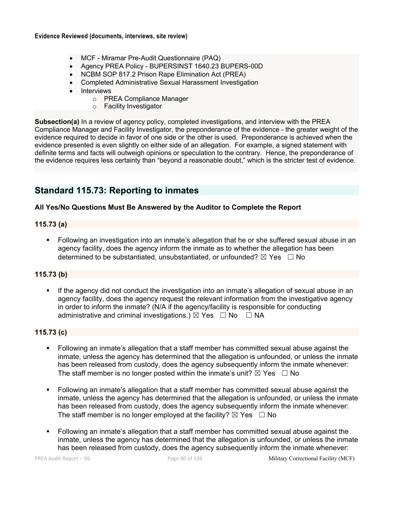- MCF Miramar Pre-Audit Questionnaire (PAQ)
- Agency PREA Policy BUPERSINST 1640.23 BUPERS-00D
- NCBM SOP 817.2 Prison Rape Elimination Act (PREA)
- Completed Administrative Sexual Harassment Investigation
- Interviews
	- o PREA Compliance Manager
	- o Facility Investigator

**Subsection(a)** In a review of agency policy, completed investigations, and interview with the PREA Compliance Manager and Facility Investigator, the preponderance of the evidence - the greater weight of the evidence required to decide in favor of one side or the other is used. Preponderance is achieved when the evidence presented is even slightly on either side of an allegation. For example, a signed statement with definite terms and facts will outweigh opinions or speculation to the contrary. Hence, the preponderance of the evidence requires less certainty than "beyond a reasonable doubt," which is the stricter test of evidence.

## **Standard 115.73: Reporting to inmates**

## **All Yes/No Questions Must Be Answered by the Auditor to Complete the Report**

## **115.73 (a)**

• Following an investigation into an inmate's allegation that he or she suffered sexual abuse in an agency facility, does the agency inform the inmate as to whether the allegation has been determined to be substantiated, unsubstantiated, or unfounded?  $\boxtimes$  Yes  $\Box$  No

## **115.73 (b)**

If the agency did not conduct the investigation into an inmate's allegation of sexual abuse in an agency facility, does the agency request the relevant information from the investigative agency in order to inform the inmate? (N/A if the agency/facility is responsible for conducting administrative and criminal investigations.)  $\boxtimes$  Yes  $\Box$  No  $\Box$  NA

## **115.73 (c)**

- § Following an inmate's allegation that a staff member has committed sexual abuse against the inmate, unless the agency has determined that the allegation is unfounded, or unless the inmate has been released from custody, does the agency subsequently inform the inmate whenever: The staff member is no longer posted within the inmate's unit?  $\boxtimes$  Yes  $\Box$  No
- § Following an inmate's allegation that a staff member has committed sexual abuse against the inmate, unless the agency has determined that the allegation is unfounded, or unless the inmate has been released from custody, does the agency subsequently inform the inmate whenever: The staff member is no longer employed at the facility?  $\boxtimes$  Yes  $\Box$  No
- Following an inmate's allegation that a staff member has committed sexual abuse against the inmate, unless the agency has determined that the allegation is unfounded, or unless the inmate has been released from custody, does the agency subsequently inform the inmate whenever: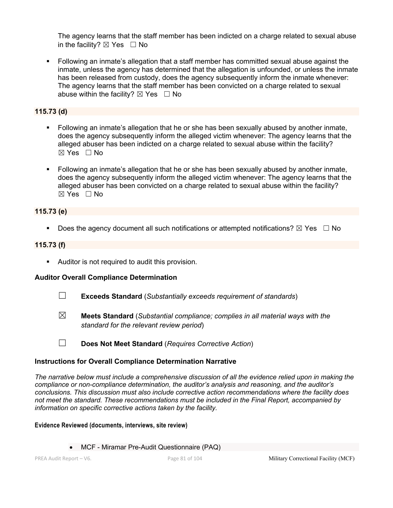The agency learns that the staff member has been indicted on a charge related to sexual abuse in the facility?  $\boxtimes$  Yes  $\Box$  No

§ Following an inmate's allegation that a staff member has committed sexual abuse against the inmate, unless the agency has determined that the allegation is unfounded, or unless the inmate has been released from custody, does the agency subsequently inform the inmate whenever: The agency learns that the staff member has been convicted on a charge related to sexual abuse within the facility?  $\boxtimes$  Yes  $\Box$  No

**115.73 (d)**

- § Following an inmate's allegation that he or she has been sexually abused by another inmate, does the agency subsequently inform the alleged victim whenever: The agency learns that the alleged abuser has been indicted on a charge related to sexual abuse within the facility?  $\boxtimes$  Yes  $\Box$  No
- Following an inmate's allegation that he or she has been sexually abused by another inmate, does the agency subsequently inform the alleged victim whenever: The agency learns that the alleged abuser has been convicted on a charge related to sexual abuse within the facility? ☒ Yes ☐ No

## **115.73 (e)**

**•** Does the agency document all such notifications or attempted notifications?  $\boxtimes$  Yes  $\Box$  No

## **115.73 (f)**

Auditor is not required to audit this provision.

## **Auditor Overall Compliance Determination**

- ☐ **Exceeds Standard** (*Substantially exceeds requirement of standards*)
- ☒ **Meets Standard** (*Substantial compliance; complies in all material ways with the standard for the relevant review period*)
- ☐ **Does Not Meet Standard** (*Requires Corrective Action*)

## **Instructions for Overall Compliance Determination Narrative**

*The narrative below must include a comprehensive discussion of all the evidence relied upon in making the compliance or non-compliance determination, the auditor's analysis and reasoning, and the auditor's conclusions. This discussion must also include corrective action recommendations where the facility does not meet the standard. These recommendations must be included in the Final Report, accompanied by information on specific corrective actions taken by the facility.*

#### **Evidence Reviewed (documents, interviews, site review)**

• MCF - Miramar Pre-Audit Questionnaire (PAQ)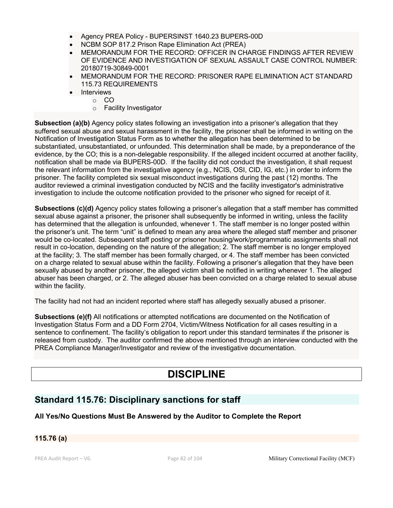- Agency PREA Policy BUPERSINST 1640.23 BUPERS-00D
- NCBM SOP 817.2 Prison Rape Elimination Act (PREA)
- MEMORANDUM FOR THE RECORD: OFFICER IN CHARGE FINDINGS AFTER REVIEW OF EVIDENCE AND INVESTIGATION OF SEXUAL ASSAULT CASE CONTROL NUMBER: 20180719-30849-0001
- MEMORANDUM FOR THE RECORD: PRISONER RAPE ELIMINATION ACT STANDARD 115.73 REQUIREMENTS
- **Interviews** 
	- o CO
		- o Facility Investigator

**Subsection (a)(b)** Agency policy states following an investigation into a prisoner's allegation that they suffered sexual abuse and sexual harassment in the facility, the prisoner shall be informed in writing on the Notification of Investigation Status Form as to whether the allegation has been determined to be substantiated, unsubstantiated, or unfounded. This determination shall be made, by a preponderance of the evidence, by the CO; this is a non-delegable responsibility. If the alleged incident occurred at another facility, notification shall be made via BUPERS-00D. If the facility did not conduct the investigation, it shall request the relevant information from the investigative agency (e.g., NCIS, OSI, CID, IG, etc.) in order to inform the prisoner. The facility completed six sexual misconduct investigations during the past (12) months. The auditor reviewed a criminal investigation conducted by NCIS and the facility investigator's administrative investigation to include the outcome notification provided to the prisoner who signed for receipt of it.

**Subsections (c)(d)** Agency policy states following a prisoner's allegation that a staff member has committed sexual abuse against a prisoner, the prisoner shall subsequently be informed in writing, unless the facility has determined that the allegation is unfounded, whenever 1. The staff member is no longer posted within the prisoner's unit. The term "unit" is defined to mean any area where the alleged staff member and prisoner would be co-located. Subsequent staff posting or prisoner housing/work/programmatic assignments shall not result in co-location, depending on the nature of the allegation; 2. The staff member is no longer employed at the facility; 3. The staff member has been formally charged, or 4. The staff member has been convicted on a charge related to sexual abuse within the facility. Following a prisoner's allegation that they have been sexually abused by another prisoner, the alleged victim shall be notified in writing whenever 1. The alleged abuser has been charged, or 2. The alleged abuser has been convicted on a charge related to sexual abuse within the facility.

The facility had not had an incident reported where staff has allegedly sexually abused a prisoner.

**Subsections (e)(f)** All notifications or attempted notifications are documented on the Notification of Investigation Status Form and a DD Form 2704, Victim/Witness Notification for all cases resulting in a sentence to confinement. The facility's obligation to report under this standard terminates if the prisoner is released from custody. The auditor confirmed the above mentioned through an interview conducted with the PREA Compliance Manager/Investigator and review of the investigative documentation.

# **DISCIPLINE**

## **Standard 115.76: Disciplinary sanctions for staff**

**All Yes/No Questions Must Be Answered by the Auditor to Complete the Report**

## **115.76 (a)**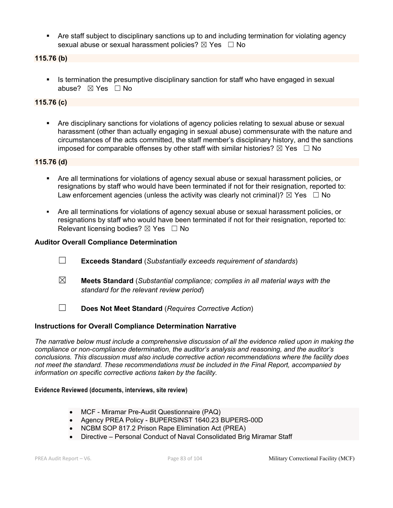• Are staff subject to disciplinary sanctions up to and including termination for violating agency sexual abuse or sexual harassment policies?  $\boxtimes$  Yes  $\Box$  No

**115.76 (b)**

§ Is termination the presumptive disciplinary sanction for staff who have engaged in sexual abuse? ☒ Yes ☐ No

## **115.76 (c)**

Are disciplinary sanctions for violations of agency policies relating to sexual abuse or sexual harassment (other than actually engaging in sexual abuse) commensurate with the nature and circumstances of the acts committed, the staff member's disciplinary history, and the sanctions imposed for comparable offenses by other staff with similar histories?  $\boxtimes$  Yes  $\Box$  No

## **115.76 (d)**

- Are all terminations for violations of agency sexual abuse or sexual harassment policies, or resignations by staff who would have been terminated if not for their resignation, reported to: Law enforcement agencies (unless the activity was clearly not criminal)?  $\boxtimes$  Yes  $\Box$  No
- Are all terminations for violations of agency sexual abuse or sexual harassment policies, or resignations by staff who would have been terminated if not for their resignation, reported to: Relevant licensing bodies?  $\boxtimes$  Yes  $\Box$  No

## **Auditor Overall Compliance Determination**

- ☐ **Exceeds Standard** (*Substantially exceeds requirement of standards*)
- ☒ **Meets Standard** (*Substantial compliance; complies in all material ways with the standard for the relevant review period*)
- ☐ **Does Not Meet Standard** (*Requires Corrective Action*)

## **Instructions for Overall Compliance Determination Narrative**

*The narrative below must include a comprehensive discussion of all the evidence relied upon in making the compliance or non-compliance determination, the auditor's analysis and reasoning, and the auditor's conclusions. This discussion must also include corrective action recommendations where the facility does not meet the standard. These recommendations must be included in the Final Report, accompanied by information on specific corrective actions taken by the facility.*

#### **Evidence Reviewed (documents, interviews, site review)**

- MCF Miramar Pre-Audit Questionnaire (PAQ)
- Agency PREA Policy BUPERSINST 1640.23 BUPERS-00D
- NCBM SOP 817.2 Prison Rape Elimination Act (PREA)
- Directive Personal Conduct of Naval Consolidated Brig Miramar Staff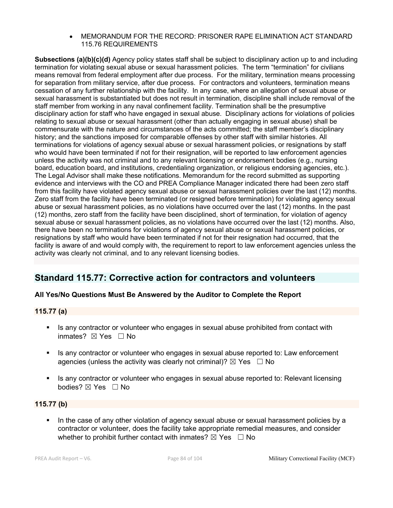• MEMORANDUM FOR THE RECORD: PRISONER RAPE ELIMINATION ACT STANDARD 115.76 REQUIREMENTS

**Subsections (a)(b)(c)(d)** Agency policy states staff shall be subject to disciplinary action up to and including termination for violating sexual abuse or sexual harassment policies. The term "termination" for civilians means removal from federal employment after due process. For the military, termination means processing for separation from military service, after due process. For contractors and volunteers, termination means cessation of any further relationship with the facility. In any case, where an allegation of sexual abuse or sexual harassment is substantiated but does not result in termination, discipline shall include removal of the staff member from working in any naval confinement facility. Termination shall be the presumptive disciplinary action for staff who have engaged in sexual abuse. Disciplinary actions for violations of policies relating to sexual abuse or sexual harassment (other than actually engaging in sexual abuse) shall be commensurate with the nature and circumstances of the acts committed; the staff member's disciplinary history; and the sanctions imposed for comparable offenses by other staff with similar histories. All terminations for violations of agency sexual abuse or sexual harassment policies, or resignations by staff who would have been terminated if not for their resignation, will be reported to law enforcement agencies unless the activity was not criminal and to any relevant licensing or endorsement bodies (e.g., nursing board, education board, and institutions, credentialing organization, or religious endorsing agencies, etc.). The Legal Advisor shall make these notifications. Memorandum for the record submitted as supporting evidence and interviews with the CO and PREA Compliance Manager indicated there had been zero staff from this facility have violated agency sexual abuse or sexual harassment policies over the last (12) months. Zero staff from the facility have been terminated (or resigned before termination) for violating agency sexual abuse or sexual harassment policies, as no violations have occurred over the last (12) months. In the past (12) months, zero staff from the facility have been disciplined, short of termination, for violation of agency sexual abuse or sexual harassment policies, as no violations have occurred over the last (12) months. Also, there have been no terminations for violations of agency sexual abuse or sexual harassment policies, or resignations by staff who would have been terminated if not for their resignation had occurred, that the facility is aware of and would comply with, the requirement to report to law enforcement agencies unless the activity was clearly not criminal, and to any relevant licensing bodies.

## **Standard 115.77: Corrective action for contractors and volunteers**

## **All Yes/No Questions Must Be Answered by the Auditor to Complete the Report**

## **115.77 (a)**

- Is any contractor or volunteer who engages in sexual abuse prohibited from contact with inmates? ⊠ Yes □ No
- § Is any contractor or volunteer who engages in sexual abuse reported to: Law enforcement agencies (unless the activity was clearly not criminal)?  $\boxtimes$  Yes  $\Box$  No
- § Is any contractor or volunteer who engages in sexual abuse reported to: Relevant licensing bodies? ⊠ Yes □ No

## **115.77 (b)**

• In the case of any other violation of agency sexual abuse or sexual harassment policies by a contractor or volunteer, does the facility take appropriate remedial measures, and consider whether to prohibit further contact with inmates?  $\boxtimes$  Yes  $\Box$  No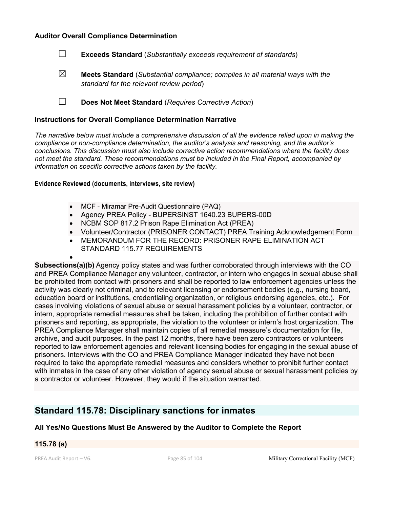#### **Auditor Overall Compliance Determination**



☒ **Meets Standard** (*Substantial compliance; complies in all material ways with the standard for the relevant review period*)

☐ **Does Not Meet Standard** (*Requires Corrective Action*)

#### **Instructions for Overall Compliance Determination Narrative**

*The narrative below must include a comprehensive discussion of all the evidence relied upon in making the compliance or non-compliance determination, the auditor's analysis and reasoning, and the auditor's conclusions. This discussion must also include corrective action recommendations where the facility does not meet the standard. These recommendations must be included in the Final Report, accompanied by information on specific corrective actions taken by the facility.*

**Evidence Reviewed (documents, interviews, site review)** 

- MCF Miramar Pre-Audit Questionnaire (PAQ)
- Agency PREA Policy BUPERSINST 1640.23 BUPERS-00D
- NCBM SOP 817.2 Prison Rape Elimination Act (PREA)
- Volunteer/Contractor (PRISONER CONTACT) PREA Training Acknowledgement Form
- MEMORANDUM FOR THE RECORD: PRISONER RAPE ELIMINATION ACT STANDARD 115.77 REQUIREMENTS

**Subsections(a)(b)** Agency policy states and was further corroborated through interviews with the CO and PREA Compliance Manager any volunteer, contractor, or intern who engages in sexual abuse shall be prohibited from contact with prisoners and shall be reported to law enforcement agencies unless the activity was clearly not criminal, and to relevant licensing or endorsement bodies (e.g., nursing board, education board or institutions, credentialing organization, or religious endorsing agencies, etc.). For cases involving violations of sexual abuse or sexual harassment policies by a volunteer, contractor, or intern, appropriate remedial measures shall be taken, including the prohibition of further contact with prisoners and reporting, as appropriate, the violation to the volunteer or intern's host organization. The PREA Compliance Manager shall maintain copies of all remedial measure's documentation for file, archive, and audit purposes. In the past 12 months, there have been zero contractors or volunteers reported to law enforcement agencies and relevant licensing bodies for engaging in the sexual abuse of prisoners. Interviews with the CO and PREA Compliance Manager indicated they have not been required to take the appropriate remedial measures and considers whether to prohibit further contact with inmates in the case of any other violation of agency sexual abuse or sexual harassment policies by a contractor or volunteer. However, they would if the situation warranted.

## **Standard 115.78: Disciplinary sanctions for inmates**

## **All Yes/No Questions Must Be Answered by the Auditor to Complete the Report**

## **115.78 (a)**

•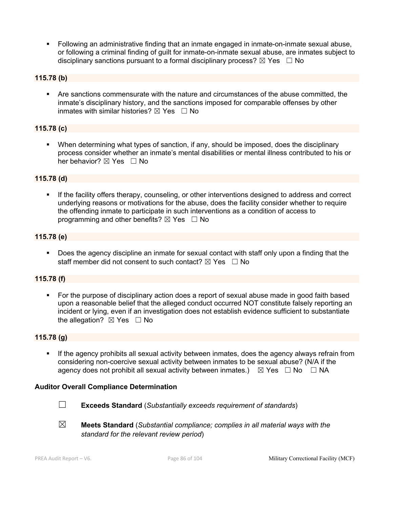§ Following an administrative finding that an inmate engaged in inmate-on-inmate sexual abuse, or following a criminal finding of guilt for inmate-on-inmate sexual abuse, are inmates subject to disciplinary sanctions pursuant to a formal disciplinary process?  $\boxtimes$  Yes  $\Box$  No

## **115.78 (b)**

§ Are sanctions commensurate with the nature and circumstances of the abuse committed, the inmate's disciplinary history, and the sanctions imposed for comparable offenses by other inmates with similar histories?  $\boxtimes$  Yes  $\Box$  No

## **115.78 (c)**

■ When determining what types of sanction, if any, should be imposed, does the disciplinary process consider whether an inmate's mental disabilities or mental illness contributed to his or her behavior? ⊠ Yes □ No

#### **115.78 (d)**

If the facility offers therapy, counseling, or other interventions designed to address and correct underlying reasons or motivations for the abuse, does the facility consider whether to require the offending inmate to participate in such interventions as a condition of access to programming and other benefits?  $\boxtimes$  Yes  $\Box$  No

## **115.78 (e)**

■ Does the agency discipline an inmate for sexual contact with staff only upon a finding that the staff member did not consent to such contact?  $\boxtimes$  Yes  $\Box$  No

#### **115.78 (f)**

• For the purpose of disciplinary action does a report of sexual abuse made in good faith based upon a reasonable belief that the alleged conduct occurred NOT constitute falsely reporting an incident or lying, even if an investigation does not establish evidence sufficient to substantiate the allegation?  $\boxtimes$  Yes  $\Box$  No

#### **115.78 (g)**

■ If the agency prohibits all sexual activity between inmates, does the agency always refrain from considering non-coercive sexual activity between inmates to be sexual abuse? (N/A if the agency does not prohibit all sexual activity between inmates.)  $\boxtimes$  Yes  $\Box$  No  $\Box$  NA

#### **Auditor Overall Compliance Determination**



☐ **Exceeds Standard** (*Substantially exceeds requirement of standards*)

☒ **Meets Standard** (*Substantial compliance; complies in all material ways with the standard for the relevant review period*)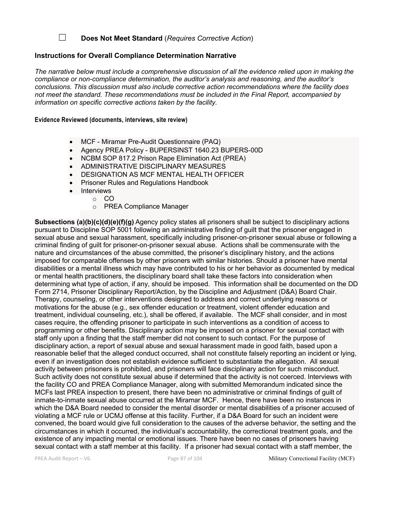## ☐ **Does Not Meet Standard** (*Requires Corrective Action*)

#### **Instructions for Overall Compliance Determination Narrative**

*The narrative below must include a comprehensive discussion of all the evidence relied upon in making the compliance or non-compliance determination, the auditor's analysis and reasoning, and the auditor's conclusions. This discussion must also include corrective action recommendations where the facility does not meet the standard. These recommendations must be included in the Final Report, accompanied by information on specific corrective actions taken by the facility.*

#### **Evidence Reviewed (documents, interviews, site review)**

- MCF Miramar Pre-Audit Questionnaire (PAQ)
- Agency PREA Policy BUPERSINST 1640.23 BUPERS-00D
- NCBM SOP 817.2 Prison Rape Elimination Act (PREA)
- ADMINISTRATIVE DISCIPLINARY MEASURES
- DESIGNATION AS MCF MENTAL HEALTH OFFICER
- Prisoner Rules and Regulations Handbook
- **Interviews**
- o CO
	- o PREA Compliance Manager

**Subsections (a)(b)(c)(d)(e)(f)(g)** Agency policy states all prisoners shall be subject to disciplinary actions pursuant to Discipline SOP 5001 following an administrative finding of guilt that the prisoner engaged in sexual abuse and sexual harassment, specifically including prisoner-on-prisoner sexual abuse or following a criminal finding of guilt for prisoner-on-prisoner sexual abuse. Actions shall be commensurate with the nature and circumstances of the abuse committed, the prisoner's disciplinary history, and the actions imposed for comparable offenses by other prisoners with similar histories. Should a prisoner have mental disabilities or a mental illness which may have contributed to his or her behavior as documented by medical or mental health practitioners, the disciplinary board shall take these factors into consideration when determining what type of action, if any, should be imposed. This information shall be documented on the DD Form 2714, Prisoner Disciplinary Report/Action, by the Discipline and Adjustment (D&A) Board Chair. Therapy, counseling, or other interventions designed to address and correct underlying reasons or motivations for the abuse (e.g., sex offender education or treatment, violent offender education and treatment, individual counseling, etc.), shall be offered, if available. The MCF shall consider, and in most cases require, the offending prisoner to participate in such interventions as a condition of access to programming or other benefits. Disciplinary action may be imposed on a prisoner for sexual contact with staff only upon a finding that the staff member did not consent to such contact. For the purpose of disciplinary action, a report of sexual abuse and sexual harassment made in good faith, based upon a reasonable belief that the alleged conduct occurred, shall not constitute falsely reporting an incident or lying, even if an investigation does not establish evidence sufficient to substantiate the allegation. All sexual activity between prisoners is prohibited, and prisoners will face disciplinary action for such misconduct. Such activity does not constitute sexual abuse if determined that the activity is not coerced. Interviews with the facility CO and PREA Compliance Manager, along with submitted Memorandum indicated since the MCFs last PREA inspection to present, there have been no administrative or criminal findings of guilt of inmate-to-inmate sexual abuse occurred at the Miramar MCF. Hence, there have been no instances in which the D&A Board needed to consider the mental disorder or mental disabilities of a prisoner accused of violating a MCF rule or UCMJ offense at this facility. Further, if a D&A Board for such an incident were convened, the board would give full consideration to the causes of the adverse behavior, the setting and the circumstances in which it occurred, the individual's accountability, the correctional treatment goals, and the existence of any impacting mental or emotional issues. There have been no cases of prisoners having sexual contact with a staff member at this facility. If a prisoner had sexual contact with a staff member, the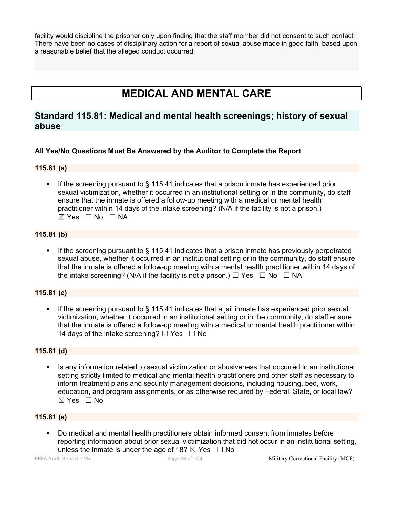facility would discipline the prisoner only upon finding that the staff member did not consent to such contact. There have been no cases of disciplinary action for a report of sexual abuse made in good faith, based upon a reasonable belief that the alleged conduct occurred.

# **MEDICAL AND MENTAL CARE**

## **Standard 115.81: Medical and mental health screenings; history of sexual abuse**

## **All Yes/No Questions Must Be Answered by the Auditor to Complete the Report**

## **115.81 (a)**

■ If the screening pursuant to § 115.41 indicates that a prison inmate has experienced prior sexual victimization, whether it occurred in an institutional setting or in the community, do staff ensure that the inmate is offered a follow-up meeting with a medical or mental health practitioner within 14 days of the intake screening? (N/A if the facility is not a prison.)  $\boxtimes$  Yes  $\Box$  No  $\Box$  NA

## **115.81 (b)**

If the screening pursuant to  $\S$  115.41 indicates that a prison inmate has previously perpetrated sexual abuse, whether it occurred in an institutional setting or in the community, do staff ensure that the inmate is offered a follow-up meeting with a mental health practitioner within 14 days of the intake screening? (N/A if the facility is not a prison.)  $\Box$  Yes  $\Box$  No  $\Box$  NA

## **115.81 (c)**

**•** If the screening pursuant to  $\S$  115.41 indicates that a jail inmate has experienced prior sexual victimization, whether it occurred in an institutional setting or in the community, do staff ensure that the inmate is offered a follow-up meeting with a medical or mental health practitioner within 14 days of the intake screening?  $\boxtimes$  Yes  $\Box$  No

## **115.81 (d)**

■ Is any information related to sexual victimization or abusiveness that occurred in an institutional setting strictly limited to medical and mental health practitioners and other staff as necessary to inform treatment plans and security management decisions, including housing, bed, work, education, and program assignments, or as otherwise required by Federal, State, or local law?  $\boxtimes$  Yes  $\Box$  No

## **115.81 (e)**

§ Do medical and mental health practitioners obtain informed consent from inmates before reporting information about prior sexual victimization that did not occur in an institutional setting, unless the inmate is under the age of 18?  $\boxtimes$  Yes  $\Box$  No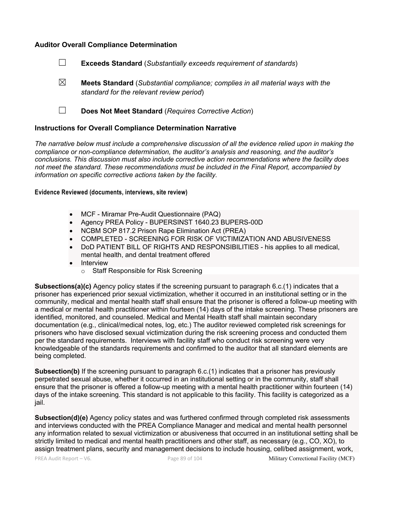#### **Auditor Overall Compliance Determination**

- ☐ **Exceeds Standard** (*Substantially exceeds requirement of standards*)
- ☒ **Meets Standard** (*Substantial compliance; complies in all material ways with the standard for the relevant review period*)
- ☐ **Does Not Meet Standard** (*Requires Corrective Action*)

#### **Instructions for Overall Compliance Determination Narrative**

*The narrative below must include a comprehensive discussion of all the evidence relied upon in making the compliance or non-compliance determination, the auditor's analysis and reasoning, and the auditor's conclusions. This discussion must also include corrective action recommendations where the facility does not meet the standard. These recommendations must be included in the Final Report, accompanied by information on specific corrective actions taken by the facility.*

#### **Evidence Reviewed (documents, interviews, site review)**

- MCF Miramar Pre-Audit Questionnaire (PAQ)
- Agency PREA Policy BUPERSINST 1640.23 BUPERS-00D
- NCBM SOP 817.2 Prison Rape Elimination Act (PREA)
- COMPLETED SCREENING FOR RISK OF VICTIMIZATION AND ABUSIVENESS
- DoD PATIENT BILL OF RIGHTS AND RESPONSIBILITIES his applies to all medical, mental health, and dental treatment offered
- Interview
	- o Staff Responsible for Risk Screening

**Subsections(a)(c)** Agency policy states if the screening pursuant to paragraph 6.c.(1) indicates that a prisoner has experienced prior sexual victimization, whether it occurred in an institutional setting or in the community, medical and mental health staff shall ensure that the prisoner is offered a follow-up meeting with a medical or mental health practitioner within fourteen (14) days of the intake screening. These prisoners are identified, monitored, and counseled. Medical and Mental Health staff shall maintain secondary documentation (e.g., clinical/medical notes, log, etc.) The auditor reviewed completed risk screenings for prisoners who have disclosed sexual victimization during the risk screening process and conducted them per the standard requirements. Interviews with facility staff who conduct risk screening were very knowledgeable of the standards requirements and confirmed to the auditor that all standard elements are being completed.

**Subsection(b)** If the screening pursuant to paragraph 6.c.(1) indicates that a prisoner has previously perpetrated sexual abuse, whether it occurred in an institutional setting or in the community, staff shall ensure that the prisoner is offered a follow-up meeting with a mental health practitioner within fourteen (14) days of the intake screening. This standard is not applicable to this facility. This facility is categorized as a jail.

**Subsection(d)(e)** Agency policy states and was furthered confirmed through completed risk assessments and interviews conducted with the PREA Compliance Manager and medical and mental health personnel any information related to sexual victimization or abusiveness that occurred in an institutional setting shall be strictly limited to medical and mental health practitioners and other staff, as necessary (e.g., CO, XO), to assign treatment plans, security and management decisions to include housing, cell/bed assignment, work,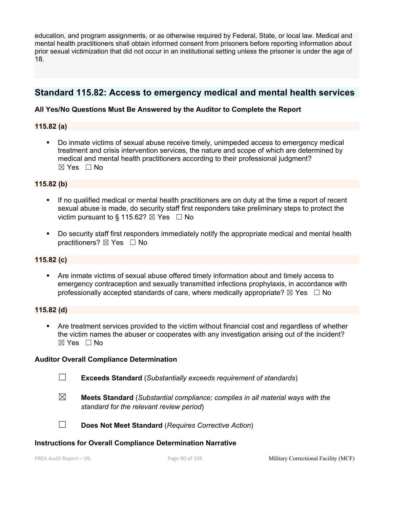education, and program assignments, or as otherwise required by Federal, State, or local law. Medical and mental health practitioners shall obtain informed consent from prisoners before reporting information about prior sexual victimization that did not occur in an institutional setting unless the prisoner is under the age of 18.

## **Standard 115.82: Access to emergency medical and mental health services**

## **All Yes/No Questions Must Be Answered by the Auditor to Complete the Report**

## **115.82 (a)**

§ Do inmate victims of sexual abuse receive timely, unimpeded access to emergency medical treatment and crisis intervention services, the nature and scope of which are determined by medical and mental health practitioners according to their professional judgment?  $\boxtimes$  Yes  $\Box$  No

## **115.82 (b)**

- **•** If no qualified medical or mental health practitioners are on duty at the time a report of recent sexual abuse is made, do security staff first responders take preliminary steps to protect the victim pursuant to § 115.62?  $\boxtimes$  Yes  $\Box$  No
- Do security staff first responders immediately notify the appropriate medical and mental health practitioners?  $\boxtimes$  Yes  $\Box$  No

## **115.82 (c)**

§ Are inmate victims of sexual abuse offered timely information about and timely access to emergency contraception and sexually transmitted infections prophylaxis, in accordance with professionally accepted standards of care, where medically appropriate?  $\boxtimes$  Yes  $\Box$  No

#### **115.82 (d)**

• Are treatment services provided to the victim without financial cost and regardless of whether the victim names the abuser or cooperates with any investigation arising out of the incident? ☒ Yes ☐ No

## **Auditor Overall Compliance Determination**

- ☐ **Exceeds Standard** (*Substantially exceeds requirement of standards*)
- ☒ **Meets Standard** (*Substantial compliance; complies in all material ways with the standard for the relevant review period*)
- ☐ **Does Not Meet Standard** (*Requires Corrective Action*)

#### **Instructions for Overall Compliance Determination Narrative**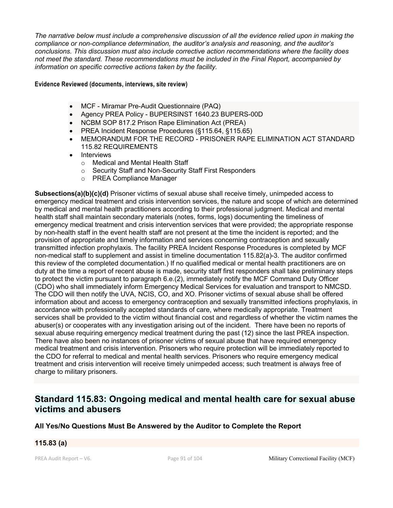*The narrative below must include a comprehensive discussion of all the evidence relied upon in making the compliance or non-compliance determination, the auditor's analysis and reasoning, and the auditor's conclusions. This discussion must also include corrective action recommendations where the facility does not meet the standard. These recommendations must be included in the Final Report, accompanied by information on specific corrective actions taken by the facility.*

#### **Evidence Reviewed (documents, interviews, site review)**

- MCF Miramar Pre-Audit Questionnaire (PAQ)
- Agency PREA Policy BUPERSINST 1640.23 BUPERS-00D
- NCBM SOP 817.2 Prison Rape Elimination Act (PREA)
- PREA Incident Response Procedures (§115.64, §115.65)
- MEMORANDUM FOR THE RECORD PRISONER RAPE ELIMINATION ACT STANDARD 115.82 REQUIREMENTS
- **Interviews** 
	- o Medical and Mental Health Staff
	- o Security Staff and Non-Security Staff First Responders
	- o PREA Compliance Manager

**Subsections(a)(b)(c)(d)** Prisoner victims of sexual abuse shall receive timely, unimpeded access to emergency medical treatment and crisis intervention services, the nature and scope of which are determined by medical and mental health practitioners according to their professional judgment. Medical and mental health staff shall maintain secondary materials (notes, forms, logs) documenting the timeliness of emergency medical treatment and crisis intervention services that were provided; the appropriate response by non-health staff in the event health staff are not present at the time the incident is reported; and the provision of appropriate and timely information and services concerning contraception and sexually transmitted infection prophylaxis. The facility PREA Incident Response Procedures is completed by MCF non-medical staff to supplement and assist in timeline documentation 115.82(a)-3. The auditor confirmed this review of the completed documentation.) If no qualified medical or mental health practitioners are on duty at the time a report of recent abuse is made, security staff first responders shall take preliminary steps to protect the victim pursuant to paragraph 6.e.(2), immediately notify the MCF Command Duty Officer (CDO) who shall immediately inform Emergency Medical Services for evaluation and transport to NMCSD. The CDO will then notify the UVA, NCIS, CO, and XO. Prisoner victims of sexual abuse shall be offered information about and access to emergency contraception and sexually transmitted infections prophylaxis, in accordance with professionally accepted standards of care, where medically appropriate. Treatment services shall be provided to the victim without financial cost and regardless of whether the victim names the abuser(s) or cooperates with any investigation arising out of the incident. There have been no reports of sexual abuse requiring emergency medical treatment during the past (12) since the last PREA inspection. There have also been no instances of prisoner victims of sexual abuse that have required emergency medical treatment and crisis intervention. Prisoners who require protection will be immediately reported to the CDO for referral to medical and mental health services. Prisoners who require emergency medical treatment and crisis intervention will receive timely unimpeded access; such treatment is always free of charge to military prisoners.

## **Standard 115.83: Ongoing medical and mental health care for sexual abuse victims and abusers**

## **All Yes/No Questions Must Be Answered by the Auditor to Complete the Report**

#### **115.83 (a)**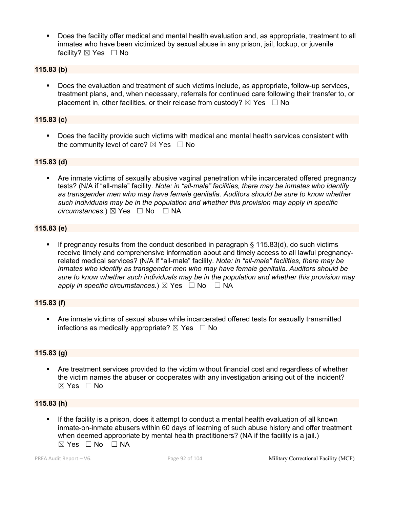§ Does the facility offer medical and mental health evaluation and, as appropriate, treatment to all inmates who have been victimized by sexual abuse in any prison, jail, lockup, or juvenile facility? ⊠ Yes □ No

## **115.83 (b)**

§ Does the evaluation and treatment of such victims include, as appropriate, follow-up services, treatment plans, and, when necessary, referrals for continued care following their transfer to, or placement in, other facilities, or their release from custody?  $\boxtimes$  Yes  $\Box$  No

## **115.83 (c)**

§ Does the facility provide such victims with medical and mental health services consistent with the community level of care?  $\boxtimes$  Yes  $\Box$  No

#### **115.83 (d)**

• Are inmate victims of sexually abusive vaginal penetration while incarcerated offered pregnancy tests? (N/A if "all-male" facility. *Note: in "all-male" facilities, there may be inmates who identify as transgender men who may have female genitalia. Auditors should be sure to know whether such individuals may be in the population and whether this provision may apply in specific circumstances.*) ⊠ Yes  $□$  No  $□$  NA

## **115.83 (e)**

**•** If pregnancy results from the conduct described in paragraph  $\S$  115.83(d), do such victims receive timely and comprehensive information about and timely access to all lawful pregnancyrelated medical services? (N/A if "all-male" facility. *Note: in "all-male" facilities, there may be inmates who identify as transgender men who may have female genitalia. Auditors should be sure to know whether such individuals may be in the population and whether this provision may apply in specific circumstances.*)  $\boxtimes$  Yes  $\Box$  No  $\Box$  NA

## **115.83 (f)**

• Are inmate victims of sexual abuse while incarcerated offered tests for sexually transmitted infections as medically appropriate?  $\boxtimes$  Yes  $\Box$  No

#### **115.83 (g)**

• Are treatment services provided to the victim without financial cost and regardless of whether the victim names the abuser or cooperates with any investigation arising out of the incident?  $\boxtimes$  Yes  $\Box$  No

## **115.83 (h)**

If the facility is a prison, does it attempt to conduct a mental health evaluation of all known inmate-on-inmate abusers within 60 days of learning of such abuse history and offer treatment when deemed appropriate by mental health practitioners? (NA if the facility is a jail.)  $\boxtimes$  Yes  $\Box$  No  $\Box$  NA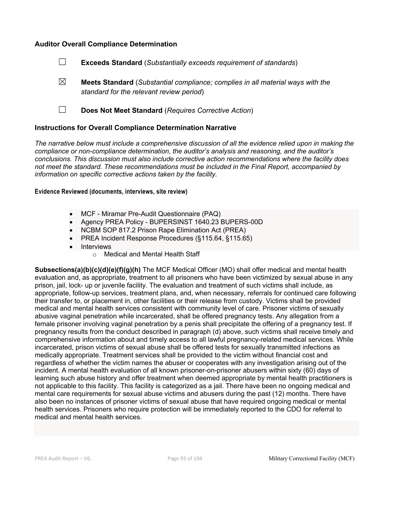## **Auditor Overall Compliance Determination**



- ☒ **Meets Standard** (*Substantial compliance; complies in all material ways with the standard for the relevant review period*)
- ☐ **Does Not Meet Standard** (*Requires Corrective Action*)

#### **Instructions for Overall Compliance Determination Narrative**

*The narrative below must include a comprehensive discussion of all the evidence relied upon in making the compliance or non-compliance determination, the auditor's analysis and reasoning, and the auditor's conclusions. This discussion must also include corrective action recommendations where the facility does not meet the standard. These recommendations must be included in the Final Report, accompanied by information on specific corrective actions taken by the facility.*

#### **Evidence Reviewed (documents, interviews, site review)**

- MCF Miramar Pre-Audit Questionnaire (PAQ)
- Agency PREA Policy BUPERSINST 1640.23 BUPERS-00D
- NCBM SOP 817.2 Prison Rape Elimination Act (PREA)
- PREA Incident Response Procedures (§115.64, §115.65)
- Interviews
	- o Medical and Mental Health Staff

**Subsections(a)(b)(c)(d)(e)(f)(g)(h)** The MCF Medical Officer (MO) shall offer medical and mental health evaluation and, as appropriate, treatment to all prisoners who have been victimized by sexual abuse in any prison, jail, lock- up or juvenile facility. The evaluation and treatment of such victims shall include, as appropriate, follow-up services, treatment plans, and, when necessary, referrals for continued care following their transfer to, or placement in, other facilities or their release from custody. Victims shall be provided medical and mental health services consistent with community level of care. Prisoner victims of sexually abusive vaginal penetration while incarcerated, shall be offered pregnancy tests. Any allegation from a female prisoner involving vaginal penetration by a penis shall precipitate the offering of a pregnancy test. If pregnancy results from the conduct described in paragraph (d) above, such victims shall receive timely and comprehensive information about and timely access to all lawful pregnancy-related medical services. While incarcerated, prison victims of sexual abuse shall be offered tests for sexually transmitted infections as medically appropriate. Treatment services shall be provided to the victim without financial cost and regardless of whether the victim names the abuser or cooperates with any investigation arising out of the incident. A mental health evaluation of all known prisoner-on-prisoner abusers within sixty (60) days of learning such abuse history and offer treatment when deemed appropriate by mental health practitioners is not applicable to this facility. This facility is categorized as a jail. There have been no ongoing medical and mental care requirements for sexual abuse victims and abusers during the past (12) months. There have also been no instances of prisoner victims of sexual abuse that have required ongoing medical or mental health services. Prisoners who require protection will be immediately reported to the CDO for referral to medical and mental health services.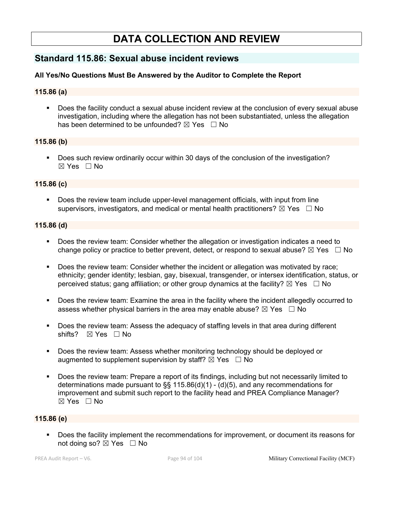# **DATA COLLECTION AND REVIEW**

## **Standard 115.86: Sexual abuse incident reviews**

## **All Yes/No Questions Must Be Answered by the Auditor to Complete the Report**

## **115.86 (a)**

• Does the facility conduct a sexual abuse incident review at the conclusion of every sexual abuse investigation, including where the allegation has not been substantiated, unless the allegation has been determined to be unfounded?  $\boxtimes$  Yes  $\Box$  No

## **115.86 (b)**

§ Does such review ordinarily occur within 30 days of the conclusion of the investigation?  $\boxtimes$  Yes  $\Box$  No

## **115.86 (c)**

Does the review team include upper-level management officials, with input from line supervisors, investigators, and medical or mental health practitioners?  $\boxtimes$  Yes  $\Box$  No

#### **115.86 (d)**

- § Does the review team: Consider whether the allegation or investigation indicates a need to change policy or practice to better prevent, detect, or respond to sexual abuse?  $\boxtimes$  Yes  $\Box$  No
- § Does the review team: Consider whether the incident or allegation was motivated by race; ethnicity; gender identity; lesbian, gay, bisexual, transgender, or intersex identification, status, or perceived status; gang affiliation; or other group dynamics at the facility?  $\boxtimes$  Yes  $\Box$  No
- § Does the review team: Examine the area in the facility where the incident allegedly occurred to assess whether physical barriers in the area may enable abuse?  $\boxtimes$  Yes  $\Box$  No
- § Does the review team: Assess the adequacy of staffing levels in that area during different shifts?  $\boxtimes$  Yes  $\Box$  No
- Does the review team: Assess whether monitoring technology should be deployed or augmented to supplement supervision by staff?  $\boxtimes$  Yes  $\Box$  No
- § Does the review team: Prepare a report of its findings, including but not necessarily limited to determinations made pursuant to §§ 115.86(d)(1) - (d)(5), and any recommendations for improvement and submit such report to the facility head and PREA Compliance Manager?  $\boxtimes$  Yes  $\Box$  No

#### **115.86 (e)**

§ Does the facility implement the recommendations for improvement, or document its reasons for not doing so? ⊠ Yes □ No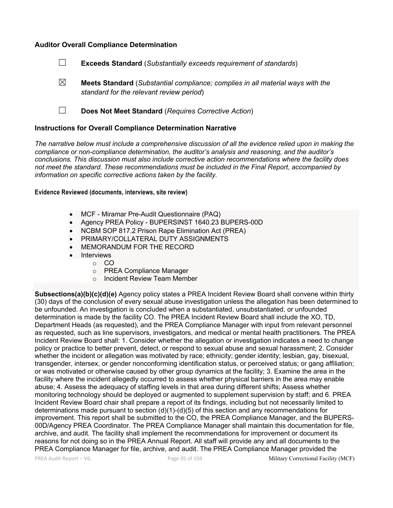## **Auditor Overall Compliance Determination**

- ☐ **Exceeds Standard** (*Substantially exceeds requirement of standards*)
- ☒ **Meets Standard** (*Substantial compliance; complies in all material ways with the standard for the relevant review period*)
- ☐ **Does Not Meet Standard** (*Requires Corrective Action*)

## **Instructions for Overall Compliance Determination Narrative**

*The narrative below must include a comprehensive discussion of all the evidence relied upon in making the compliance or non-compliance determination, the auditor's analysis and reasoning, and the auditor's conclusions. This discussion must also include corrective action recommendations where the facility does not meet the standard. These recommendations must be included in the Final Report, accompanied by information on specific corrective actions taken by the facility.*

#### **Evidence Reviewed (documents, interviews, site review)**

- MCF Miramar Pre-Audit Questionnaire (PAQ)
- Agency PREA Policy BUPERSINST 1640.23 BUPERS-00D
- NCBM SOP 817.2 Prison Rape Elimination Act (PREA)
- PRIMARY/COLLATERAL DUTY ASSIGNMENTS
- MEMORANDUM FOR THE RECORD
- Interviews
- o CO
	- o PREA Compliance Manager
	- o Incident Review Team Member

**Subsections(a)(b)(c)(d)(e)** Agency policy states a PREA Incident Review Board shall convene within thirty (30) days of the conclusion of every sexual abuse investigation unless the allegation has been determined to be unfounded. An investigation is concluded when a substantiated, unsubstantiated, or unfounded determination is made by the facility CO. The PREA Incident Review Board shall include the XO, TD, Department Heads (as requested), and the PREA Compliance Manager with input from relevant personnel as requested, such as line supervisors, investigators, and medical or mental health practitioners. The PREA Incident Review Board shall: 1. Consider whether the allegation or investigation indicates a need to change policy or practice to better prevent, detect, or respond to sexual abuse and sexual harassment; 2. Consider whether the incident or allegation was motivated by race; ethnicity; gender identity; lesbian, gay, bisexual, transgender, intersex, or gender nonconforming identification status, or perceived status; or gang affiliation; or was motivated or otherwise caused by other group dynamics at the facility; 3. Examine the area in the facility where the incident allegedly occurred to assess whether physical barriers in the area may enable abuse; 4. Assess the adequacy of staffing levels in that area during different shifts; Assess whether monitoring technology should be deployed or augmented to supplement supervision by staff; and 6. PREA Incident Review Board chair shall prepare a report of its findings, including but not necessarily limited to determinations made pursuant to section  $(d)(1)-(d)(5)$  of this section and any recommendations for improvement. This report shall be submitted to the CO, the PREA Compliance Manager, and the BUPERS-00D/Agency PREA Coordinator. The PREA Compliance Manager shall maintain this documentation for file, archive, and audit. The facility shall implement the recommendations for improvement or document its reasons for not doing so in the PREA Annual Report. All staff will provide any and all documents to the PREA Compliance Manager for file, archive, and audit. The PREA Compliance Manager provided the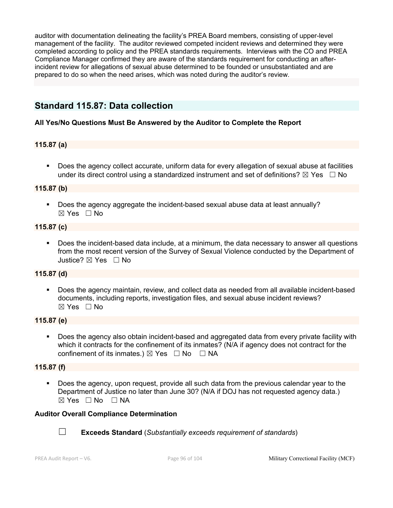auditor with documentation delineating the facility's PREA Board members, consisting of upper-level management of the facility. The auditor reviewed competed incident reviews and determined they were completed according to policy and the PREA standards requirements. Interviews with the CO and PREA Compliance Manager confirmed they are aware of the standards requirement for conducting an afterincident review for allegations of sexual abuse determined to be founded or unsubstantiated and are prepared to do so when the need arises, which was noted during the auditor's review.

## **Standard 115.87: Data collection**

## **All Yes/No Questions Must Be Answered by the Auditor to Complete the Report**

## **115.87 (a)**

Does the agency collect accurate, uniform data for every allegation of sexual abuse at facilities under its direct control using a standardized instrument and set of definitions?  $\boxtimes$  Yes  $\Box$  No

## **115.87 (b)**

§ Does the agency aggregate the incident-based sexual abuse data at least annually?  $\boxtimes$  Yes  $\Box$  No

## **115.87 (c)**

• Does the incident-based data include, at a minimum, the data necessary to answer all questions from the most recent version of the Survey of Sexual Violence conducted by the Department of Justice? ☒ Yes ☐ No

## **115.87 (d)**

§ Does the agency maintain, review, and collect data as needed from all available incident-based documents, including reports, investigation files, and sexual abuse incident reviews?  $\boxtimes$  Yes  $\Box$  No

#### **115.87 (e)**

§ Does the agency also obtain incident-based and aggregated data from every private facility with which it contracts for the confinement of its inmates? (N/A if agency does not contract for the confinement of its inmates.)  $\boxtimes$  Yes  $\Box$  No  $\Box$  NA

## **115.87 (f)**

§ Does the agency, upon request, provide all such data from the previous calendar year to the Department of Justice no later than June 30? (N/A if DOJ has not requested agency data.)  $⊠ Yes ⊡ No ⊡ NA$ 

## **Auditor Overall Compliance Determination**



☐ **Exceeds Standard** (*Substantially exceeds requirement of standards*)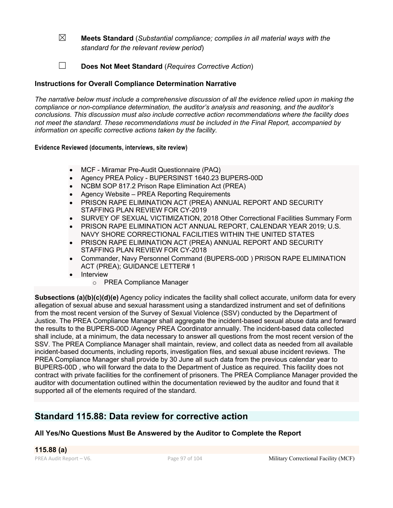- ☒ **Meets Standard** (*Substantial compliance; complies in all material ways with the standard for the relevant review period*)
- ☐ **Does Not Meet Standard** (*Requires Corrective Action*)

## **Instructions for Overall Compliance Determination Narrative**

*The narrative below must include a comprehensive discussion of all the evidence relied upon in making the compliance or non-compliance determination, the auditor's analysis and reasoning, and the auditor's conclusions. This discussion must also include corrective action recommendations where the facility does not meet the standard. These recommendations must be included in the Final Report, accompanied by information on specific corrective actions taken by the facility.*

## **Evidence Reviewed (documents, interviews, site review)**

- MCF Miramar Pre-Audit Questionnaire (PAQ)
- Agency PREA Policy BUPERSINST 1640.23 BUPERS-00D
- NCBM SOP 817.2 Prison Rape Elimination Act (PREA)
- Agency Website PREA Reporting Requirements
- PRISON RAPE ELIMINATION ACT (PREA) ANNUAL REPORT AND SECURITY STAFFING PLAN REVIEW FOR CY-2019
- SURVEY OF SEXUAL VICTIMIZATION, 2018 Other Correctional Facilities Summary Form
- PRISON RAPE ELIMINATION ACT ANNUAL REPORT, CALENDAR YEAR 2019; U.S. NAVY SHORE CORRECTIONAL FACILITIES WITHIN THE UNITED STATES
- PRISON RAPE ELIMINATION ACT (PREA) ANNUAL REPORT AND SECURITY STAFFING PLAN REVIEW FOR CY-2018
- Commander, Navy Personnel Command (BUPERS-00D ) PRISON RAPE ELIMINATION ACT (PREA); GUIDANCE LETTER# 1
- Interview
	- o PREA Compliance Manager

**Subsections (a)(b)(c)(d)(e)** Agency policy indicates the facility shall collect accurate, uniform data for every allegation of sexual abuse and sexual harassment using a standardized instrument and set of definitions from the most recent version of the Survey of Sexual Violence (SSV) conducted by the Department of Justice. The PREA Compliance Manager shall aggregate the incident-based sexual abuse data and forward the results to the BUPERS-00D /Agency PREA Coordinator annually. The incident-based data collected shall include, at a minimum, the data necessary to answer all questions from the most recent version of the SSV. The PREA Compliance Manager shall maintain, review, and collect data as needed from all available incident-based documents, including reports, investigation files, and sexual abuse incident reviews. The PREA Compliance Manager shall provide by 30 June all such data from the previous calendar year to BUPERS-00D , who will forward the data to the Department of Justice as required. This facility does not contract with private facilities for the confinement of prisoners. The PREA Compliance Manager provided the auditor with documentation outlined within the documentation reviewed by the auditor and found that it supported all of the elements required of the standard.

## **Standard 115.88: Data review for corrective action**

## **All Yes/No Questions Must Be Answered by the Auditor to Complete the Report**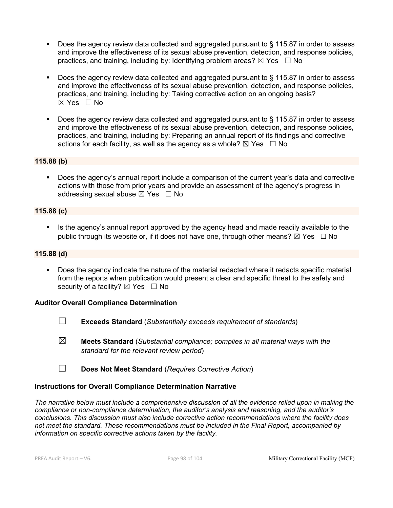- § Does the agency review data collected and aggregated pursuant to § 115.87 in order to assess and improve the effectiveness of its sexual abuse prevention, detection, and response policies, practices, and training, including by: Identifying problem areas?  $\boxtimes$  Yes  $\Box$  No
- Does the agency review data collected and aggregated pursuant to § 115.87 in order to assess and improve the effectiveness of its sexual abuse prevention, detection, and response policies, practices, and training, including by: Taking corrective action on an ongoing basis?  $\boxtimes$  Yes  $\Box$  No
- Does the agency review data collected and aggregated pursuant to § 115.87 in order to assess and improve the effectiveness of its sexual abuse prevention, detection, and response policies, practices, and training, including by: Preparing an annual report of its findings and corrective actions for each facility, as well as the agency as a whole?  $\boxtimes$  Yes  $\Box$  No

## **115.88 (b)**

§ Does the agency's annual report include a comparison of the current year's data and corrective actions with those from prior years and provide an assessment of the agency's progress in addressing sexual abuse  $\boxtimes$  Yes  $\Box$  No

## **115.88 (c)**

■ Is the agency's annual report approved by the agency head and made readily available to the public through its website or, if it does not have one, through other means?  $\boxtimes$  Yes  $\Box$  No

## **115.88 (d)**

Does the agency indicate the nature of the material redacted where it redacts specific material from the reports when publication would present a clear and specific threat to the safety and security of a facility?  $\boxtimes$  Yes  $\Box$  No

#### **Auditor Overall Compliance Determination**

- ☐ **Exceeds Standard** (*Substantially exceeds requirement of standards*)
- ☒ **Meets Standard** (*Substantial compliance; complies in all material ways with the standard for the relevant review period*)
- ☐ **Does Not Meet Standard** (*Requires Corrective Action*)

#### **Instructions for Overall Compliance Determination Narrative**

*The narrative below must include a comprehensive discussion of all the evidence relied upon in making the compliance or non-compliance determination, the auditor's analysis and reasoning, and the auditor's conclusions. This discussion must also include corrective action recommendations where the facility does not meet the standard. These recommendations must be included in the Final Report, accompanied by information on specific corrective actions taken by the facility.*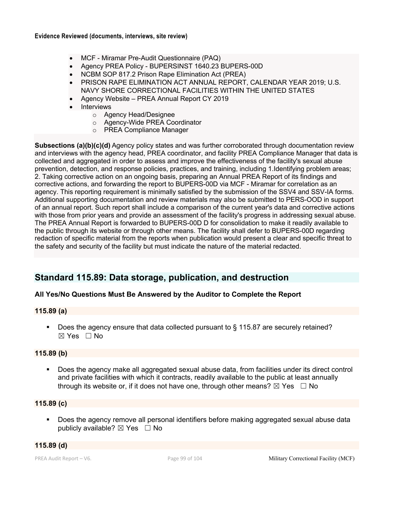- MCF Miramar Pre-Audit Questionnaire (PAQ)
- Agency PREA Policy BUPERSINST 1640.23 BUPERS-00D
- NCBM SOP 817.2 Prison Rape Elimination Act (PREA)
- PRISON RAPE ELIMINATION ACT ANNUAL REPORT, CALENDAR YEAR 2019; U.S. NAVY SHORE CORRECTIONAL FACILITIES WITHIN THE UNITED STATES
- Agency Website PREA Annual Report CY 2019
- **Interviews** 
	- o Agency Head/Designee
	- o Agency-Wide PREA Coordinator
	- o PREA Compliance Manager

**Subsections (a)(b)(c)(d)** Agency policy states and was further corroborated through documentation review and interviews with the agency head, PREA coordinator, and facility PREA Compliance Manager that data is collected and aggregated in order to assess and improve the effectiveness of the facility's sexual abuse prevention, detection, and response policies, practices, and training, including 1.Identifying problem areas; 2. Taking corrective action on an ongoing basis, preparing an Annual PREA Report of its findings and corrective actions, and forwarding the report to BUPERS-00D via MCF - Miramar for correlation as an agency. This reporting requirement is minimally satisfied by the submission of the SSV4 and SSV-IA forms. Additional supporting documentation and review materials may also be submitted to PERS-OOD in support of an annual report. Such report shall include a comparison of the current year's data and corrective actions with those from prior years and provide an assessment of the facility's progress in addressing sexual abuse. The PREA Annual Report is forwarded to BUPERS-00D D for consolidation to make it readily available to the public through its website or through other means. The facility shall defer to BUPERS-00D regarding redaction of specific material from the reports when publication would present a clear and specific threat to the safety and security of the facility but must indicate the nature of the material redacted.

## **Standard 115.89: Data storage, publication, and destruction**

## **All Yes/No Questions Must Be Answered by the Auditor to Complete the Report**

## **115.89 (a)**

§ Does the agency ensure that data collected pursuant to § 115.87 are securely retained?  $\boxtimes$  Yes  $\Box$  No

## **115.89 (b)**

■ Does the agency make all aggregated sexual abuse data, from facilities under its direct control and private facilities with which it contracts, readily available to the public at least annually through its website or, if it does not have one, through other means?  $\boxtimes$  Yes  $\Box$  No

## **115.89 (c)**

■ Does the agency remove all personal identifiers before making aggregated sexual abuse data publicly available?  $\boxtimes$  Yes  $\Box$  No

## **115.89 (d)**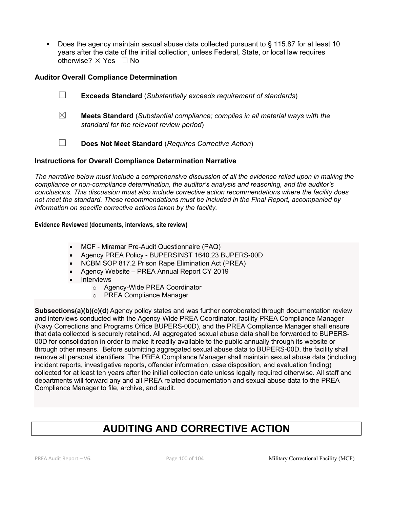• Does the agency maintain sexual abuse data collected pursuant to § 115.87 for at least 10 years after the date of the initial collection, unless Federal, State, or local law requires otherwise? ⊠ Yes □ No

## **Auditor Overall Compliance Determination**

- ☐ **Exceeds Standard** (*Substantially exceeds requirement of standards*)
- ☒ **Meets Standard** (*Substantial compliance; complies in all material ways with the standard for the relevant review period*)
- ☐ **Does Not Meet Standard** (*Requires Corrective Action*)

## **Instructions for Overall Compliance Determination Narrative**

*The narrative below must include a comprehensive discussion of all the evidence relied upon in making the compliance or non-compliance determination, the auditor's analysis and reasoning, and the auditor's conclusions. This discussion must also include corrective action recommendations where the facility does not meet the standard. These recommendations must be included in the Final Report, accompanied by information on specific corrective actions taken by the facility.*

#### **Evidence Reviewed (documents, interviews, site review)**

- MCF Miramar Pre-Audit Questionnaire (PAQ)
- Agency PREA Policy BUPERSINST 1640.23 BUPERS-00D
- NCBM SOP 817.2 Prison Rape Elimination Act (PREA)
- Agency Website PREA Annual Report CY 2019
- Interviews
	- o Agency-Wide PREA Coordinator
	- o PREA Compliance Manager

**Subsections(a)(b)(c)(d**) Agency policy states and was further corroborated through documentation review and interviews conducted with the Agency-Wide PREA Coordinator, facility PREA Compliance Manager (Navy Corrections and Programs Office BUPERS-00D), and the PREA Compliance Manager shall ensure that data collected is securely retained. All aggregated sexual abuse data shall be forwarded to BUPERS-00D for consolidation in order to make it readily available to the public annually through its website or through other means. Before submitting aggregated sexual abuse data to BUPERS-00D, the facility shall remove all personal identifiers. The PREA Compliance Manager shall maintain sexual abuse data (including incident reports, investigative reports, offender information, case disposition, and evaluation finding) collected for at least ten years after the initial collection date unless legally required otherwise. All staff and departments will forward any and all PREA related documentation and sexual abuse data to the PREA Compliance Manager to file, archive, and audit.

# **AUDITING AND CORRECTIVE ACTION**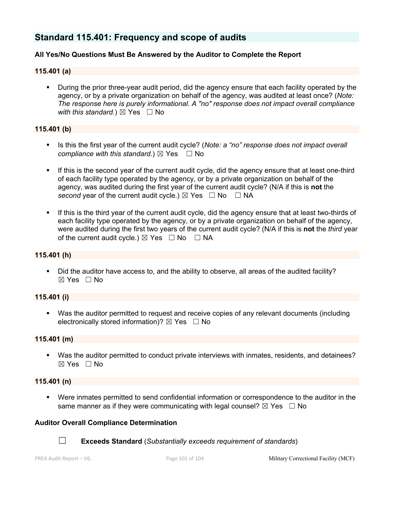## **Standard 115.401: Frequency and scope of audits**

## **All Yes/No Questions Must Be Answered by the Auditor to Complete the Report**

## **115.401 (a)**

• During the prior three-year audit period, did the agency ensure that each facility operated by the agency, or by a private organization on behalf of the agency, was audited at least once? (*Note: The response here is purely informational. A "no" response does not impact overall compliance with this standard.*)  $\boxtimes$  Yes  $\Box$  No

## **115.401 (b)**

- Is this the first year of the current audit cycle? (*Note: a "no" response does not impact overall compliance with this standard.*)  $\boxtimes$  Yes  $\Box$  No
- **•** If this is the second year of the current audit cycle, did the agency ensure that at least one-third of each facility type operated by the agency, or by a private organization on behalf of the agency, was audited during the first year of the current audit cycle? (N/A if this is **not** the *second* year of the current audit cycle.)  $\boxtimes$  Yes  $\Box$  No  $\Box$  NA
- § If this is the third year of the current audit cycle, did the agency ensure that at least two-thirds of each facility type operated by the agency, or by a private organization on behalf of the agency, were audited during the first two years of the current audit cycle? (N/A if this is **not** the *third* year of the current audit cycle.)  $\boxtimes$  Yes  $\Box$  No  $\Box$  NA

#### **115.401 (h)**

• Did the auditor have access to, and the ability to observe, all areas of the audited facility?  $\boxtimes$  Yes  $\Box$  No

#### **115.401 (i)**

§ Was the auditor permitted to request and receive copies of any relevant documents (including electronically stored information)?  $\boxtimes$  Yes  $\Box$  No

## **115.401 (m)**

§ Was the auditor permitted to conduct private interviews with inmates, residents, and detainees? ☒ Yes ☐ No

#### **115.401 (n)**

§ Were inmates permitted to send confidential information or correspondence to the auditor in the same manner as if they were communicating with legal counsel?  $\boxtimes$  Yes  $\Box$  No

#### **Auditor Overall Compliance Determination**



☐ **Exceeds Standard** (*Substantially exceeds requirement of standards*)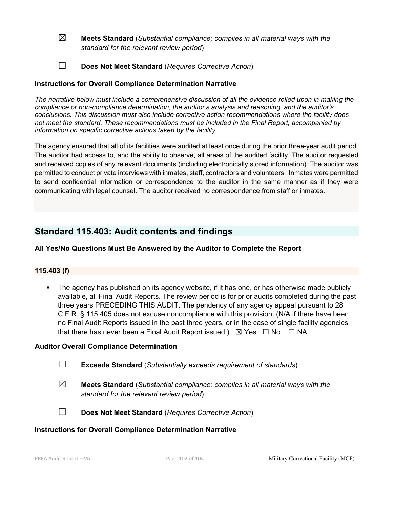- ☒ **Meets Standard** (*Substantial compliance; complies in all material ways with the standard for the relevant review period*)
- ☐ **Does Not Meet Standard** (*Requires Corrective Action*)

## **Instructions for Overall Compliance Determination Narrative**

*The narrative below must include a comprehensive discussion of all the evidence relied upon in making the compliance or non-compliance determination, the auditor's analysis and reasoning, and the auditor's conclusions. This discussion must also include corrective action recommendations where the facility does not meet the standard. These recommendations must be included in the Final Report, accompanied by information on specific corrective actions taken by the facility.*

The agency ensured that all of its facilities were audited at least once during the prior three-year audit period. The auditor had access to, and the ability to observe, all areas of the audited facility. The auditor requested and received copies of any relevant documents (including electronically stored information). The auditor was permitted to conduct private interviews with inmates, staff, contractors and volunteers. Inmates were permitted to send confidential information or correspondence to the auditor in the same manner as if they were communicating with legal counsel. The auditor received no correspondence from staff or inmates.

## **Standard 115.403: Audit contents and findings**

## **All Yes/No Questions Must Be Answered by the Auditor to Complete the Report**

## **115.403 (f)**

• The agency has published on its agency website, if it has one, or has otherwise made publicly available, all Final Audit Reports. The review period is for prior audits completed during the past three years PRECEDING THIS AUDIT. The pendency of any agency appeal pursuant to 28 C.F.R. § 115.405 does not excuse noncompliance with this provision. (N/A if there have been no Final Audit Reports issued in the past three years, or in the case of single facility agencies that there has never been a Final Audit Report issued.)  $\boxtimes$  Yes  $\Box$  No  $\Box$  NA

## **Auditor Overall Compliance Determination**

- ☐ **Exceeds Standard** (*Substantially exceeds requirement of standards*)
- ☒ **Meets Standard** (*Substantial compliance; complies in all material ways with the standard for the relevant review period*)
- 
- ☐ **Does Not Meet Standard** (*Requires Corrective Action*)

## **Instructions for Overall Compliance Determination Narrative**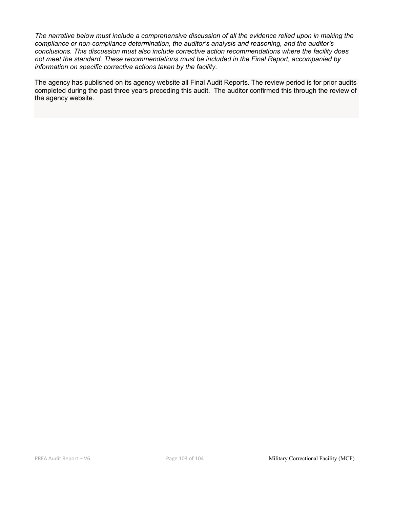*The narrative below must include a comprehensive discussion of all the evidence relied upon in making the compliance or non-compliance determination, the auditor's analysis and reasoning, and the auditor's conclusions. This discussion must also include corrective action recommendations where the facility does not meet the standard. These recommendations must be included in the Final Report, accompanied by information on specific corrective actions taken by the facility.*

The agency has published on its agency website all Final Audit Reports. The review period is for prior audits completed during the past three years preceding this audit. The auditor confirmed this through the review of the agency website.